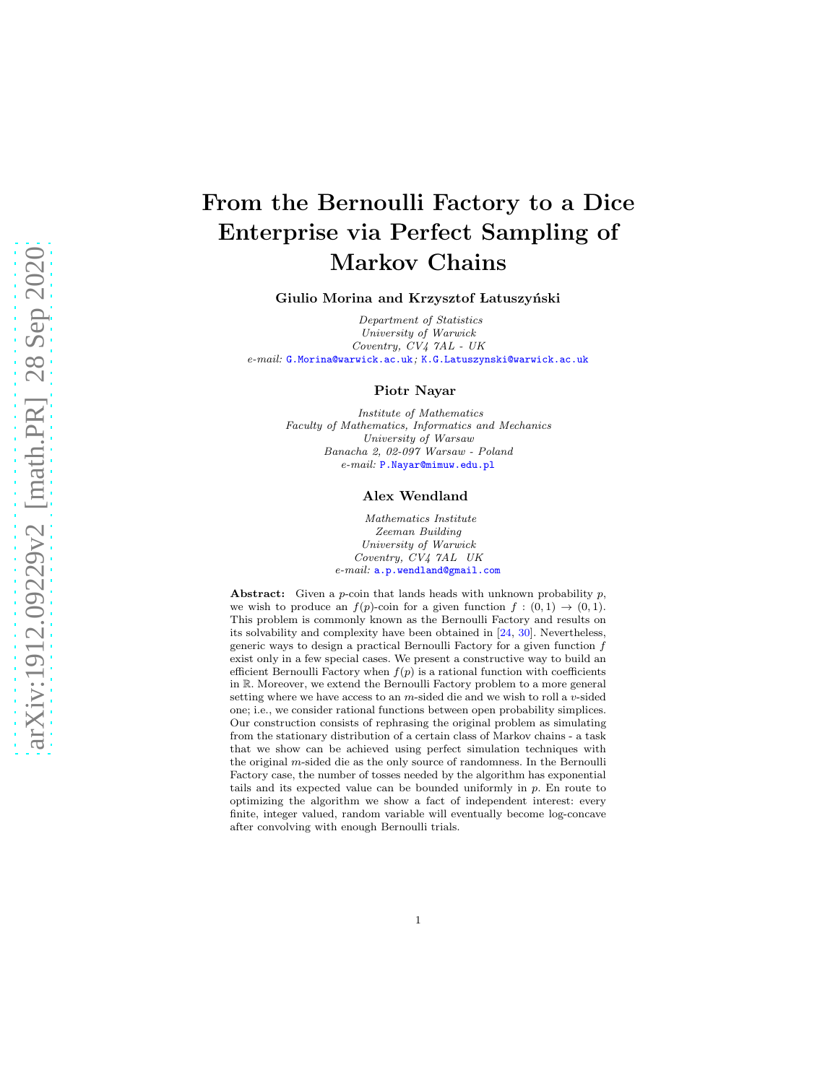# From the Bernoulli Factory to a Dice Enterprise via Perfect Sampling of Markov Chains

#### Giulio Morina and Krzysztof Latuszyński

*Department of Statistics University of Warwick Coventry, CV4 7AL - UK e-mail:* [G.Morina@warwick.ac.uk](mailto:G.Morina@warwick.ac.uk)*;* [K.G.Latuszynski@warwick.ac.uk](mailto:K.G.Latuszynski@warwick.ac.uk)

#### Piotr Nayar

*Institute of Mathematics Faculty of Mathematics, Informatics and Mechanics University of Warsaw Banacha 2, 02-097 Warsaw - Poland e-mail:* [P.Nayar@mimuw.edu.pl](mailto:P.Nayar@mimuw.edu.pl)

## Alex Wendland

*Mathematics Institute Zeeman Building University of Warwick Coventry, CV4 7AL UK e-mail:* [a.p.wendland@gmail.com](mailto:a.p.wendland@gmail.com)

Abstract: Given a  $p$ -coin that lands heads with unknown probability  $p$ , we wish to produce an  $f(p)$ -coin for a given function  $f : (0,1) \rightarrow (0,1)$ . This problem is commonly known as the Bernoulli Factory and results on its solvability and complexity have been obtained in [\[24,](#page-38-0) [30](#page-39-0)]. Nevertheless, generic ways to design a practical Bernoulli Factory for a given function f exist only in a few special cases. We present a constructive way to build an efficient Bernoulli Factory when  $f(p)$  is a rational function with coefficients in R. Moreover, we extend the Bernoulli Factory problem to a more general setting where we have access to an  $m$ -sided die and we wish to roll a  $v$ -sided one; i.e., we consider rational functions between open probability simplices. Our construction consists of rephrasing the original problem as simulating from the stationary distribution of a certain class of Markov chains - a task that we show can be achieved using perfect simulation techniques with the original m-sided die as the only source of randomness. In the Bernoulli Factory case, the number of tosses needed by the algorithm has exponential tails and its expected value can be bounded uniformly in p. En route to optimizing the algorithm we show a fact of independent interest: every finite, integer valued, random variable will eventually become log-concave after convolving with enough Bernoulli trials.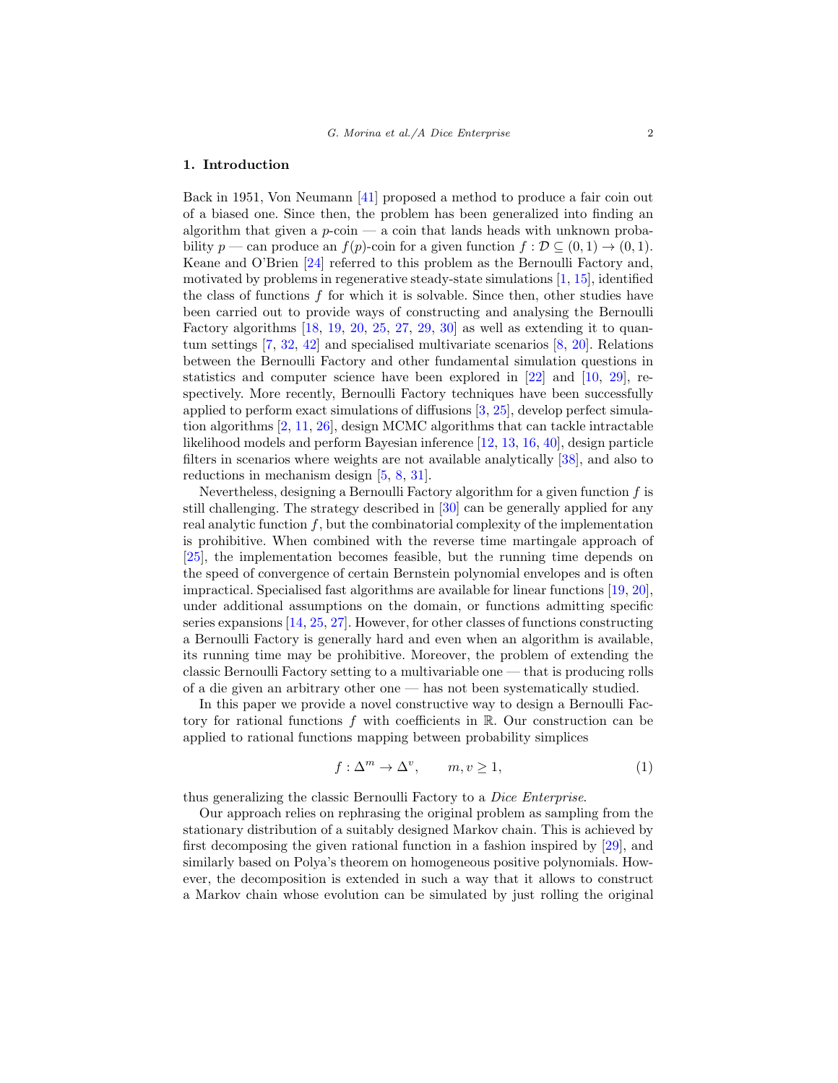#### 1. Introduction

Back in 1951, Von Neumann [\[41\]](#page-39-1) proposed a method to produce a fair coin out of a biased one. Since then, the problem has been generalized into finding an algorithm that given a  $p\text{-}\mathrm{coin}$  — a coin that lands heads with unknown probability  $p$  — can produce an  $f(p)$ -coin for a given function  $f : \mathcal{D} \subseteq (0,1) \to (0,1)$ . Keane and O'Brien [\[24\]](#page-38-0) referred to this problem as the Bernoulli Factory and, motivated by problems in regenerative steady-state simulations [\[1](#page-37-0), [15](#page-38-1)], identified the class of functions  $f$  for which it is solvable. Since then, other studies have been carried out to provide ways of constructing and analysing the Bernoulli Factory algorithms  $[18, 19, 20, 25, 27, 29, 30]$  $[18, 19, 20, 25, 27, 29, 30]$  $[18, 19, 20, 25, 27, 29, 30]$  $[18, 19, 20, 25, 27, 29, 30]$  $[18, 19, 20, 25, 27, 29, 30]$  $[18, 19, 20, 25, 27, 29, 30]$  $[18, 19, 20, 25, 27, 29, 30]$  $[18, 19, 20, 25, 27, 29, 30]$  $[18, 19, 20, 25, 27, 29, 30]$  $[18, 19, 20, 25, 27, 29, 30]$  $[18, 19, 20, 25, 27, 29, 30]$  $[18, 19, 20, 25, 27, 29, 30]$  as well as extending it to quantum settings [\[7](#page-37-1), [32](#page-39-4), [42](#page-39-5)] and specialised multivariate scenarios [\[8,](#page-37-2) [20](#page-38-4)]. Relations between the Bernoulli Factory and other fundamental simulation questions in statistics and computer science have been explored in [\[22](#page-38-6)] and [\[10,](#page-38-7) [29\]](#page-39-3), respectively. More recently, Bernoulli Factory techniques have been successfully applied to perform exact simulations of diffusions  $[3, 25]$  $[3, 25]$  $[3, 25]$ , develop perfect simulation algorithms [\[2](#page-37-4), [11,](#page-38-8) [26](#page-38-9)], design MCMC algorithms that can tackle intractable likelihood models and perform Bayesian inference [\[12](#page-38-10), [13,](#page-38-11) [16,](#page-38-12) [40](#page-39-6)], design particle filters in scenarios where weights are not available analytically [\[38\]](#page-39-7), and also to reductions in mechanism design [\[5](#page-37-5), [8](#page-37-2), [31](#page-39-8)].

Nevertheless, designing a Bernoulli Factory algorithm for a given function  $f$  is still challenging. The strategy described in [\[30](#page-39-0)] can be generally applied for any real analytic function  $f$ , but the combinatorial complexity of the implementation is prohibitive. When combined with the reverse time martingale approach of [\[25\]](#page-38-5), the implementation becomes feasible, but the running time depends on the speed of convergence of certain Bernstein polynomial envelopes and is often impractical. Specialised fast algorithms are available for linear functions [\[19,](#page-38-3) [20\]](#page-38-4), under additional assumptions on the domain, or functions admitting specific series expansions [\[14,](#page-38-13) [25,](#page-38-5) [27\]](#page-39-2). However, for other classes of functions constructing a Bernoulli Factory is generally hard and even when an algorithm is available, its running time may be prohibitive. Moreover, the problem of extending the classic Bernoulli Factory setting to a multivariable one — that is producing rolls of a die given an arbitrary other one — has not been systematically studied.

In this paper we provide a novel constructive way to design a Bernoulli Factory for rational functions  $f$  with coefficients in  $\mathbb{R}$ . Our construction can be applied to rational functions mapping between probability simplices

<span id="page-1-0"></span>
$$
f: \Delta^m \to \Delta^v, \qquad m, v \ge 1,\tag{1}
$$

thus generalizing the classic Bernoulli Factory to a Dice Enterprise.

Our approach relies on rephrasing the original problem as sampling from the stationary distribution of a suitably designed Markov chain. This is achieved by first decomposing the given rational function in a fashion inspired by [\[29\]](#page-39-3), and similarly based on Polya's theorem on homogeneous positive polynomials. However, the decomposition is extended in such a way that it allows to construct a Markov chain whose evolution can be simulated by just rolling the original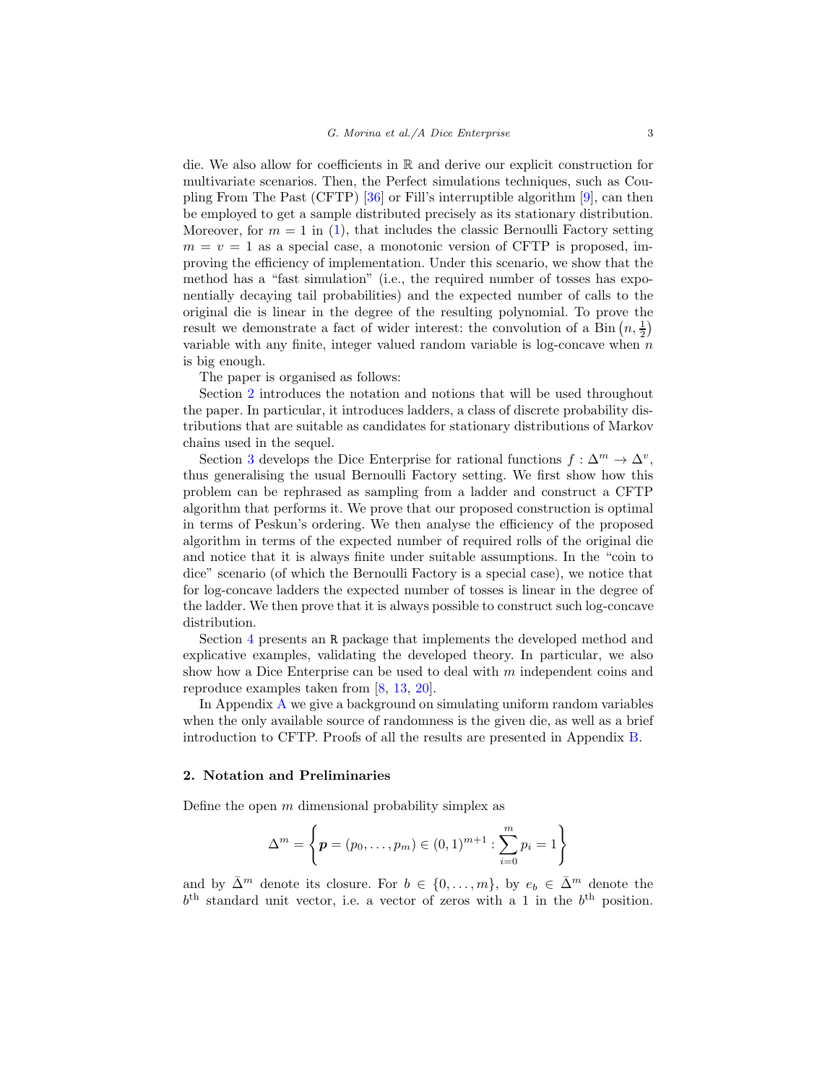die. We also allow for coefficients in R and derive our explicit construction for multivariate scenarios. Then, the Perfect simulations techniques, such as Coupling From The Past (CFTP) [\[36](#page-39-9)] or Fill's interruptible algorithm [\[9\]](#page-38-14), can then be employed to get a sample distributed precisely as its stationary distribution. Moreover, for  $m = 1$  in [\(1\)](#page-1-0), that includes the classic Bernoulli Factory setting  $m = v = 1$  as a special case, a monotonic version of CFTP is proposed, improving the efficiency of implementation. Under this scenario, we show that the method has a "fast simulation" (i.e., the required number of tosses has exponentially decaying tail probabilities) and the expected number of calls to the original die is linear in the degree of the resulting polynomial. To prove the result we demonstrate a fact of wider interest: the convolution of a Bin  $(n, \frac{1}{2})$ variable with any finite, integer valued random variable is log-concave when  $n$ is big enough.

The paper is organised as follows:

Section [2](#page-2-0) introduces the notation and notions that will be used throughout the paper. In particular, it introduces ladders, a class of discrete probability distributions that are suitable as candidates for stationary distributions of Markov chains used in the sequel.

Section [3](#page-7-0) develops the Dice Enterprise for rational functions  $f: \Delta^m \to \Delta^v$ , thus generalising the usual Bernoulli Factory setting. We first show how this problem can be rephrased as sampling from a ladder and construct a CFTP algorithm that performs it. We prove that our proposed construction is optimal in terms of Peskun's ordering. We then analyse the efficiency of the proposed algorithm in terms of the expected number of required rolls of the original die and notice that it is always finite under suitable assumptions. In the "coin to dice" scenario (of which the Bernoulli Factory is a special case), we notice that for log-concave ladders the expected number of tosses is linear in the degree of the ladder. We then prove that it is always possible to construct such log-concave distribution.

Section [4](#page-16-0) presents an R package that implements the developed method and explicative examples, validating the developed theory. In particular, we also show how a Dice Enterprise can be used to deal with  $m$  independent coins and reproduce examples taken from [\[8,](#page-37-2) [13,](#page-38-11) [20\]](#page-38-4).

In Appendix [A](#page-23-0) we give a background on simulating uniform random variables when the only available source of randomness is the given die, as well as a brief introduction to CFTP. Proofs of all the results are presented in Appendix [B.](#page-26-0)

## <span id="page-2-0"></span>2. Notation and Preliminaries

Define the open  $m$  dimensional probability simplex as

$$
\Delta^m = \left\{ \boldsymbol{p} = (p_0, \dots, p_m) \in (0, 1)^{m+1} : \sum_{i=0}^m p_i = 1 \right\}
$$

and by  $\bar{\Delta}^m$  denote its closure. For  $b \in \{0, \ldots, m\}$ , by  $e_b \in \bar{\Delta}^m$  denote the  $b<sup>th</sup>$  standard unit vector, i.e. a vector of zeros with a 1 in the  $b<sup>th</sup>$  position.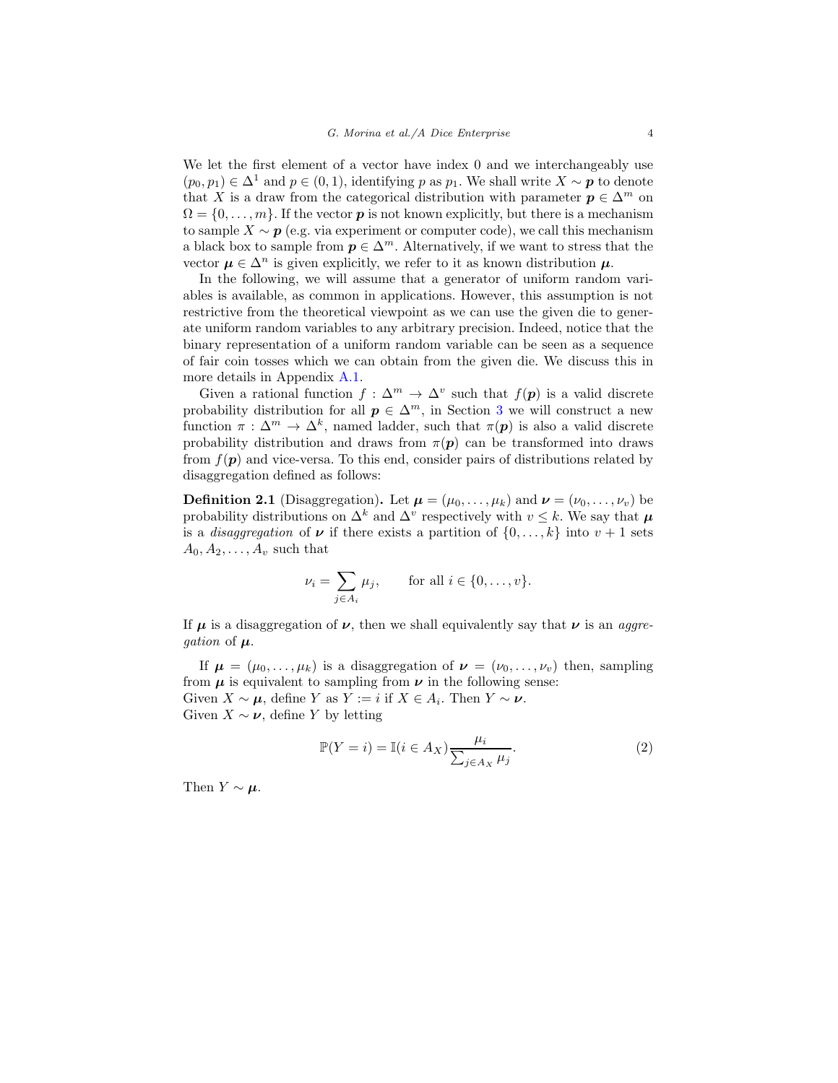We let the first element of a vector have index 0 and we interchangeably use  $(p_0, p_1) \in \Delta^1$  and  $p \in (0, 1)$ , identifying p as  $p_1$ . We shall write  $X \sim p$  to denote that X is a draw from the categorical distribution with parameter  $p \in \Delta^m$  on  $\Omega = \{0, \ldots, m\}$ . If the vector **p** is not known explicitly, but there is a mechanism to sample  $X \sim p$  (e.g. via experiment or computer code), we call this mechanism a black box to sample from  $p \in \Delta^m$ . Alternatively, if we want to stress that the vector  $\mu \in \Delta^n$  is given explicitly, we refer to it as known distribution  $\mu$ .

In the following, we will assume that a generator of uniform random variables is available, as common in applications. However, this assumption is not restrictive from the theoretical viewpoint as we can use the given die to generate uniform random variables to any arbitrary precision. Indeed, notice that the binary representation of a uniform random variable can be seen as a sequence of fair coin tosses which we can obtain from the given die. We discuss this in more details in Appendix [A.1.](#page-23-1)

Given a rational function  $f : \Delta^m \to \Delta^v$  such that  $f(\mathbf{p})$  is a valid discrete probability distribution for all  $p \in \Delta^m$ , in Section [3](#page-7-0) we will construct a new function  $\pi : \Delta^m \to \Delta^k$ , named ladder, such that  $\pi(\mathbf{p})$  is also a valid discrete probability distribution and draws from  $\pi(\mathbf{p})$  can be transformed into draws from  $f(\mathbf{p})$  and vice-versa. To this end, consider pairs of distributions related by disaggregation defined as follows:

<span id="page-3-0"></span>**Definition 2.1** (Disaggregation). Let  $\mu = (\mu_0, \dots, \mu_k)$  and  $\nu = (\nu_0, \dots, \nu_v)$  be probability distributions on  $\Delta^k$  and  $\Delta^v$  respectively with  $v \leq k$ . We say that  $\mu$ is a *disaggregation* of  $\nu$  if there exists a partition of  $\{0, \ldots, k\}$  into  $v + 1$  sets  $A_0, A_2, \ldots, A_v$  such that

$$
\nu_i = \sum_{j \in A_i} \mu_j, \quad \text{for all } i \in \{0, \dots, v\}.
$$

If  $\mu$  is a disaggregation of  $\nu$ , then we shall equivalently say that  $\nu$  is an *aggregation* of  $\mu$ .

If  $\mu = (\mu_0, \ldots, \mu_k)$  is a disaggregation of  $\nu = (\nu_0, \ldots, \nu_v)$  then, sampling from  $\mu$  is equivalent to sampling from  $\nu$  in the following sense: Given  $X \sim \mu$ , define Y as  $Y := i$  if  $X \in A_i$ . Then  $Y \sim \nu$ . Given  $X \sim \nu$ , define Y by letting

<span id="page-3-1"></span>
$$
\mathbb{P}(Y=i) = \mathbb{I}(i \in A_X) \frac{\mu_i}{\sum_{j \in A_X} \mu_j}.
$$
 (2)

Then  $Y \sim \mu$ .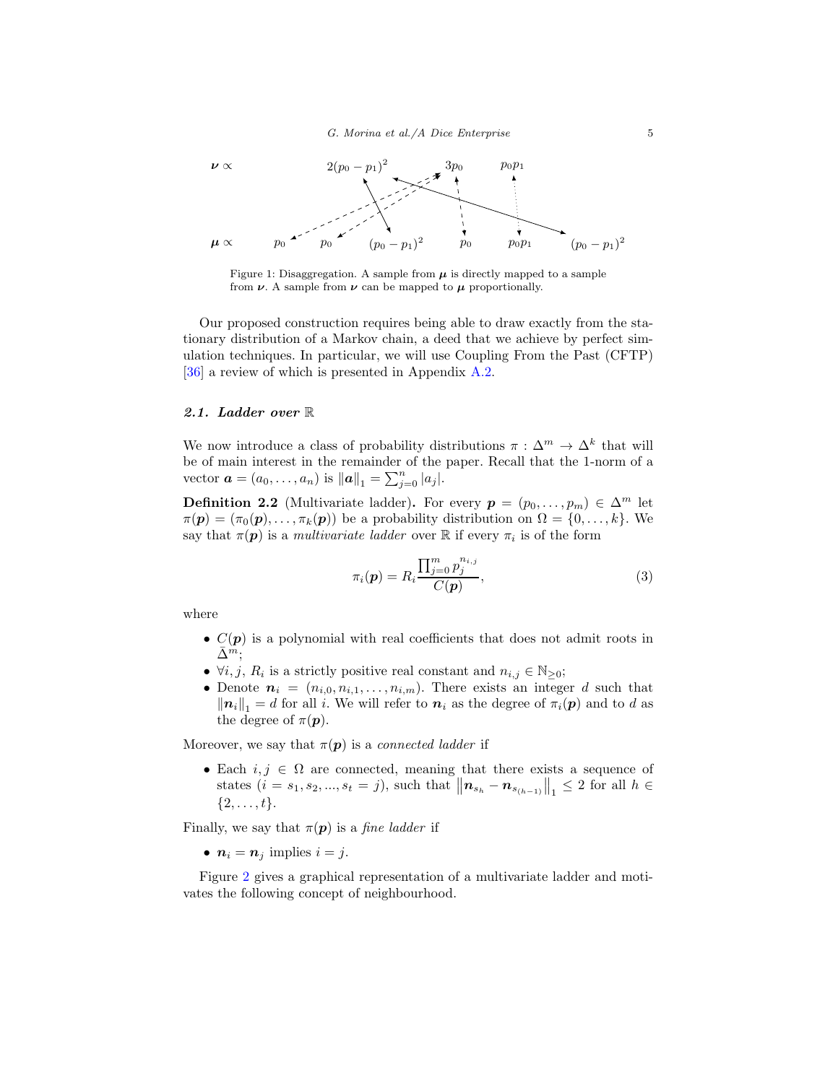

Figure 1: Disaggregation. A sample from  $\mu$  is directly mapped to a sample from  $\nu$ . A sample from  $\nu$  can be mapped to  $\mu$  proportionally.

Our proposed construction requires being able to draw exactly from the stationary distribution of a Markov chain, a deed that we achieve by perfect simulation techniques. In particular, we will use Coupling From the Past (CFTP) [\[36\]](#page-39-9) a review of which is presented in Appendix [A.2.](#page-24-0)

## 2.1. Ladder over R

We now introduce a class of probability distributions  $\pi : \Delta^m \to \Delta^k$  that will be of main interest in the remainder of the paper. Recall that the 1-norm of a vector  $\mathbf{a} = (a_0, ..., a_n)$  is  $\|\mathbf{a}\|_1 = \sum_{j=0}^n |a_j|$ .

<span id="page-4-1"></span>**Definition 2.2** (Multivariate ladder). For every  $p = (p_0, \ldots, p_m) \in \Delta^m$  let  $\pi(\mathbf{p}) = (\pi_0(\mathbf{p}), \ldots, \pi_k(\mathbf{p}))$  be a probability distribution on  $\Omega = \{0, \ldots, k\}$ . We say that  $\pi(\mathbf{p})$  is a *multivariate ladder* over  $\mathbb R$  if every  $\pi_i$  is of the form

<span id="page-4-0"></span>
$$
\pi_i(\mathbf{p}) = R_i \frac{\prod_{j=0}^m p_j^{n_{i,j}}}{C(\mathbf{p})},\tag{3}
$$

where

- $C(p)$  is a polynomial with real coefficients that does not admit roots in  $\Delta^m$ ;
- $\forall i, j, R_i$  is a strictly positive real constant and  $n_{i,j} \in \mathbb{N}_{\geq 0}$ ;
- Denote  $n_i = (n_{i,0}, n_{i,1}, \ldots, n_{i,m})$ . There exists an integer d such that  $\|\mathbf{n}_i\|_1 = d$  for all i. We will refer to  $\mathbf{n}_i$  as the degree of  $\pi_i(\mathbf{p})$  and to d as the degree of  $\pi(\mathbf{p})$ .

Moreover, we say that  $\pi(\mathbf{p})$  is a *connected ladder* if

• Each  $i, j \in \Omega$  are connected, meaning that there exists a sequence of states  $(i = s_1, s_2, ..., s_t = j)$ , such that  $||\mathbf{n}_{s_h} - \mathbf{n}_{s_{(h-1)}}||_1 \leq 2$  for all  $h \in$  $\{2, \ldots, t\}.$ 

Finally, we say that  $\pi(\mathbf{p})$  is a *fine ladder* if

•  $n_i = n_j$  implies  $i = j$ .

Figure [2](#page-5-0) gives a graphical representation of a multivariate ladder and motivates the following concept of neighbourhood.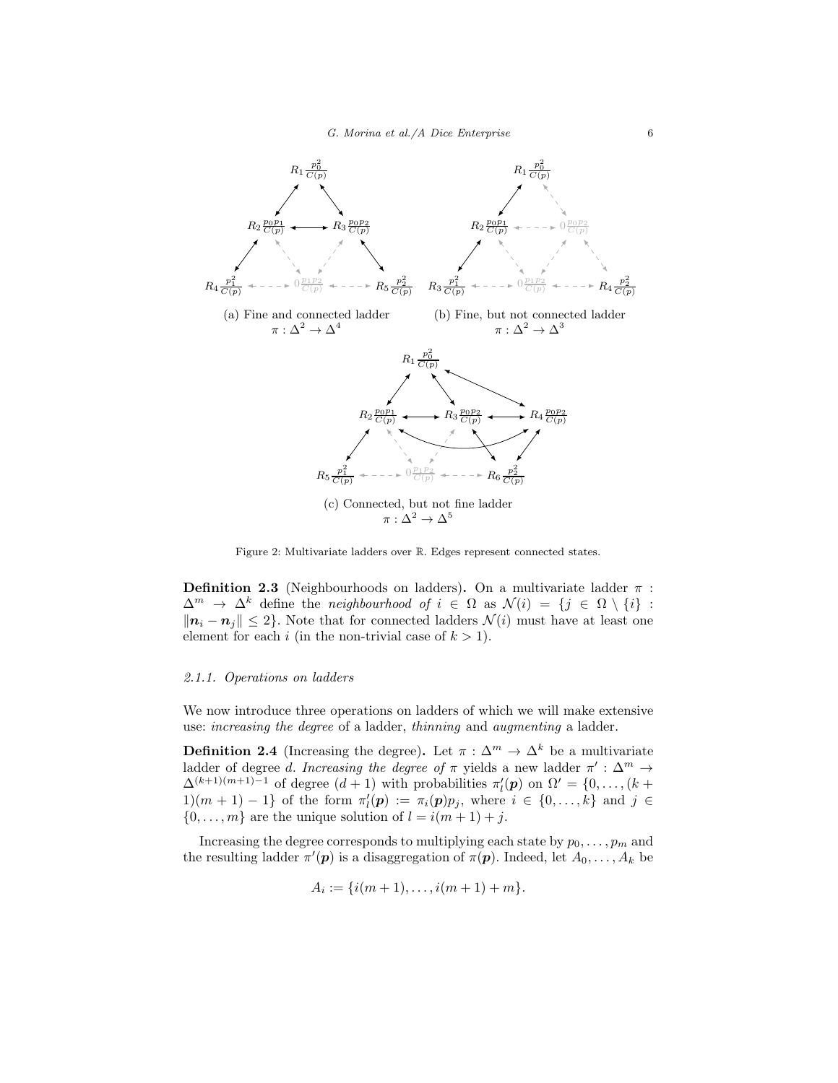<span id="page-5-0"></span>

Figure 2: Multivariate ladders over R. Edges represent connected states.

<span id="page-5-1"></span>**Definition 2.3** (Neighbourhoods on ladders). On a multivariate ladder  $\pi$ :  $\Delta^m \to \Delta^k$  define the *neighbourhood* of  $i \in \Omega$  as  $\mathcal{N}(i) = \{j \in \Omega \setminus \{i\} :$  $||n_i - n_j|| \leq 2$ . Note that for connected ladders  $\mathcal{N}(i)$  must have at least one element for each i (in the non-trivial case of  $k > 1$ ).

## 2.1.1. Operations on ladders

We now introduce three operations on ladders of which we will make extensive use: increasing the degree of a ladder, thinning and augmenting a ladder.

**Definition 2.4** (Increasing the degree). Let  $\pi : \Delta^m \to \Delta^k$  be a multivariate ladder of degree d. Increasing the degree of  $\pi$  yields a new ladder  $\pi' : \Delta^m \to$  $\Delta^{(k+1)(m+1)-1}$  of degree  $(d+1)$  with probabilities  $\pi'_l(\mathbf{p})$  on  $\Omega' = \{0, \ldots, (k+1)\}$ 1)(*m* + 1) − 1} of the form  $\pi'_i(p) := \pi_i(p)p_j$ , where  $i \in \{0, ..., k\}$  and  $j \in$  $\{0, \ldots, m\}$  are the unique solution of  $l = i(m + 1) + j$ .

Increasing the degree corresponds to multiplying each state by  $p_0, \ldots, p_m$  and the resulting ladder  $\pi'(\mathbf{p})$  is a disaggregation of  $\pi(\mathbf{p})$ . Indeed, let  $A_0, \ldots, A_k$  be

$$
A_i := \{i(m+1), \ldots, i(m+1) + m\}.
$$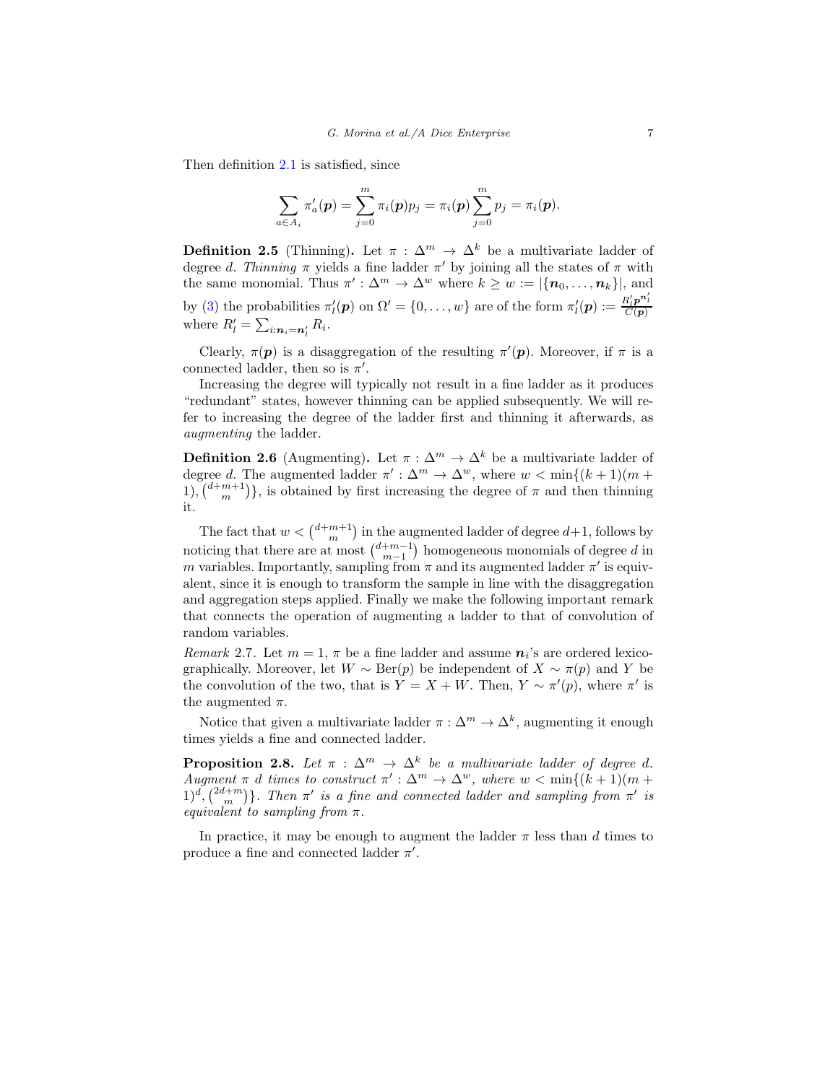Then definition [2.1](#page-3-0) is satisfied, since

$$
\sum_{a\in A_i}\pi'_a(\boldsymbol{p})=\sum_{j=0}^m\pi_i(\boldsymbol{p})p_j=\pi_i(\boldsymbol{p})\sum_{j=0}^m p_j=\pi_i(\boldsymbol{p}).
$$

**Definition 2.5** (Thinning). Let  $\pi : \Delta^m \to \Delta^k$  be a multivariate ladder of degree d. Thinning  $\pi$  yields a fine ladder  $\pi'$  by joining all the states of  $\pi$  with the same monomial. Thus  $\pi': \Delta^m \to \Delta^w$  where  $k \geq w := |\{\mathbf{n}_0, \ldots, \mathbf{n}_k\}|$ , and by [\(3\)](#page-4-0) the probabilities  $\pi'_l(\mathbf{p})$  on  $\Omega' = \{0, \ldots, w\}$  are of the form  $\pi'_l(\mathbf{p}) := \frac{R'_l \mathbf{p}^{n'_l}}{C(\mathbf{p})}$ where  $R'_l = \sum_{i:\mathbf{n}_i = \mathbf{n}'_l} R_i$ .

Clearly,  $\pi(\mathbf{p})$  is a disaggregation of the resulting  $\pi'(\mathbf{p})$ . Moreover, if  $\pi$  is a connected ladder, then so is  $\pi'$ .

Increasing the degree will typically not result in a fine ladder as it produces "redundant" states, however thinning can be applied subsequently. We will refer to increasing the degree of the ladder first and thinning it afterwards, as augmenting the ladder.

**Definition 2.6** (Augmenting). Let  $\pi : \Delta^m \to \Delta^k$  be a multivariate ladder of degree d. The augmented ladder  $\pi': \Delta^m \to \Delta^w$ , where  $w < \min\{(k+1)(m+1)\}$ 1),  $\binom{d+m+1}{m}$ , is obtained by first increasing the degree of  $\pi$  and then thinning it.

The fact that  $w < \binom{d+m+1}{m}$  in the augmented ladder of degree  $d+1$ , follows by noticing that there are at most  $\binom{d+m-1}{m-1}$  homogeneous monomials of degree d in m variables. Importantly, sampling from  $\pi$  and its augmented ladder  $\pi'$  is equivalent, since it is enough to transform the sample in line with the disaggregation and aggregation steps applied. Finally we make the following important remark that connects the operation of augmenting a ladder to that of convolution of random variables.

<span id="page-6-1"></span>*Remark* 2.7. Let  $m = 1$ ,  $\pi$  be a fine ladder and assume  $n_i$ 's are ordered lexicographically. Moreover, let  $W \sim \text{Ber}(p)$  be independent of  $X \sim \pi(p)$  and Y be the convolution of the two, that is  $Y = X + W$ . Then,  $Y \sim \pi'(p)$ , where  $\pi'$  is the augmented  $\pi$ .

Notice that given a multivariate ladder  $\pi : \Delta^m \to \Delta^k$ , augmenting it enough times yields a fine and connected ladder.

<span id="page-6-0"></span>**Proposition 2.8.** Let  $\pi$  :  $\Delta^m$   $\rightarrow$   $\Delta^k$  be a multivariate ladder of degree d. Augment  $\pi$  d times to construct  $\pi': \Delta^m \to \Delta^w$ , where  $w < \min\{(k+1)(m+1)/2\}$  $(1)^d$ ,  $(2d+m)$ . Then  $\pi'$  is a fine and connected ladder and sampling from  $\pi'$  is equivalent to sampling from  $\pi$ .

In practice, it may be enough to augment the ladder  $\pi$  less than d times to produce a fine and connected ladder  $\pi'$ .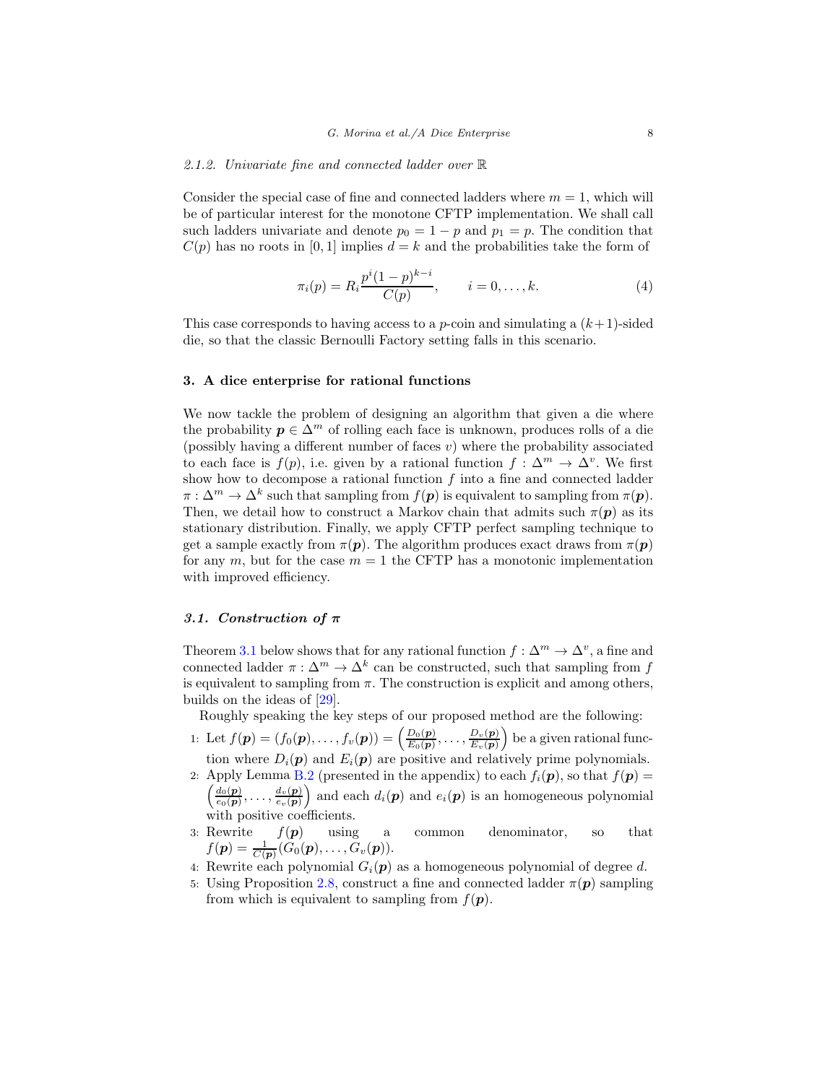#### <span id="page-7-2"></span>2.1.2. Univariate fine and connected ladder over R

Consider the special case of fine and connected ladders where  $m = 1$ , which will be of particular interest for the monotone CFTP implementation. We shall call such ladders univariate and denote  $p_0 = 1 - p$  and  $p_1 = p$ . The condition that  $C(p)$  has no roots in [0, 1] implies  $d = k$  and the probabilities take the form of

<span id="page-7-1"></span>
$$
\pi_i(p) = R_i \frac{p^i (1-p)^{k-i}}{C(p)}, \qquad i = 0, \dots, k.
$$
 (4)

This case corresponds to having access to a *p*-coin and simulating a  $(k+1)$ -sided die, so that the classic Bernoulli Factory setting falls in this scenario.

## <span id="page-7-0"></span>3. A dice enterprise for rational functions

We now tackle the problem of designing an algorithm that given a die where the probability  $p \in \Delta^m$  of rolling each face is unknown, produces rolls of a die (possibly having a different number of faces  $v$ ) where the probability associated to each face is  $f(p)$ , i.e. given by a rational function  $f: \Delta^m \to \Delta^v$ . We first show how to decompose a rational function  $f$  into a fine and connected ladder  $\pi : \Delta^m \to \Delta^k$  such that sampling from  $f(\mathbf{p})$  is equivalent to sampling from  $\pi(\mathbf{p})$ . Then, we detail how to construct a Markov chain that admits such  $\pi(\mathbf{p})$  as its stationary distribution. Finally, we apply CFTP perfect sampling technique to get a sample exactly from  $\pi(\mathbf{p})$ . The algorithm produces exact draws from  $\pi(\mathbf{p})$ for any  $m$ , but for the case  $m = 1$  the CFTP has a monotonic implementation with improved efficiency.

## 3.1. Construction of  $\pi$

Theorem [3.1](#page-8-0) below shows that for any rational function  $f : \Delta^m \to \Delta^v$ , a fine and connected ladder  $\pi : \Delta^m \to \Delta^k$  can be constructed, such that sampling from f is equivalent to sampling from  $\pi$ . The construction is explicit and among others, builds on the ideas of [\[29](#page-39-3)].

Roughly speaking the key steps of our proposed method are the following:

- 1: Let  $f(\mathbf{p}) = (f_0(\mathbf{p}), \ldots, f_v(\mathbf{p})) = \left(\frac{D_0(\mathbf{p})}{E_0(\mathbf{p})}\right)$  $\frac{D_0(\boldsymbol{p})}{E_0(\boldsymbol{p})}, \ldots, \frac{D_v(\boldsymbol{p})}{E_v(\boldsymbol{p})}$  $\left(\frac{D_v(\boldsymbol{p})}{E_v(\boldsymbol{p})}\right)$  be a given rational function where  $D_i(\mathbf{p})$  and  $E_i(\mathbf{p})$  are positive and relatively prime polynomials.
- 2: Apply Lemma [B.2](#page-27-0) (presented in the appendix) to each  $f_i(\mathbf{p})$ , so that  $f(\mathbf{p}) =$  $\int d_0(\mathbf{p})$  $\frac{d_0(\boldsymbol{p})}{e_0(\boldsymbol{p})},\ldots,\frac{d_v(\boldsymbol{p})}{e_v(\boldsymbol{p})}$  $\frac{d_v(\boldsymbol{p})}{e_v(\boldsymbol{p})}$  and each  $d_i(\boldsymbol{p})$  and  $e_i(\boldsymbol{p})$  is an homogeneous polynomial with positive coefficients.
- 3: Rewrite  $f(\mathbf{p})$  using a common denominator, so that  $f(\boldsymbol{p}) = \frac{1}{C(\boldsymbol{p})}(G_0(\boldsymbol{p}), \ldots, G_v(\boldsymbol{p})).$
- 4: Rewrite each polynomial  $G_i(p)$  as a homogeneous polynomial of degree d.
- 5: Using Proposition [2.8,](#page-6-0) construct a fine and connected ladder  $\pi(\mathbf{p})$  sampling from which is equivalent to sampling from  $f(\mathbf{p})$ .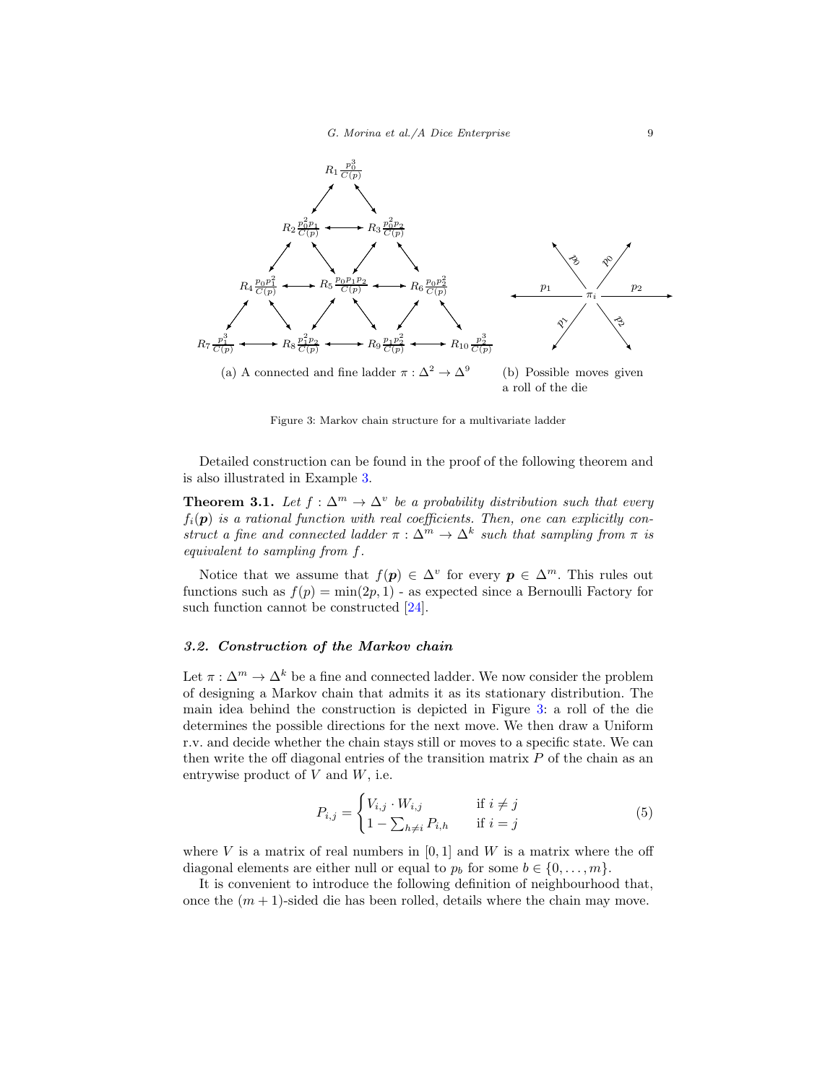<span id="page-8-1"></span>

Figure 3: Markov chain structure for a multivariate ladder

Detailed construction can be found in the proof of the following theorem and is also illustrated in Example [3.](#page-17-0)

<span id="page-8-0"></span>**Theorem 3.1.** Let  $f : \Delta^m \to \Delta^v$  be a probability distribution such that every  $f_i(\mathbf{p})$  is a rational function with real coefficients. Then, one can explicitly construct a fine and connected ladder  $\pi : \Delta^m \to \Delta^k$  such that sampling from  $\pi$  is equivalent to sampling from f.

Notice that we assume that  $f(p) \in \Delta^v$  for every  $p \in \Delta^m$ . This rules out functions such as  $f(p) = \min(2p, 1)$  - as expected since a Bernoulli Factory for such function cannot be constructed [\[24\]](#page-38-0).

# 3.2. Construction of the Markov chain

Let  $\pi : \Delta^m \to \Delta^k$  be a fine and connected ladder. We now consider the problem of designing a Markov chain that admits it as its stationary distribution. The main idea behind the construction is depicted in Figure [3:](#page-8-1) a roll of the die determines the possible directions for the next move. We then draw a Uniform r.v. and decide whether the chain stays still or moves to a specific state. We can then write the off diagonal entries of the transition matrix  $P$  of the chain as an entrywise product of  $V$  and  $W$ , i.e.

<span id="page-8-2"></span>
$$
P_{i,j} = \begin{cases} V_{i,j} \cdot W_{i,j} & \text{if } i \neq j \\ 1 - \sum_{h \neq i} P_{i,h} & \text{if } i = j \end{cases} \tag{5}
$$

where V is a matrix of real numbers in  $[0, 1]$  and W is a matrix where the off diagonal elements are either null or equal to  $p_b$  for some  $b \in \{0, \ldots, m\}$ .

It is convenient to introduce the following definition of neighbourhood that, once the  $(m + 1)$ -sided die has been rolled, details where the chain may move.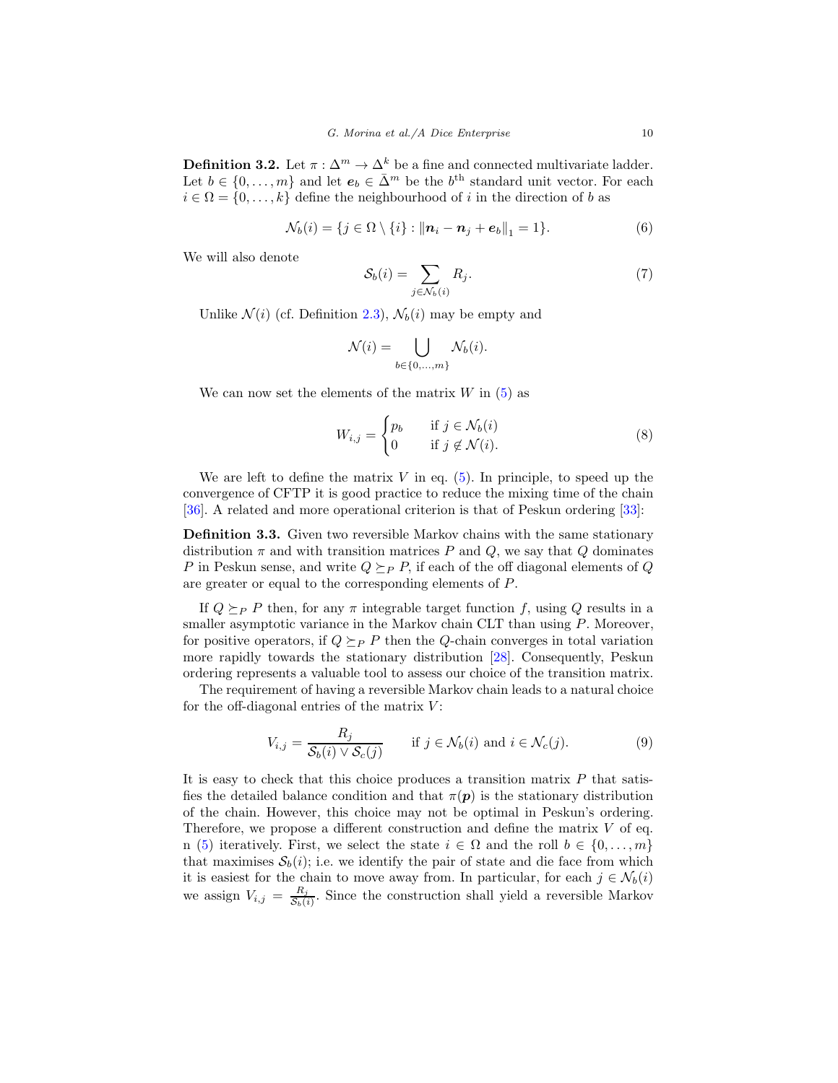**Definition 3.2.** Let  $\pi : \Delta^m \to \Delta^k$  be a fine and connected multivariate ladder. Let  $b \in \{0, \ldots, m\}$  and let  $e_b \in \bar{\Delta}^m$  be the  $b^{\text{th}}$  standard unit vector. For each  $i \in \Omega = \{0, \ldots, k\}$  define the neighbourhood of i in the direction of b as

<span id="page-9-0"></span>
$$
\mathcal{N}_b(i) = \{ j \in \Omega \setminus \{i\} : ||\mathbf{n}_i - \mathbf{n}_j + \mathbf{e}_b||_1 = 1 \}.
$$
 (6)

We will also denote

<span id="page-9-1"></span>
$$
\mathcal{S}_b(i) = \sum_{j \in \mathcal{N}_b(i)} R_j.
$$
 (7)

Unlike  $\mathcal{N}(i)$  (cf. Definition [2.3\)](#page-5-1),  $\mathcal{N}_b(i)$  may be empty and

$$
\mathcal{N}(i) = \bigcup_{b \in \{0, ..., m\}} \mathcal{N}_b(i).
$$

We can now set the elements of the matrix  $W$  in  $(5)$  as

<span id="page-9-2"></span>
$$
W_{i,j} = \begin{cases} p_b & \text{if } j \in \mathcal{N}_b(i) \\ 0 & \text{if } j \notin \mathcal{N}(i). \end{cases} \tag{8}
$$

We are left to define the matrix  $V$  in eq. [\(5\)](#page-8-2). In principle, to speed up the convergence of CFTP it is good practice to reduce the mixing time of the chain [\[36\]](#page-39-9). A related and more operational criterion is that of Peskun ordering [\[33\]](#page-39-10):

Definition 3.3. Given two reversible Markov chains with the same stationary distribution  $\pi$  and with transition matrices P and Q, we say that Q dominates P in Peskun sense, and write  $Q \succ_{P} P$ , if each of the off diagonal elements of Q are greater or equal to the corresponding elements of P.

If  $Q \succeq_P P$  then, for any  $\pi$  integrable target function f, using Q results in a smaller asymptotic variance in the Markov chain CLT than using  $P$ . Moreover, for positive operators, if  $Q \succeq_{P} P$  then the Q-chain converges in total variation more rapidly towards the stationary distribution [\[28\]](#page-39-11). Consequently, Peskun ordering represents a valuable tool to assess our choice of the transition matrix.

The requirement of having a reversible Markov chain leads to a natural choice for the off-diagonal entries of the matrix  $V$ :

$$
V_{i,j} = \frac{R_j}{\mathcal{S}_b(i) \vee \mathcal{S}_c(j)} \quad \text{if } j \in \mathcal{N}_b(i) \text{ and } i \in \mathcal{N}_c(j). \tag{9}
$$

It is easy to check that this choice produces a transition matrix  $P$  that satisfies the detailed balance condition and that  $\pi(\mathbf{p})$  is the stationary distribution of the chain. However, this choice may not be optimal in Peskun's ordering. Therefore, we propose a different construction and define the matrix  $V$  of eq. n [\(5\)](#page-8-2) iteratively. First, we select the state  $i \in \Omega$  and the roll  $b \in \{0, ..., m\}$ that maximises  $S_b(i)$ ; i.e. we identify the pair of state and die face from which it is easiest for the chain to move away from. In particular, for each  $j \in \mathcal{N}_b(i)$ we assign  $V_{i,j} = \frac{R_j}{S_{i,j}}$  $\frac{R_j}{S_b(i)}$ . Since the construction shall yield a reversible Markov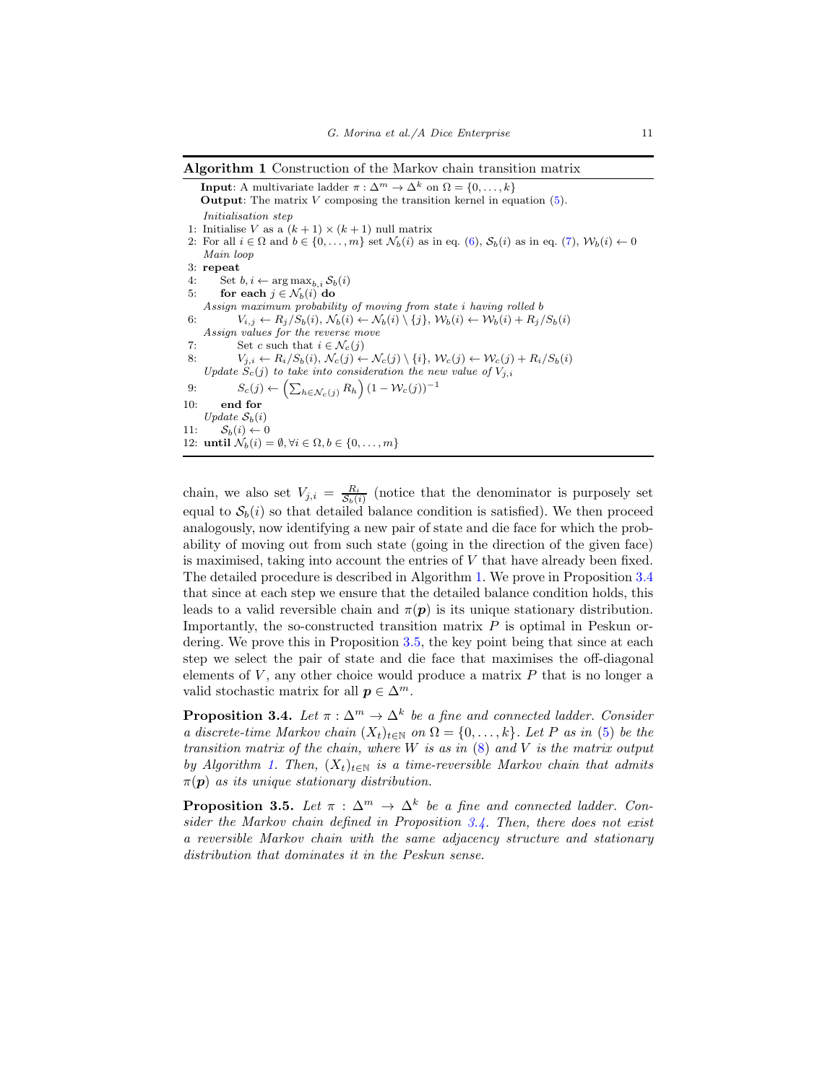<span id="page-10-0"></span>Algorithm 1 Construction of the Markov chain transition matrix

**Input**: A multivariate ladder  $\pi : \Delta^m \to \Delta^k$  on  $\Omega = \{0, \ldots, k\}$ **Output:** The matrix  $V$  composing the transition kernel in equation  $(5)$ . *Initialisation step* 1: Initialise $V$  as a  $(k+1)\times(k+1)$  null matrix 2: For all  $i \in \Omega$  and  $b \in \{0, \ldots, m\}$  set  $\mathcal{N}_b(i)$  as in eq. [\(6\)](#page-9-0),  $\mathcal{S}_b(i)$  as in eq. [\(7\)](#page-9-1),  $\mathcal{W}_b(i) \leftarrow 0$ *Main loop* 3: repeat 4: Set  $b, i \leftarrow \arg \max_{b, i} S_b(i)$ <br>5: for each  $i \in \mathcal{N}_b(i)$  do for each  $j \in \mathcal{N}_b(i)$  do *Assign maximum probability of moving from state* i *having rolled* b 6:  $V_{i,j} \leftarrow R_j/S_b(i), \mathcal{N}_b(i) \leftarrow \mathcal{N}_b(i) \setminus \{j\}, \mathcal{W}_b(i) \leftarrow \mathcal{W}_b(i) + R_j/S_b(i)$ *Assign values for the reverse move* 7: Set c such that  $i \in \mathcal{N}_c(j)$ <br>8:  $V_{i,i} \leftarrow R_i/S_b(i), \mathcal{N}_c(i) \leftarrow$  $V_{j,i} \leftarrow R_i/S_b(i), \, \mathcal{N}_c(j) \leftarrow \mathcal{N}_c(j) \setminus \{i\}, \, \mathcal{W}_c(j) \leftarrow \mathcal{W}_c(j) + R_i/S_b(i)$ *Update*  $S_c(j)$  *to take into consideration the new value of*  $V_{j,i}$ 9:  $S_c(j) \leftarrow (\sum_{h \in \mathcal{N}_c(j)} R_h) (1 - \mathcal{W}_c(j))^{-1}$ 10: end for *Update*  $S_b(i)$ 11:  $S_b(i) \leftarrow 0$ 12: until  $\mathcal{N}_b(i) = \emptyset, \forall i \in \Omega, b \in \{0, \ldots, m\}$ 

chain, we also set  $V_{j,i} = \frac{R_i}{S_b(i)}$  (notice that the denominator is purposely set equal to  $S_b(i)$  so that detailed balance condition is satisfied). We then proceed analogously, now identifying a new pair of state and die face for which the probability of moving out from such state (going in the direction of the given face) is maximised, taking into account the entries of V that have already been fixed. The detailed procedure is described in Algorithm [1.](#page-10-0) We prove in Proposition [3.4](#page-10-1) that since at each step we ensure that the detailed balance condition holds, this leads to a valid reversible chain and  $\pi(p)$  is its unique stationary distribution. Importantly, the so-constructed transition matrix  $P$  is optimal in Peskun ordering. We prove this in Proposition [3.5,](#page-10-2) the key point being that since at each step we select the pair of state and die face that maximises the off-diagonal elements of  $V$ , any other choice would produce a matrix  $P$  that is no longer a valid stochastic matrix for all  $p \in \Delta^m$ .

<span id="page-10-1"></span>**Proposition 3.4.** Let  $\pi : \Delta^m \to \Delta^k$  be a fine and connected ladder. Consider a discrete-time Markov chain  $(X_t)_{t\in\mathbb{N}}$  on  $\Omega = \{0, \ldots, k\}$ . Let P as in [\(5\)](#page-8-2) be the transition matrix of the chain, where  $W$  is as in  $(8)$  and  $V$  is the matrix output by Algorithm [1.](#page-10-0) Then,  $(X_t)_{t\in\mathbb{N}}$  is a time-reversible Markov chain that admits  $\pi(\mathbf{p})$  as its unique stationary distribution.

<span id="page-10-2"></span>**Proposition 3.5.** Let  $\pi : \Delta^m \to \Delta^k$  be a fine and connected ladder. Consider the Markov chain defined in Proposition [3.4.](#page-10-1) Then, there does not exist a reversible Markov chain with the same adjacency structure and stationary distribution that dominates it in the Peskun sense.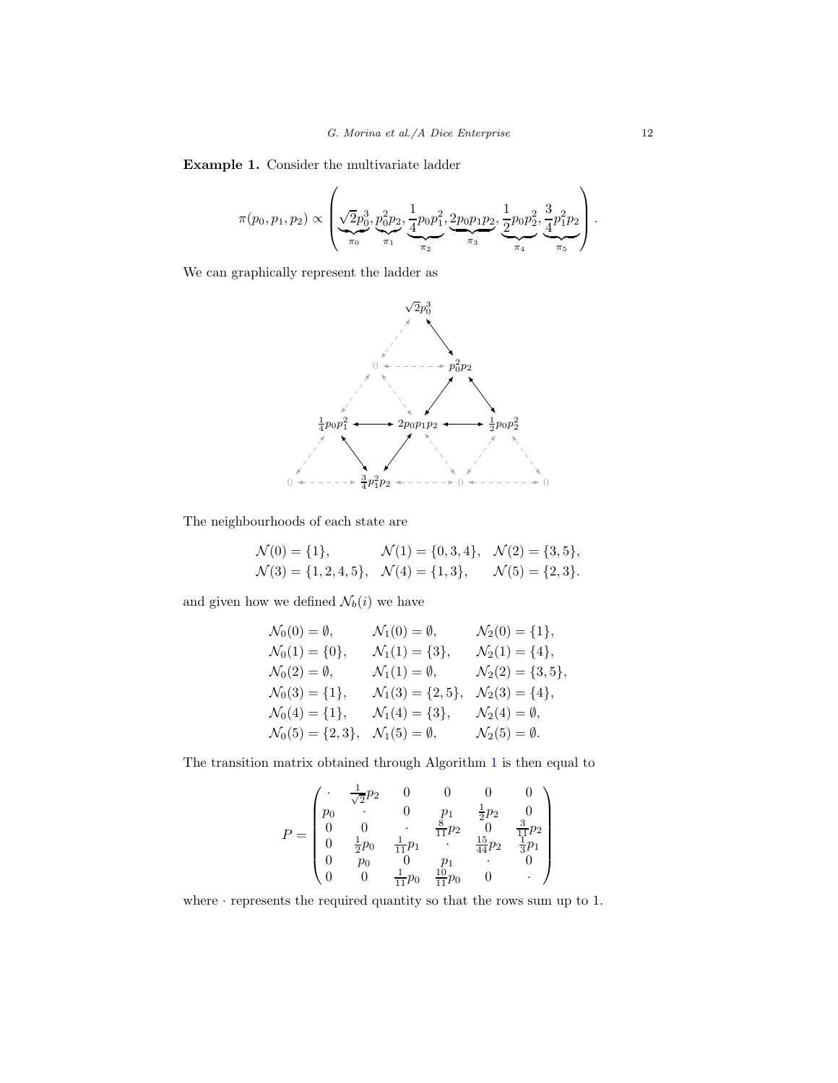Example 1. Consider the multivariate ladder

$$
\pi(p_0, p_1, p_2) \propto \left(\underbrace{\sqrt{2}p_0^3}_{\pi_0}, \underbrace{p_0^2p_2}_{\pi_1}, \underbrace{\frac{1}{4}p_0p_1^2}_{\pi_2}, \underbrace{\frac{2p_0p_1p_2}{\pi_3}}, \underbrace{\frac{1}{2}p_0p_2^2}_{\pi_4}, \underbrace{\frac{3}{4}p_1^2p_2}_{\pi_5}\right).
$$

We can graphically represent the ladder as



The neighbourhoods of each state are

$$
\mathcal{N}(0) = \{1\}, \qquad \mathcal{N}(1) = \{0, 3, 4\}, \quad \mathcal{N}(2) = \{3, 5\}, \n\mathcal{N}(3) = \{1, 2, 4, 5\}, \quad \mathcal{N}(4) = \{1, 3\}, \qquad \mathcal{N}(5) = \{2, 3\}.
$$

and given how we defined  $\mathcal{N}_b(i)$  we have

$$
\begin{aligned}\n\mathcal{N}_0(0) &= \emptyset, & \mathcal{N}_1(0) &= \emptyset, & \mathcal{N}_2(0) &= \{1\}, \\
\mathcal{N}_0(1) &= \{0\}, & \mathcal{N}_1(1) &= \{3\}, & \mathcal{N}_2(1) &= \{4\}, \\
\mathcal{N}_0(2) &= \emptyset, & \mathcal{N}_1(1) &= \emptyset, & \mathcal{N}_2(2) &= \{3, 5\}, \\
\mathcal{N}_0(3) &= \{1\}, & \mathcal{N}_1(3) &= \{2, 5\}, & \mathcal{N}_2(3) &= \{4\}, \\
\mathcal{N}_0(4) &= \{1\}, & \mathcal{N}_1(4) &= \{3\}, & \mathcal{N}_2(4) &= \emptyset, \\
\mathcal{N}_0(5) &= \{2, 3\}, & \mathcal{N}_1(5) &= \emptyset, & \mathcal{N}_2(5) &= \emptyset.\n\end{aligned}
$$

The transition matrix obtained through Algorithm [1](#page-10-0) is then equal to

$$
P = \begin{pmatrix} \cdot & \frac{1}{\sqrt{2}}p_2 & 0 & 0 & 0 & 0\\ p_0 & \cdot & 0 & p_1 & \frac{1}{2}p_2 & 0\\ 0 & 0 & \cdot & \frac{8}{11}p_2 & 0 & \frac{3}{11}p_2\\ 0 & \frac{1}{2}p_0 & \frac{1}{11}p_1 & \cdot & \frac{15}{44}p_2 & \frac{1}{3}p_1\\ 0 & p_0 & 0 & p_1 & \cdot & 0\\ 0 & 0 & \frac{1}{11}p_0 & \frac{10}{11}p_0 & 0 & \cdot \end{pmatrix}
$$

where · represents the required quantity so that the rows sum up to 1.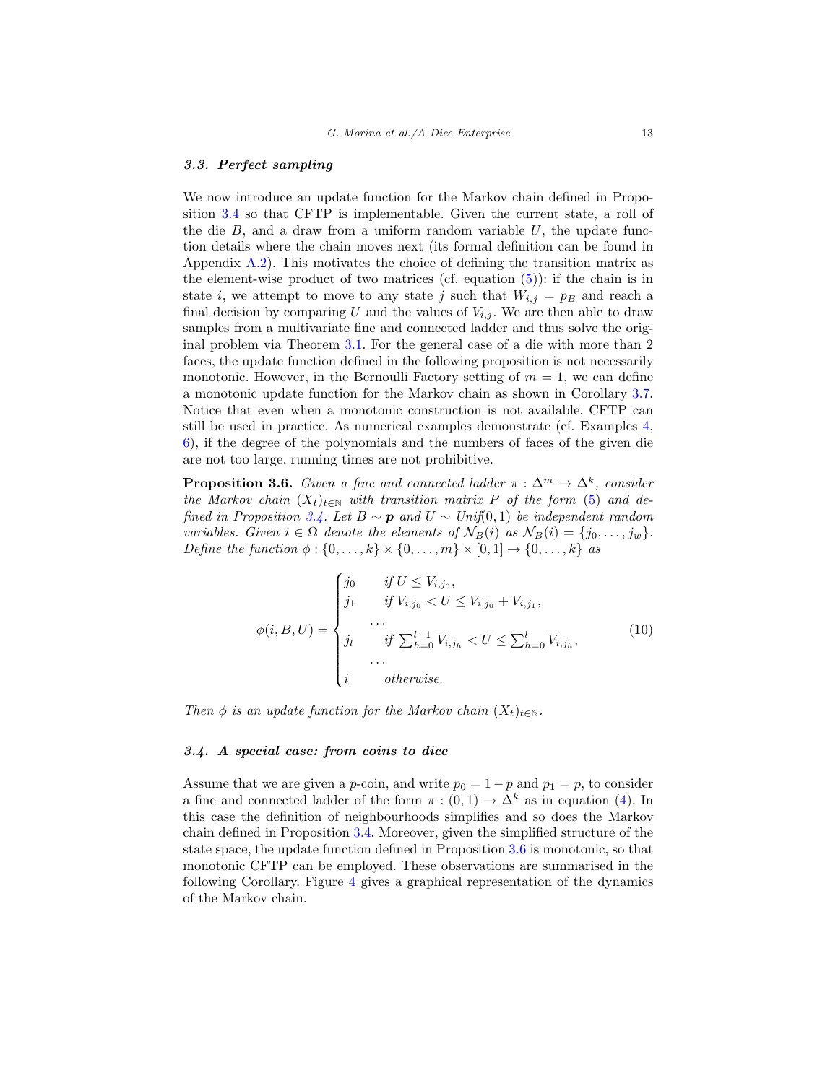## 3.3. Perfect sampling

We now introduce an update function for the Markov chain defined in Proposition [3.4](#page-10-1) so that CFTP is implementable. Given the current state, a roll of the die  $B$ , and a draw from a uniform random variable  $U$ , the update function details where the chain moves next (its formal definition can be found in Appendix [A.2\)](#page-24-0). This motivates the choice of defining the transition matrix as the element-wise product of two matrices (cf. equation  $(5)$ ): if the chain is in state i, we attempt to move to any state j such that  $W_{i,j} = p_B$  and reach a final decision by comparing U and the values of  $V_{i,j}$ . We are then able to draw samples from a multivariate fine and connected ladder and thus solve the original problem via Theorem [3.1.](#page-8-0) For the general case of a die with more than 2 faces, the update function defined in the following proposition is not necessarily monotonic. However, in the Bernoulli Factory setting of  $m = 1$ , we can define a monotonic update function for the Markov chain as shown in Corollary [3.7.](#page-13-0) Notice that even when a monotonic construction is not available, CFTP can still be used in practice. As numerical examples demonstrate (cf. Examples [4,](#page-19-0) [6\)](#page-21-0), if the degree of the polynomials and the numbers of faces of the given die are not too large, running times are not prohibitive.

<span id="page-12-0"></span>**Proposition 3.6.** Given a fine and connected ladder  $\pi : \Delta^m \to \Delta^k$ , consider the Markov chain  $(X_t)_{t\in\mathbb{N}}$  with transition matrix P of the form [\(5\)](#page-8-2) and de-fined in Proposition [3.4.](#page-10-1) Let  $B \sim p$  and  $U \sim Unif(0, 1)$  be independent random variables. Given  $i \in \Omega$  denote the elements of  $\mathcal{N}_B(i)$  as  $\mathcal{N}_B(i) = \{j_0, \ldots, j_w\}.$ Define the function  $\phi : \{0, \ldots, k\} \times \{0, \ldots, m\} \times [0, 1] \rightarrow \{0, \ldots, k\}$  as

<span id="page-12-1"></span>
$$
\phi(i, B, U) = \begin{cases}\nj_0 & \text{if } U \le V_{i,j_0}, \\
j_1 & \text{if } V_{i,j_0} < U \le V_{i,j_0} + V_{i,j_1}, \\
\cdots & \cdots & \vdots \\
j_l & \text{if } \sum_{h=0}^{l-1} V_{i,j_h} < U \le \sum_{h=0}^l V_{i,j_h}, \\
\cdots & \cdots & \cdots \\
i & \text{otherwise.} \end{cases} \tag{10}
$$

Then  $\phi$  is an update function for the Markov chain  $(X_t)_{t\in\mathbb{N}}$ .

## 3.4. A special case: from coins to dice

Assume that we are given a p-coin, and write  $p_0 = 1 - p$  and  $p_1 = p$ , to consider a fine and connected ladder of the form  $\pi : (0,1) \to \Delta^k$  as in equation [\(4\)](#page-7-1). In this case the definition of neighbourhoods simplifies and so does the Markov chain defined in Proposition [3.4.](#page-10-1) Moreover, given the simplified structure of the state space, the update function defined in Proposition [3.6](#page-12-0) is monotonic, so that monotonic CFTP can be employed. These observations are summarised in the following Corollary. Figure [4](#page-13-1) gives a graphical representation of the dynamics of the Markov chain.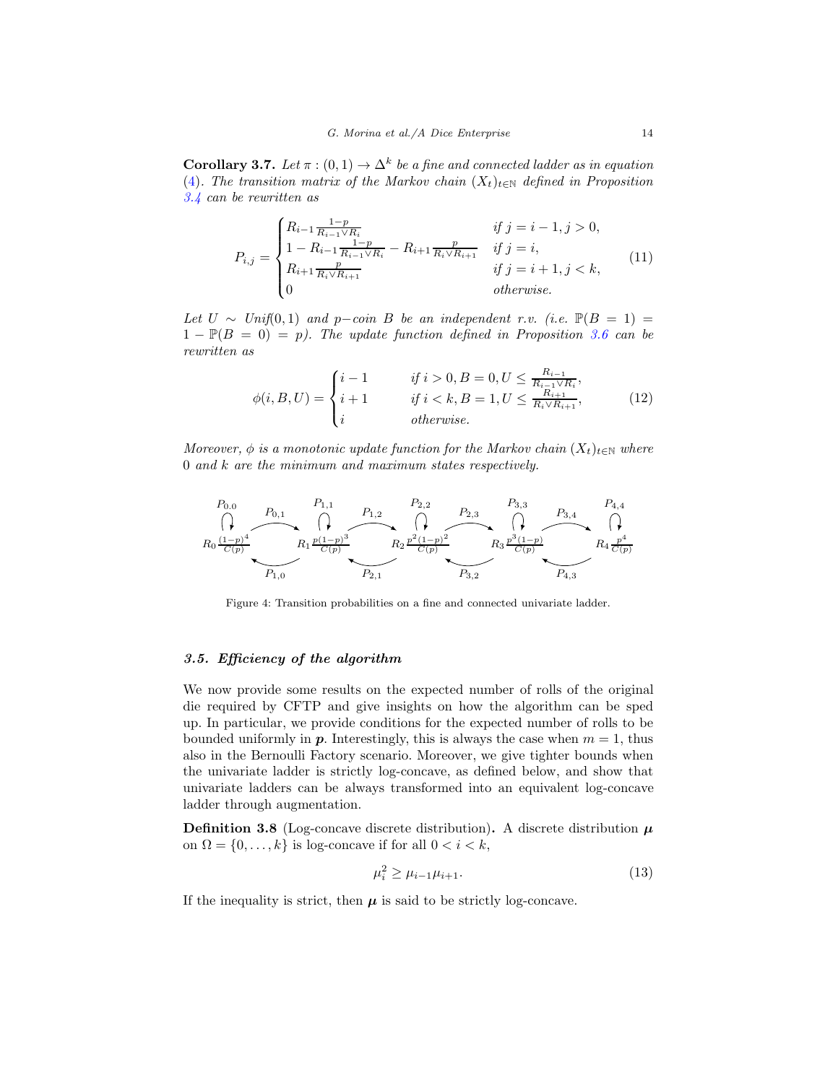<span id="page-13-0"></span>**Corollary 3.7.** Let  $\pi$  :  $(0,1) \rightarrow \Delta^k$  be a fine and connected ladder as in equation [\(4\)](#page-7-1). The transition matrix of the Markov chain  $(X_t)_{t\in\mathbb{N}}$  defined in Proposition [3.4](#page-10-1) can be rewritten as

<span id="page-13-2"></span>
$$
P_{i,j} = \begin{cases} R_{i-1} \frac{1-p}{R_{i-1} \vee R_i} & \text{if } j = i-1, j > 0, \\ 1 - R_{i-1} \frac{1-p}{R_{i-1} \vee R_i} - R_{i+1} \frac{p}{R_i \vee R_{i+1}} & \text{if } j = i, \\ R_{i+1} \frac{p}{R_i \vee R_{i+1}} & \text{if } j = i+1, j < k, \\ 0 & \text{otherwise.} \end{cases}
$$
(11)

Let  $U \sim Unif(0,1)$  and p-coin B be an independent r.v. (i.e.  $\mathbb{P}(B = 1) =$  $1 - \mathbb{P}(B = 0) = p$ . The update function defined in Proposition [3.6](#page-12-0) can be rewritten as

<span id="page-13-4"></span>
$$
\phi(i, B, U) = \begin{cases} i - 1 & \text{if } i > 0, B = 0, U \le \frac{R_{i-1}}{R_{i-1} \vee R_i}, \\ i + 1 & \text{if } i < k, B = 1, U \le \frac{R_{i+1}}{R_i \vee R_{i+1}}, \\ i & \text{otherwise.} \end{cases} \tag{12}
$$

Moreover,  $\phi$  is a monotonic update function for the Markov chain  $(X_t)_{t\in\mathbb{N}}$  where 0 and k are the minimum and maximum states respectively.

<span id="page-13-1"></span>

Figure 4: Transition probabilities on a fine and connected univariate ladder.

## <span id="page-13-3"></span>3.5. Efficiency of the algorithm

We now provide some results on the expected number of rolls of the original die required by CFTP and give insights on how the algorithm can be sped up. In particular, we provide conditions for the expected number of rolls to be bounded uniformly in **p**. Interestingly, this is always the case when  $m = 1$ , thus also in the Bernoulli Factory scenario. Moreover, we give tighter bounds when the univariate ladder is strictly log-concave, as defined below, and show that univariate ladders can be always transformed into an equivalent log-concave ladder through augmentation.

**Definition 3.8** (Log-concave discrete distribution). A discrete distribution  $\mu$ on  $\Omega = \{0, \ldots, k\}$  is log-concave if for all  $0 < i < k$ ,

$$
\mu_i^2 \ge \mu_{i-1}\mu_{i+1}.\tag{13}
$$

If the inequality is strict, then  $\mu$  is said to be strictly log-concave.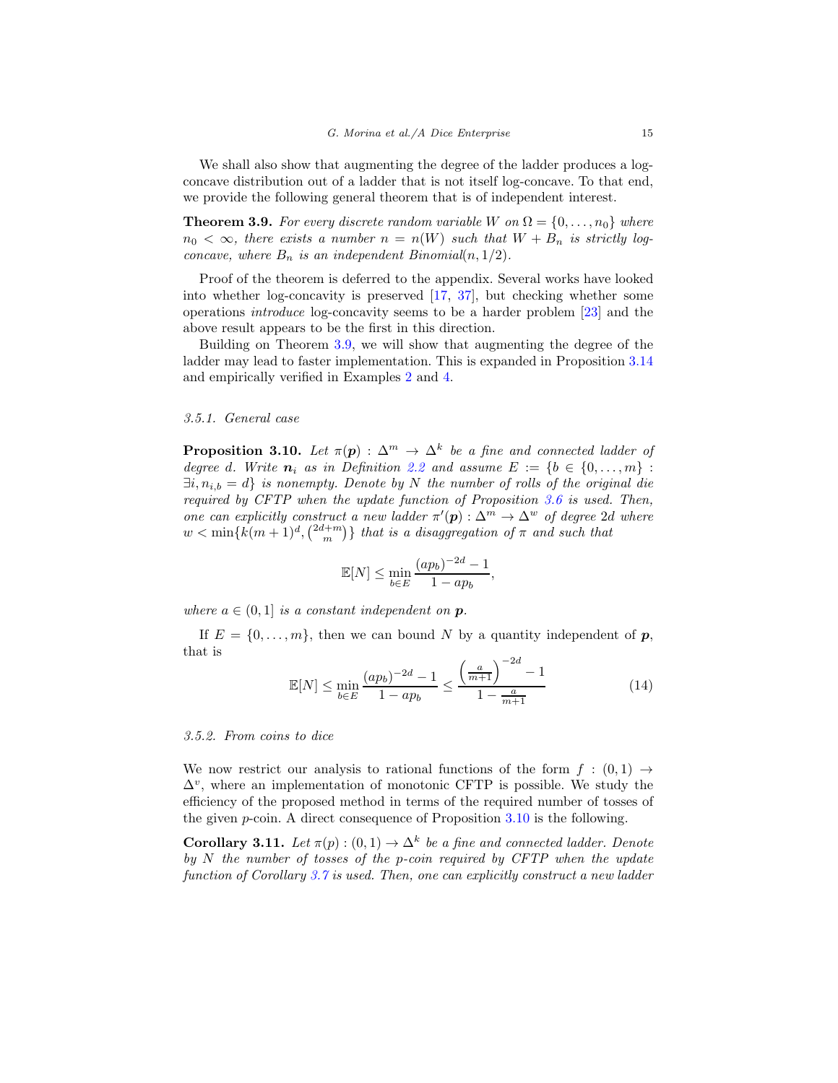We shall also show that augmenting the degree of the ladder produces a logconcave distribution out of a ladder that is not itself log-concave. To that end, we provide the following general theorem that is of independent interest.

<span id="page-14-0"></span>**Theorem 3.9.** For every discrete random variable W on  $\Omega = \{0, \ldots, n_0\}$  where  $n_0 < \infty$ , there exists a number  $n = n(W)$  such that  $W + B_n$  is strictly logconcave, where  $B_n$  is an independent Binomial $(n, 1/2)$ .

Proof of the theorem is deferred to the appendix. Several works have looked into whether log-concavity is preserved [\[17](#page-38-15), [37\]](#page-39-12), but checking whether some operations introduce log-concavity seems to be a harder problem [\[23\]](#page-38-16) and the above result appears to be the first in this direction.

Building on Theorem [3.9,](#page-14-0) we will show that augmenting the degree of the ladder may lead to faster implementation. This is expanded in Proposition [3.14](#page-15-0) and empirically verified in Examples [2](#page-16-1) and [4.](#page-19-0)

#### 3.5.1. General case

<span id="page-14-1"></span>**Proposition 3.10.** Let  $\pi(\mathbf{p})$ :  $\Delta^m \to \Delta^k$  be a fine and connected ladder of degree d. Write  $n_i$  as in Definition [2.2](#page-4-1) and assume  $E := \{b \in \{0, ..., m\}$ :  $\exists i, n_{i,b} = d$  is nonempty. Denote by N the number of rolls of the original die required by CFTP when the update function of Proposition [3.6](#page-12-0) is used. Then, one can explicitly construct a new ladder  $\pi'(\mathbf{p}) : \Delta^m \to \Delta^w$  of degree 2d where  $w < \min\{k(m+1)^d, \binom{2d+m}{m}\}\;$  that is a disaggregation of  $\pi$  and such that

$$
\mathbb{E}[N] \le \min_{b \in E} \frac{(ap_b)^{-2d} - 1}{1 - ap_b},
$$

where  $a \in (0,1]$  is a constant independent on **p**.

If  $E = \{0, \ldots, m\}$ , then we can bound N by a quantity independent of p, that is

$$
\mathbb{E}[N] \le \min_{b \in E} \frac{(ap_b)^{-2d} - 1}{1 - ap_b} \le \frac{\left(\frac{a}{m+1}\right)^{-2d} - 1}{1 - \frac{a}{m+1}} \tag{14}
$$

#### 3.5.2. From coins to dice

We now restrict our analysis to rational functions of the form  $f : (0,1) \rightarrow$  $\Delta^v$ , where an implementation of monotonic CFTP is possible. We study the efficiency of the proposed method in terms of the required number of tosses of the given  $p$ -coin. A direct consequence of Proposition  $3.10$  is the following.

<span id="page-14-2"></span>**Corollary 3.11.** Let  $\pi(p) : (0,1) \to \Delta^k$  be a fine and connected ladder. Denote by  $N$  the number of tosses of the p-coin required by CFTP when the update function of Corollary [3.7](#page-13-0) is used. Then, one can explicitly construct a new ladder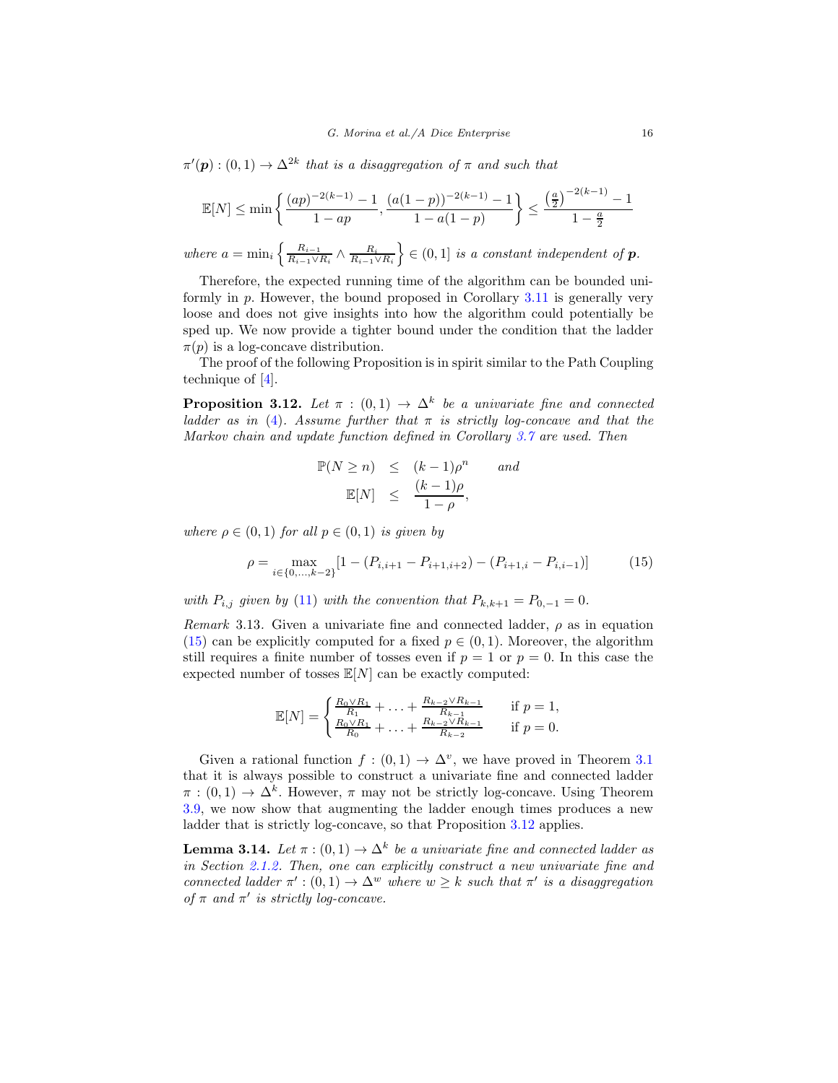$\pi'(\mathbf{p}) : (0,1) \to \Delta^{2k}$  that is a disaggregation of  $\pi$  and such that

$$
\mathbb{E}[N] \le \min\left\{\frac{(ap)^{-2(k-1)} - 1}{1 - ap}, \frac{(a(1-p))^{-2(k-1)} - 1}{1 - a(1-p)}\right\} \le \frac{\left(\frac{a}{2}\right)^{-2(k-1)} - 1}{1 - \frac{a}{2}}
$$

where  $a = \min_i \left\{ \frac{R_{i-1}}{R_{i-1} \vee R_i} \right\}$  $\frac{R_{i-1}}{R_{i-1}\vee R_i} \wedge \frac{R_i}{R_{i-1}\vee R_i}$  $\Big\} \in (0,1]$  is a constant independent of  $p$ .

Therefore, the expected running time of the algorithm can be bounded uniformly in  $p$ . However, the bound proposed in Corollary [3.11](#page-14-2) is generally very loose and does not give insights into how the algorithm could potentially be sped up. We now provide a tighter bound under the condition that the ladder  $\pi(p)$  is a log-concave distribution.

The proof of the following Proposition is in spirit similar to the Path Coupling technique of [\[4\]](#page-37-6).

<span id="page-15-2"></span>**Proposition 3.12.** Let  $\pi$  :  $(0,1) \rightarrow \Delta^k$  be a univariate fine and connected ladder as in [\(4\)](#page-7-1). Assume further that  $\pi$  is strictly log-concave and that the Markov chain and update function defined in Corollary [3.7](#page-13-0) are used. Then

$$
\mathbb{P}(N \ge n) \le (k-1)\rho^n \quad and
$$
  

$$
\mathbb{E}[N] \le \frac{(k-1)\rho}{1-\rho},
$$

where  $\rho \in (0,1)$  for all  $p \in (0,1)$  is given by

<span id="page-15-1"></span>
$$
\rho = \max_{i \in \{0, \dots, k-2\}} \left[ 1 - (P_{i,i+1} - P_{i+1,i+2}) - (P_{i+1,i} - P_{i,i-1}) \right] \tag{15}
$$

with  $P_{i,j}$  given by [\(11\)](#page-13-2) with the convention that  $P_{k,k+1} = P_{0,-1} = 0$ .

Remark 3.13. Given a univariate fine and connected ladder,  $\rho$  as in equation [\(15\)](#page-15-1) can be explicitly computed for a fixed  $p \in (0,1)$ . Moreover, the algorithm still requires a finite number of tosses even if  $p = 1$  or  $p = 0$ . In this case the expected number of tosses  $\mathbb{E}[N]$  can be exactly computed:

$$
\mathbb{E}[N] = \begin{cases} \frac{R_0 \vee R_1}{R_1} + \ldots + \frac{R_{k-2} \vee R_{k-1}}{R_{k-1}} & \text{if } p = 1, \\ \frac{R_0 \vee R_1}{R_0} + \ldots + \frac{R_{k-2} \vee R_{k-1}}{R_{k-2}} & \text{if } p = 0. \end{cases}
$$

Given a rational function  $f : (0,1) \to \Delta^v$ , we have proved in Theorem [3.1](#page-8-0) that it is always possible to construct a univariate fine and connected ladder  $\pi : (0,1) \to \Delta^k$ . However,  $\pi$  may not be strictly log-concave. Using Theorem [3.9,](#page-14-0) we now show that augmenting the ladder enough times produces a new ladder that is strictly log-concave, so that Proposition [3.12](#page-15-2) applies.

<span id="page-15-0"></span>**Lemma 3.14.** Let  $\pi$  :  $(0,1) \rightarrow \Delta^k$  be a univariate fine and connected ladder as in Section [2.1.2.](#page-7-2) Then, one can explicitly construct a new univariate fine and connected ladder  $\pi': (0,1) \to \Delta^w$  where  $w \geq k$  such that  $\pi'$  is a disaggregation of  $\pi$  and  $\pi'$  is strictly log-concave.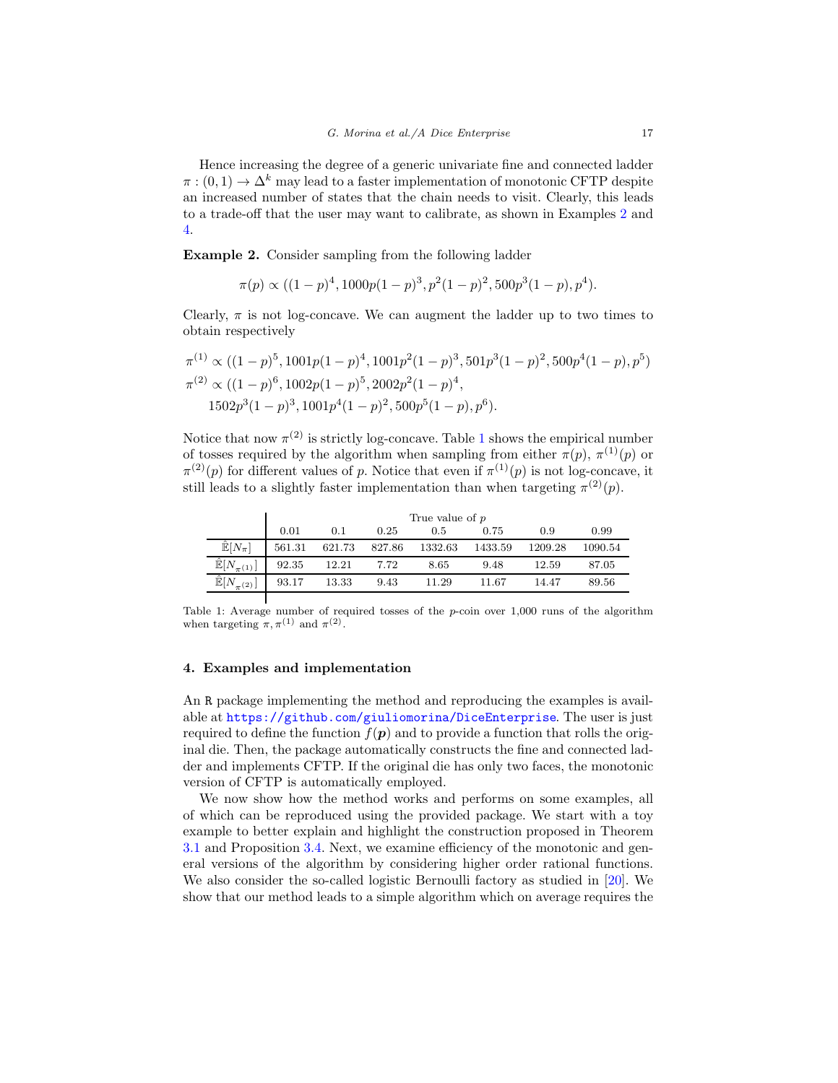Hence increasing the degree of a generic univariate fine and connected ladder  $\pi : (0,1) \to \Delta^k$  may lead to a faster implementation of monotonic CFTP despite an increased number of states that the chain needs to visit. Clearly, this leads to a trade-off that the user may want to calibrate, as shown in Examples [2](#page-16-1) and [4.](#page-19-0)

<span id="page-16-1"></span>Example 2. Consider sampling from the following ladder

 $\pi(p) \propto ((1-p)^4, 1000p(1-p)^3, p^2(1-p)^2, 500p^3(1-p), p^4).$ 

Clearly,  $\pi$  is not log-concave. We can augment the ladder up to two times to obtain respectively

$$
\pi^{(1)} \propto ((1-p)^5, 1001p(1-p)^4, 1001p^2(1-p)^3, 501p^3(1-p)^2, 500p^4(1-p), p^5)
$$
  
\n
$$
\pi^{(2)} \propto ((1-p)^6, 1002p(1-p)^5, 2002p^2(1-p)^4,
$$
  
\n
$$
1502p^3(1-p)^3, 1001p^4(1-p)^2, 500p^5(1-p), p^6).
$$

Notice that now  $\pi^{(2)}$  is strictly log-concave. Table [1](#page-16-2) shows the empirical number of tosses required by the algorithm when sampling from either  $\pi(p)$ ,  $\pi^{(1)}(p)$  or  $\pi^{(2)}(p)$  for different values of p. Notice that even if  $\pi^{(1)}(p)$  is not log-concave, it still leads to a slightly faster implementation than when targeting  $\pi^{(2)}(p)$ .

<span id="page-16-2"></span>

|                              | True value of $p$ |        |        |         |         |         |         |
|------------------------------|-------------------|--------|--------|---------|---------|---------|---------|
|                              | 0.01              | 0.1    | 0.25   | 0.5     | 0.75    | 0.9     | 0.99    |
| $\mathbb{\hat{E}}[N_{\pi}]$  | 561.31            | 621.73 | 827.86 | 1332.63 | 1433.59 | 1209.28 | 1090.54 |
| $\mathbb{E}[N_{\pi}]$        | 92.35             | 12.21  | 7.72   | 8.65    | 9.48    | 12.59   | 87.05   |
| $\mathbb{\hat{E}}[N]$<br>(2) | 93.17             | 13.33  | 9.43   | 11.29   | 11.67   | 14.47   | 89.56   |

Table 1: Average number of required tosses of the p-coin over 1,000 runs of the algorithm when targeting  $\pi, \pi^{(1)}$  and  $\pi^{(2)}$ .

## <span id="page-16-0"></span>4. Examples and implementation

An R package implementing the method and reproducing the examples is available at <https://github.com/giuliomorina/DiceEnterprise>. The user is just required to define the function  $f(\mathbf{p})$  and to provide a function that rolls the original die. Then, the package automatically constructs the fine and connected ladder and implements CFTP. If the original die has only two faces, the monotonic version of CFTP is automatically employed.

We now show how the method works and performs on some examples, all of which can be reproduced using the provided package. We start with a toy example to better explain and highlight the construction proposed in Theorem [3.1](#page-8-0) and Proposition [3.4.](#page-10-1) Next, we examine efficiency of the monotonic and general versions of the algorithm by considering higher order rational functions. We also consider the so-called logistic Bernoulli factory as studied in [\[20](#page-38-4)]. We show that our method leads to a simple algorithm which on average requires the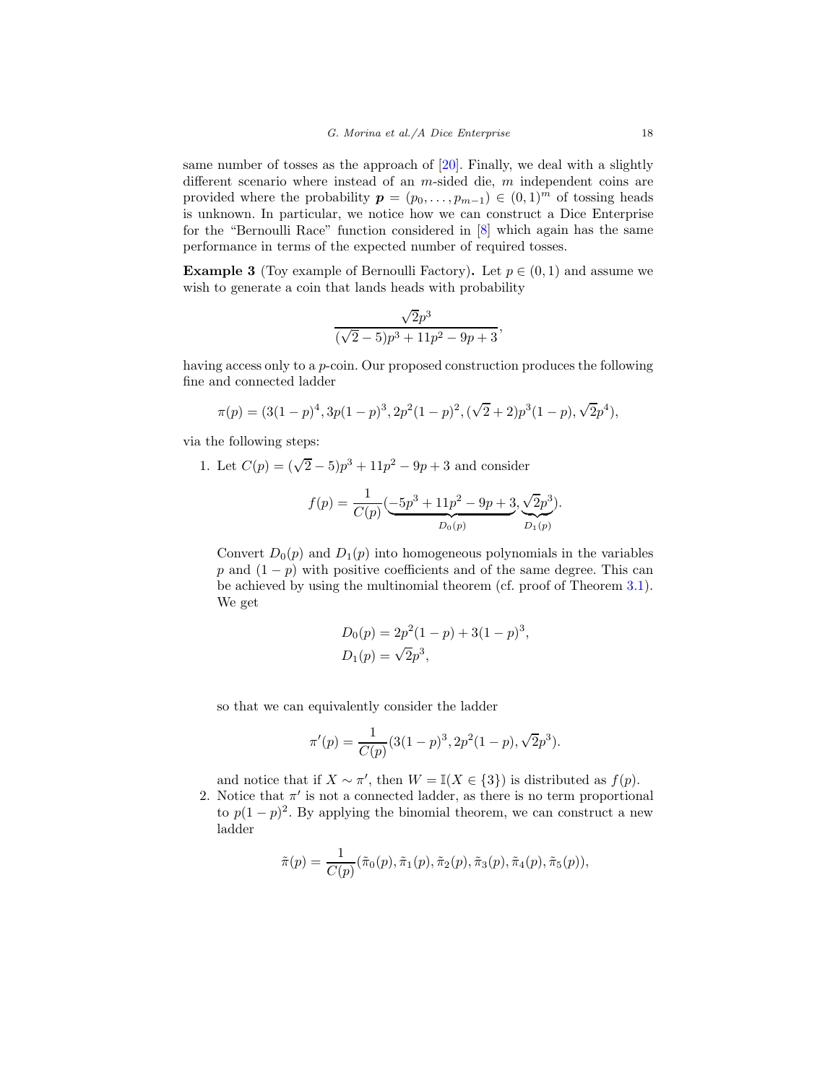same number of tosses as the approach of [\[20](#page-38-4)]. Finally, we deal with a slightly different scenario where instead of an *m*-sided die, *m* independent coins are provided where the probability  $p = (p_0, \ldots, p_{m-1}) \in (0,1)^m$  of tossing heads is unknown. In particular, we notice how we can construct a Dice Enterprise for the "Bernoulli Race" function considered in [\[8](#page-37-2)] which again has the same performance in terms of the expected number of required tosses.

<span id="page-17-0"></span>**Example 3** (Toy example of Bernoulli Factory). Let  $p \in (0,1)$  and assume we wish to generate a coin that lands heads with probability

$$
\frac{\sqrt{2}p^3}{(\sqrt{2}-5)p^3+11p^2-9p+3},
$$

having access only to a p-coin. Our proposed construction produces the following fine and connected ladder

$$
\pi(p) = (3(1-p)^4, 3p(1-p)^3, 2p^2(1-p)^2, (\sqrt{2}+2)p^3(1-p), \sqrt{2}p^4),
$$

via the following steps:

1. Let  $C(p) = (\sqrt{2} - 5)p^3 + 11p^2 - 9p + 3$  and consider

$$
f(p) = \frac{1}{C(p)} \left( \underbrace{-5p^3 + 11p^2 - 9p + 3}_{D_0(p)} \underbrace{\sqrt{2}p^3}_{D_1(p)} \right).
$$

Convert  $D_0(p)$  and  $D_1(p)$  into homogeneous polynomials in the variables p and  $(1 - p)$  with positive coefficients and of the same degree. This can be achieved by using the multinomial theorem (cf. proof of Theorem [3.1\)](#page-8-0). We get

$$
D_0(p) = 2p^2(1-p) + 3(1-p)^3,
$$
  
\n
$$
D_1(p) = \sqrt{2}p^3,
$$

so that we can equivalently consider the ladder

$$
\pi'(p) = \frac{1}{C(p)} (3(1-p)^3, 2p^2(1-p), \sqrt{2}p^3).
$$

and notice that if  $X \sim \pi'$ , then  $W = \mathbb{I}(X \in \{3\})$  is distributed as  $f(p)$ .

2. Notice that  $\pi'$  is not a connected ladder, as there is no term proportional to  $p(1-p)^2$ . By applying the binomial theorem, we can construct a new ladder

$$
\tilde{\pi}(p) = \frac{1}{C(p)}(\tilde{\pi}_0(p), \tilde{\pi}_1(p), \tilde{\pi}_2(p), \tilde{\pi}_3(p), \tilde{\pi}_4(p), \tilde{\pi}_5(p)),
$$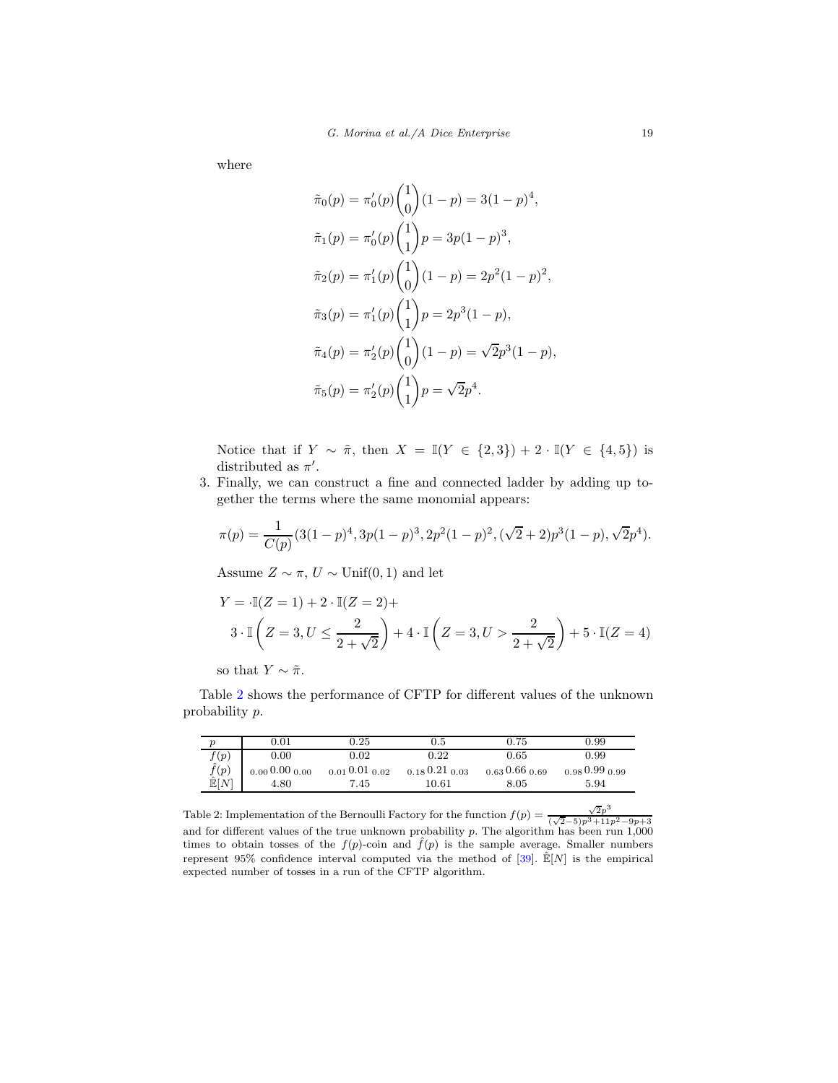where

$$
\tilde{\pi}_0(p) = \pi'_0(p) \binom{1}{0} (1-p) = 3(1-p)^4,
$$
  
\n
$$
\tilde{\pi}_1(p) = \pi'_0(p) \binom{1}{1} p = 3p(1-p)^3,
$$
  
\n
$$
\tilde{\pi}_2(p) = \pi'_1(p) \binom{1}{0} (1-p) = 2p^2(1-p)^2,
$$
  
\n
$$
\tilde{\pi}_3(p) = \pi'_1(p) \binom{1}{1} p = 2p^3(1-p),
$$
  
\n
$$
\tilde{\pi}_4(p) = \pi'_2(p) \binom{1}{0} (1-p) = \sqrt{2}p^3(1-p),
$$
  
\n
$$
\tilde{\pi}_5(p) = \pi'_2(p) \binom{1}{1} p = \sqrt{2}p^4.
$$

Notice that if  $Y \sim \tilde{\pi}$ , then  $X = \mathbb{I}(Y \in \{2,3\}) + 2 \cdot \mathbb{I}(Y \in \{4,5\})$  is distributed as  $\pi'$ .

3. Finally, we can construct a fine and connected ladder by adding up together the terms where the same monomial appears:

$$
\pi(p) = \frac{1}{C(p)} (3(1-p)^4, 3p(1-p)^3, 2p^2(1-p)^2, (\sqrt{2}+2)p^3(1-p), \sqrt{2}p^4).
$$

Assume  $Z \sim \pi$ ,  $U \sim \text{Unif}(0, 1)$  and let

$$
Y = \mathbb{I}(Z = 1) + 2 \cdot \mathbb{I}(Z = 2) +
$$
  

$$
3 \cdot \mathbb{I}\left(Z = 3, U \le \frac{2}{2 + \sqrt{2}}\right) + 4 \cdot \mathbb{I}\left(Z = 3, U > \frac{2}{2 + \sqrt{2}}\right) + 5 \cdot \mathbb{I}(Z = 4)
$$

so that  $Y \sim \tilde{\pi}$ .

Table [2](#page-18-0) shows the performance of CFTP for different values of the unknown probability p.

<span id="page-18-0"></span>

|                                                               | $\rm 0.01$               | $0.25\,$                 | $0.5\,$            | 0.75               | 0.99               |
|---------------------------------------------------------------|--------------------------|--------------------------|--------------------|--------------------|--------------------|
|                                                               | 0.00                     | $_{0.02}$                | $0.22\,$           | $0.65\,$           | 0.99               |
| $\begin{array}{c} f(p) \ \hat{f}(p) \ \hat{f}(p) \end{array}$ | $_{0.00}$ 0.00 $_{0.00}$ | $_{0.01}$ 0.01 $_{0.02}$ | $0.18\,0.21\,0.03$ | $0.63\,0.66\,0.69$ | $0.98\,0.99\,0.99$ |
| E[N]                                                          | 4.80                     | 7.45                     | 10.61              | $8.05\,$           | 5.94               |

Table 2: Implementation of the Bernoulli Factory for the function  $f(p) = \frac{\sqrt{2}p^3}{\sqrt{2} \sqrt{2} + \sqrt{2} \sqrt{2}}$ Table 2: Implementation of the Bernoulli Factory for the function  $f(p) = \frac{1}{(\sqrt{2}-5)p^3+11p^2-9p+3}$  and for different values of the true unknown probability p. The algorithm has been run 1,000 times to obtain tosses of the  $f(p)$ -coin and  $\hat{f}(p)$  is the sample average. Smaller numbers represent 95% confidence interval computed via the method of  $[39]$  $[39]$ .  $\mathbb{E}[N]$  is the empirical expected number of tosses in a run of the CFTP algorithm.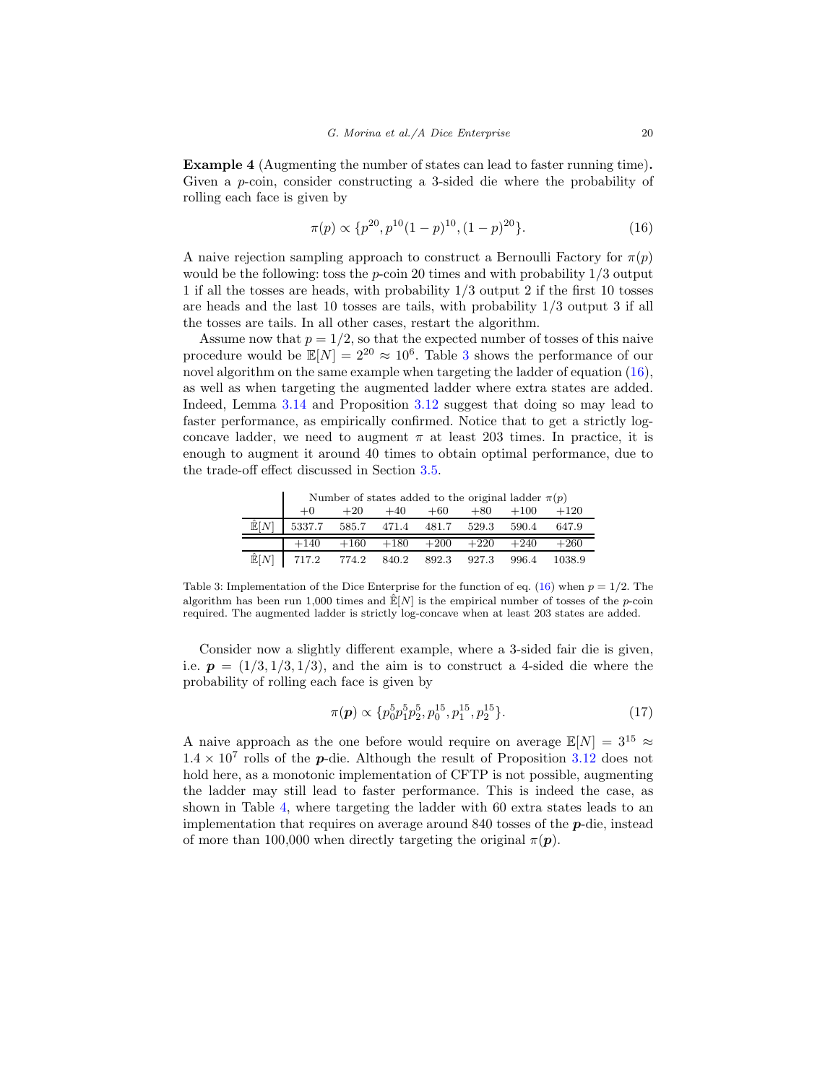<span id="page-19-0"></span>Example 4 (Augmenting the number of states can lead to faster running time). Given a p-coin, consider constructing a 3-sided die where the probability of rolling each face is given by

<span id="page-19-2"></span>
$$
\pi(p) \propto \{p^{20}, p^{10}(1-p)^{10}, (1-p)^{20}\}.
$$
 (16)

A naive rejection sampling approach to construct a Bernoulli Factory for  $\pi(p)$ would be the following: toss the p-coin 20 times and with probability  $1/3$  output 1 if all the tosses are heads, with probability 1/3 output 2 if the first 10 tosses are heads and the last 10 tosses are tails, with probability 1/3 output 3 if all the tosses are tails. In all other cases, restart the algorithm.

Assume now that  $p = 1/2$ , so that the expected number of tosses of this naive procedure would be  $\mathbb{E}[N] = 2^{20} \approx 10^6$ . Table [3](#page-19-1) shows the performance of our novel algorithm on the same example when targeting the ladder of equation  $(16)$ , as well as when targeting the augmented ladder where extra states are added. Indeed, Lemma [3.14](#page-15-0) and Proposition [3.12](#page-15-2) suggest that doing so may lead to faster performance, as empirically confirmed. Notice that to get a strictly logconcave ladder, we need to augment  $\pi$  at least 203 times. In practice, it is enough to augment it around 40 times to obtain optimal performance, due to the trade-off effect discussed in Section [3.5.](#page-13-3)

<span id="page-19-1"></span>Number of states added to the original ladder  $\pi(p)$ <br>0  $+20 +40 +60 +80 +100 +120$ +0 +20 +40 +60 +80 +100 +120  $\mathbb{E}[N]$  5337.7 585.7 471.4 481.7 529.3 590.4 647.9 +140 +160 +180 +200 +220 +240 +260

Table 3: Implementation of the Dice Enterprise for the function of eq. [\(16\)](#page-19-2) when  $p = 1/2$ . The algorithm has been run 1,000 times and  $\mathbb{E}[N]$  is the empirical number of tosses of the *p*-coin required. The augmented ladder is strictly log-concave when at least 203 states are added.

 $\hat{\mathbb{E}}[N]$  717.2 774.2 840.2 892.3 927.3 996.4 1038.9

Consider now a slightly different example, where a 3-sided fair die is given, i.e.  $p = (1/3, 1/3, 1/3)$ , and the aim is to construct a 4-sided die where the probability of rolling each face is given by

<span id="page-19-3"></span>
$$
\pi(\mathbf{p}) \propto \{p_0^5 p_1^5 p_2^5, p_0^{15}, p_1^{15}, p_2^{15}\}.\tag{17}
$$

A naive approach as the one before would require on average  $\mathbb{E}[N] = 3^{15} \approx$  $1.4 \times 10^7$  rolls of the **p**-die. Although the result of Proposition [3.12](#page-15-2) does not hold here, as a monotonic implementation of CFTP is not possible, augmenting the ladder may still lead to faster performance. This is indeed the case, as shown in Table [4,](#page-20-0) where targeting the ladder with 60 extra states leads to an implementation that requires on average around 840 tosses of the p-die, instead of more than 100,000 when directly targeting the original  $\pi(\mathbf{p})$ .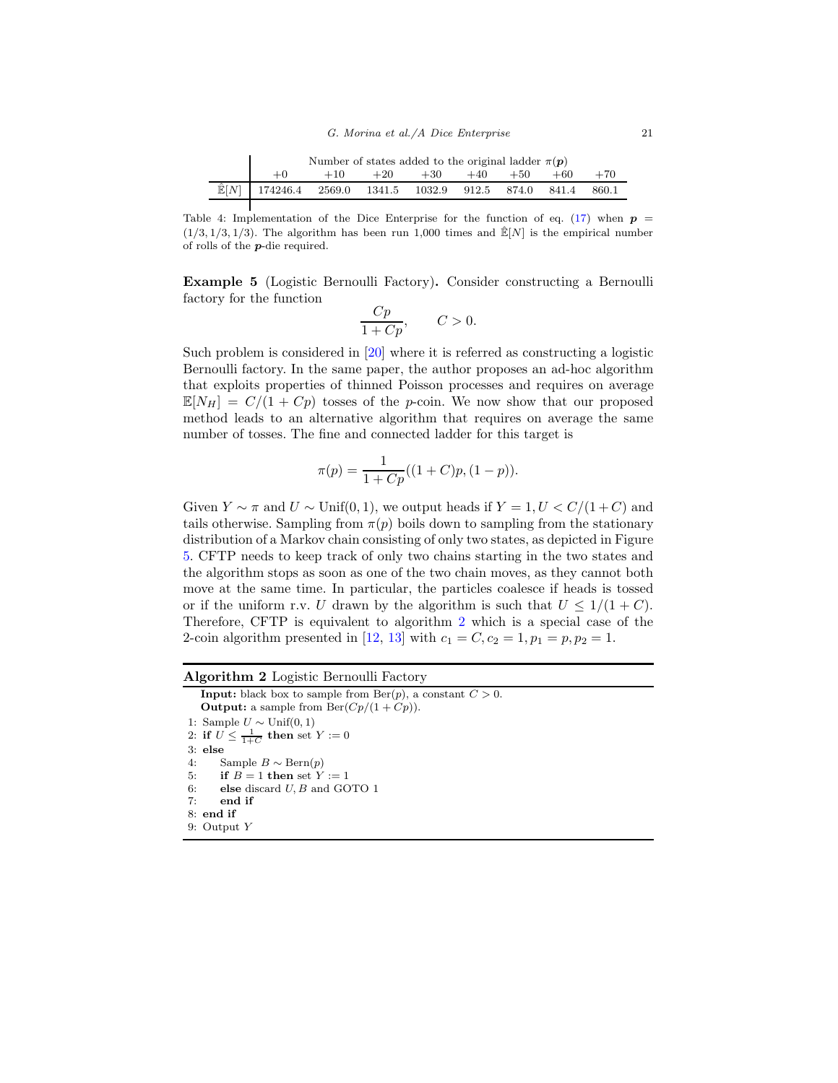<span id="page-20-0"></span>

|                                                                       | Number of states added to the original ladder $\pi(\mathbf{p})$ |       |       |       |       |       |       |
|-----------------------------------------------------------------------|-----------------------------------------------------------------|-------|-------|-------|-------|-------|-------|
|                                                                       | $+10^{-}$                                                       | $+20$ | $+30$ | $+40$ | $+50$ | $+60$ | $+70$ |
| $\hat{\mathbb{E}}[N]$ 174246.4 2569.0 1341.5 1032.9 912.5 874.0 841.4 |                                                                 |       |       |       |       |       | 860.1 |

Table 4: Implementation of the Dice Enterprise for the function of eq. [\(17\)](#page-19-3) when  $p =$  $(1/3, 1/3, 1/3)$ . The algorithm has been run 1,000 times and  $\mathbb{E}[N]$  is the empirical number of rolls of the p-die required.

Example 5 (Logistic Bernoulli Factory). Consider constructing a Bernoulli factory for the function

$$
\frac{Cp}{1+Cp}, \qquad C>0.
$$

Such problem is considered in [\[20\]](#page-38-4) where it is referred as constructing a logistic Bernoulli factory. In the same paper, the author proposes an ad-hoc algorithm that exploits properties of thinned Poisson processes and requires on average  $\mathbb{E}[N_H] = C/(1+C_p)$  tosses of the p-coin. We now show that our proposed method leads to an alternative algorithm that requires on average the same number of tosses. The fine and connected ladder for this target is

$$
\pi(p) = \frac{1}{1 + Cp}((1 + C)p, (1 - p)).
$$

Given  $Y \sim \pi$  and  $U \sim \text{Unif}(0, 1)$ , we output heads if  $Y = 1, U < C/(1+C)$  and tails otherwise. Sampling from  $\pi(p)$  boils down to sampling from the stationary distribution of a Markov chain consisting of only two states, as depicted in Figure [5.](#page-21-1) CFTP needs to keep track of only two chains starting in the two states and the algorithm stops as soon as one of the two chain moves, as they cannot both move at the same time. In particular, the particles coalesce if heads is tossed or if the uniform r.v. U drawn by the algorithm is such that  $U \leq 1/(1+C)$ . Therefore, CFTP is equivalent to algorithm [2](#page-20-1) which is a special case of the 2-coin algorithm presented in [\[12,](#page-38-10) [13\]](#page-38-11) with  $c_1 = C, c_2 = 1, p_1 = p, p_2 = 1$ .

<span id="page-20-1"></span>

| Algorithm 2 Logistic Bernoulli Factory                                                                                                                                            |
|-----------------------------------------------------------------------------------------------------------------------------------------------------------------------------------|
| <b>Input:</b> black box to sample from $\text{Ber}(p)$ , a constant $C > 0$ .<br><b>Output:</b> a sample from $\text{Ber}(Cp/(1 + Cp)).$                                          |
| 1: Sample $U \sim \text{Unif}(0, 1)$<br>2: if $U \n\t\leq \frac{1}{1+C}$ then set $Y := 0$<br>$3:$ else<br>4:<br>Sample $B \sim \text{Bern}(p)$<br>if $B=1$ then set $Y:=1$<br>5: |
| 6:<br>else discard $U, B$ and GOTO 1<br>end if<br>7:<br>$8:$ end if<br>9: Output $Y$                                                                                              |
|                                                                                                                                                                                   |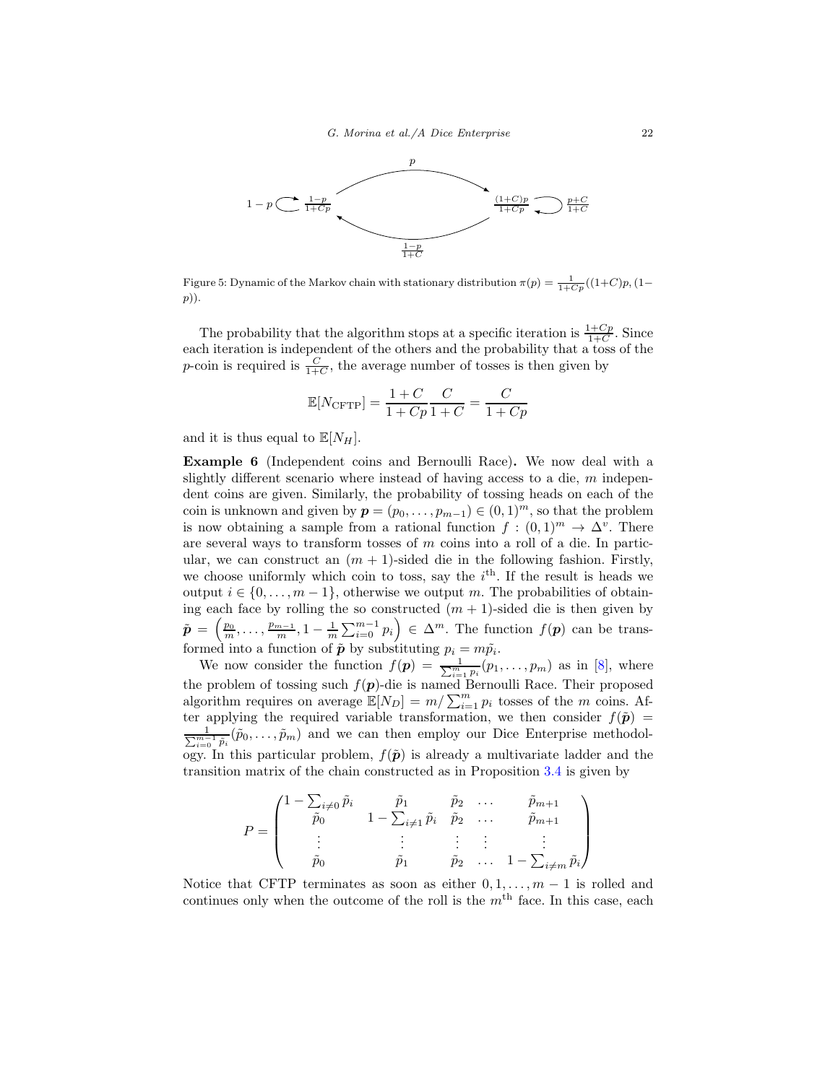<span id="page-21-1"></span>

Figure 5: Dynamic of the Markov chain with stationary distribution  $\pi(p) = \frac{1}{1+Cp}((1+C)p, (1-C)p)$ p)).

The probability that the algorithm stops at a specific iteration is  $\frac{1+Cp}{1+C}$ . Since each iteration is independent of the others and the probability that a toss of the *p*-coin is required is  $\frac{C}{1+C}$ , the average number of tosses is then given by

$$
\mathbb{E}[N_{\text{CFTP}}] = \frac{1+C}{1+Cp} \frac{C}{1+C} = \frac{C}{1+Cp}
$$

and it is thus equal to  $\mathbb{E}[N_H]$ .

<span id="page-21-0"></span>Example 6 (Independent coins and Bernoulli Race). We now deal with a slightly different scenario where instead of having access to a die, m independent coins are given. Similarly, the probability of tossing heads on each of the coin is unknown and given by  $p = (p_0, \ldots, p_{m-1}) \in (0, 1)^m$ , so that the problem is now obtaining a sample from a rational function  $f : (0,1)^m \to \Delta^v$ . There are several ways to transform tosses of  $m$  coins into a roll of a die. In particular, we can construct an  $(m + 1)$ -sided die in the following fashion. Firstly, we choose uniformly which coin to toss, say the  $i<sup>th</sup>$ . If the result is heads we output  $i \in \{0, \ldots, m-1\}$ , otherwise we output m. The probabilities of obtaining each face by rolling the so constructed  $(m + 1)$ -sided die is then given by  $\tilde{\boldsymbol{p}} = \left(\frac{p_0}{m}, \ldots, \frac{p_{m-1}}{m}, 1 - \frac{1}{m} \sum_{i=0}^{m-1} p_i\right) \in \Delta^m$ . The function  $f(\boldsymbol{p})$  can be transformed into a function of  $\tilde{p}$  by substituting  $p_i = m\tilde{p}_i$ .

We now consider the function  $f(\mathbf{p}) = \frac{1}{\sum_{i=1}^{m} p_i}(p_1, \ldots, p_m)$  as in [\[8](#page-37-2)], where the problem of tossing such  $f(p)$ -die is named Bernoulli Race. Their proposed algorithm requires on average  $\mathbb{E}[N_D] = m / \sum_{i=1}^m p_i$  tosses of the m coins. After applying the required variable transformation, we then consider  $f(\tilde{\boldsymbol{p}})$  =  $\Sigma$  $\frac{1}{\tilde{m}-1} \tilde{p}_i(\tilde{p}_0,\ldots,\tilde{p}_m)$  and we can then employ our Dice Enterprise methodology. In this particular problem,  $f(\tilde{p})$  is already a multivariate ladder and the transition matrix of the chain constructed as in Proposition [3.4](#page-10-1) is given by

$$
P = \begin{pmatrix} 1 - \sum_{i \neq 0} \tilde{p}_i & \tilde{p}_1 & \tilde{p}_2 & \dots & \tilde{p}_{m+1} \\ \tilde{p}_0 & 1 - \sum_{i \neq 1} \tilde{p}_i & \tilde{p}_2 & \dots & \tilde{p}_{m+1} \\ \vdots & \vdots & \vdots & \vdots & \vdots \\ \tilde{p}_0 & \tilde{p}_1 & \tilde{p}_2 & \dots & 1 - \sum_{i \neq m} \tilde{p}_i \end{pmatrix}
$$

Notice that CFTP terminates as soon as either  $0, 1, \ldots, m-1$  is rolled and continues only when the outcome of the roll is the  $m<sup>th</sup>$  face. In this case, each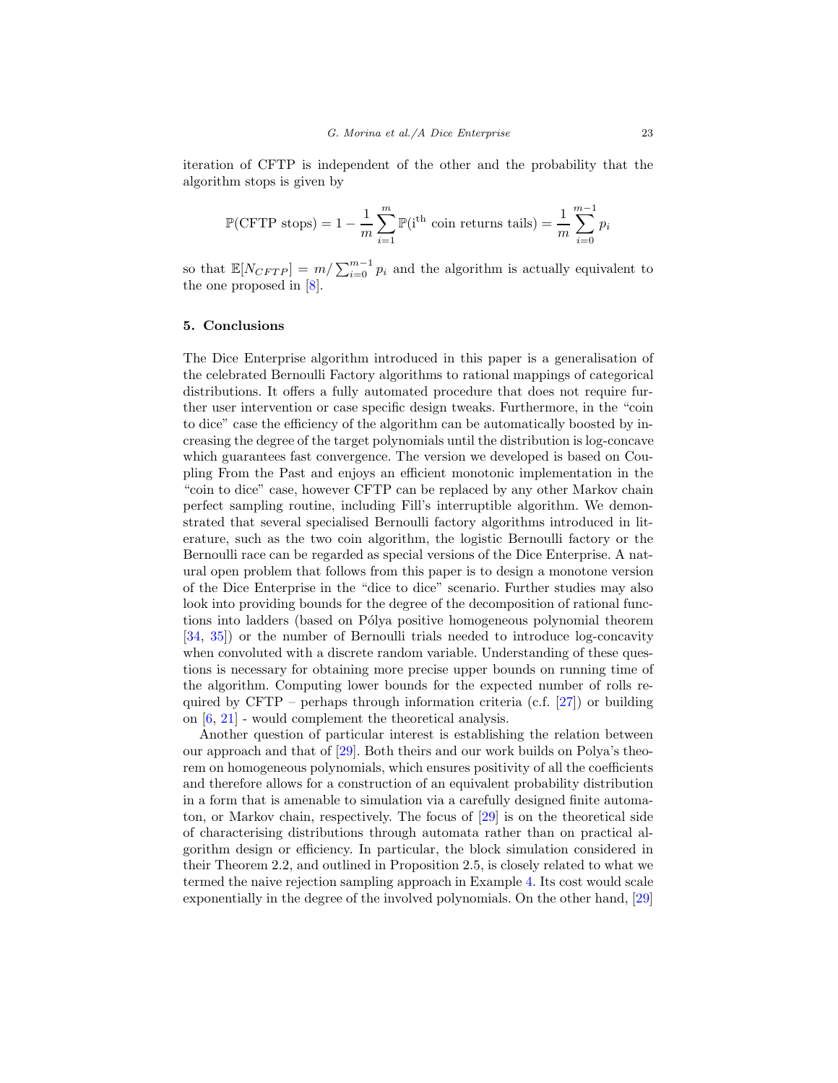iteration of CFTP is independent of the other and the probability that the algorithm stops is given by

$$
\mathbb{P}(\text{CFTP stops}) = 1 - \frac{1}{m} \sum_{i=1}^{m} \mathbb{P}(\mathbf{i}^{\text{th}} \text{ coin returns tails}) = \frac{1}{m} \sum_{i=0}^{m-1} p_i
$$

so that  $\mathbb{E}[N_{CFTP}] = m/\sum_{i=0}^{m-1} p_i$  and the algorithm is actually equivalent to the one proposed in [\[8](#page-37-2)].

## 5. Conclusions

The Dice Enterprise algorithm introduced in this paper is a generalisation of the celebrated Bernoulli Factory algorithms to rational mappings of categorical distributions. It offers a fully automated procedure that does not require further user intervention or case specific design tweaks. Furthermore, in the "coin to dice" case the efficiency of the algorithm can be automatically boosted by increasing the degree of the target polynomials until the distribution is log-concave which guarantees fast convergence. The version we developed is based on Coupling From the Past and enjoys an efficient monotonic implementation in the "coin to dice" case, however CFTP can be replaced by any other Markov chain perfect sampling routine, including Fill's interruptible algorithm. We demonstrated that several specialised Bernoulli factory algorithms introduced in literature, such as the two coin algorithm, the logistic Bernoulli factory or the Bernoulli race can be regarded as special versions of the Dice Enterprise. A natural open problem that follows from this paper is to design a monotone version of the Dice Enterprise in the "dice to dice" scenario. Further studies may also look into providing bounds for the degree of the decomposition of rational functions into ladders (based on Pólya positive homogeneous polynomial theorem [\[34,](#page-39-14) [35\]](#page-39-15)) or the number of Bernoulli trials needed to introduce log-concavity when convoluted with a discrete random variable. Understanding of these questions is necessary for obtaining more precise upper bounds on running time of the algorithm. Computing lower bounds for the expected number of rolls re-quired by CFTP – perhaps through information criteria (c.f. [\[27\]](#page-39-2)) or building on [\[6](#page-37-7), [21](#page-38-17)] - would complement the theoretical analysis.

Another question of particular interest is establishing the relation between our approach and that of [\[29\]](#page-39-3). Both theirs and our work builds on Polya's theorem on homogeneous polynomials, which ensures positivity of all the coefficients and therefore allows for a construction of an equivalent probability distribution in a form that is amenable to simulation via a carefully designed finite automaton, or Markov chain, respectively. The focus of [\[29](#page-39-3)] is on the theoretical side of characterising distributions through automata rather than on practical algorithm design or efficiency. In particular, the block simulation considered in their Theorem 2.2, and outlined in Proposition 2.5, is closely related to what we termed the naive rejection sampling approach in Example [4.](#page-19-0) Its cost would scale exponentially in the degree of the involved polynomials. On the other hand, [\[29\]](#page-39-3)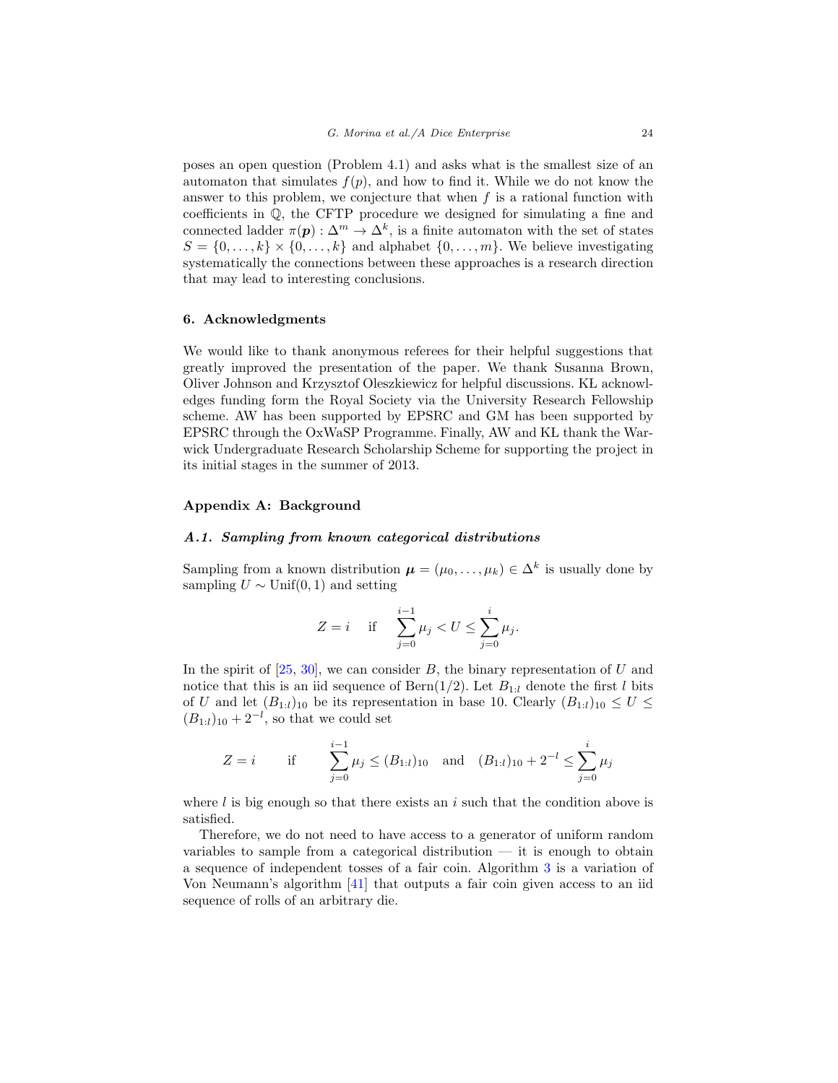poses an open question (Problem 4.1) and asks what is the smallest size of an automaton that simulates  $f(p)$ , and how to find it. While we do not know the answer to this problem, we conjecture that when  $f$  is a rational function with coefficients in Q, the CFTP procedure we designed for simulating a fine and connected ladder  $\pi(\mathbf{p}) : \Delta^m \to \Delta^k$ , is a finite automaton with the set of states  $S = \{0, \ldots, k\} \times \{0, \ldots, k\}$  and alphabet  $\{0, \ldots, m\}$ . We believe investigating systematically the connections between these approaches is a research direction that may lead to interesting conclusions.

#### 6. Acknowledgments

We would like to thank anonymous referees for their helpful suggestions that greatly improved the presentation of the paper. We thank Susanna Brown, Oliver Johnson and Krzysztof Oleszkiewicz for helpful discussions. KL acknowledges funding form the Royal Society via the University Research Fellowship scheme. AW has been supported by EPSRC and GM has been supported by EPSRC through the OxWaSP Programme. Finally, AW and KL thank the Warwick Undergraduate Research Scholarship Scheme for supporting the project in its initial stages in the summer of 2013.

## <span id="page-23-1"></span><span id="page-23-0"></span>Appendix A: Background

#### A.1. Sampling from known categorical distributions

Sampling from a known distribution  $\boldsymbol{\mu} = (\mu_0, \dots, \mu_k) \in \Delta^k$  is usually done by sampling  $U \sim$  Unif(0, 1) and setting

$$
Z = i \quad \text{ if } \quad \sum_{j=0}^{i-1} \mu_j < U \le \sum_{j=0}^{i} \mu_j.
$$

In the spirit of  $[25, 30]$  $[25, 30]$ , we can consider B, the binary representation of U and notice that this is an iid sequence of Bern(1/2). Let  $B_{1:l}$  denote the first l bits of U and let  $(B_{1:l})_{10}$  be its representation in base 10. Clearly  $(B_{1:l})_{10} \leq U \leq$  $(B_{1:l})_{10} + 2^{-l}$ , so that we could set

$$
Z = i \qquad \text{if} \qquad \sum_{j=0}^{i-1} \mu_j \le (B_{1:l})_{10} \quad \text{and} \quad (B_{1:l})_{10} + 2^{-l} \le \sum_{j=0}^{i} \mu_j
$$

where  $l$  is big enough so that there exists an  $i$  such that the condition above is satisfied.

Therefore, we do not need to have access to a generator of uniform random variables to sample from a categorical distribution  $-$  it is enough to obtain a sequence of independent tosses of a fair coin. Algorithm [3](#page-24-1) is a variation of Von Neumann's algorithm [\[41](#page-39-1)] that outputs a fair coin given access to an iid sequence of rolls of an arbitrary die.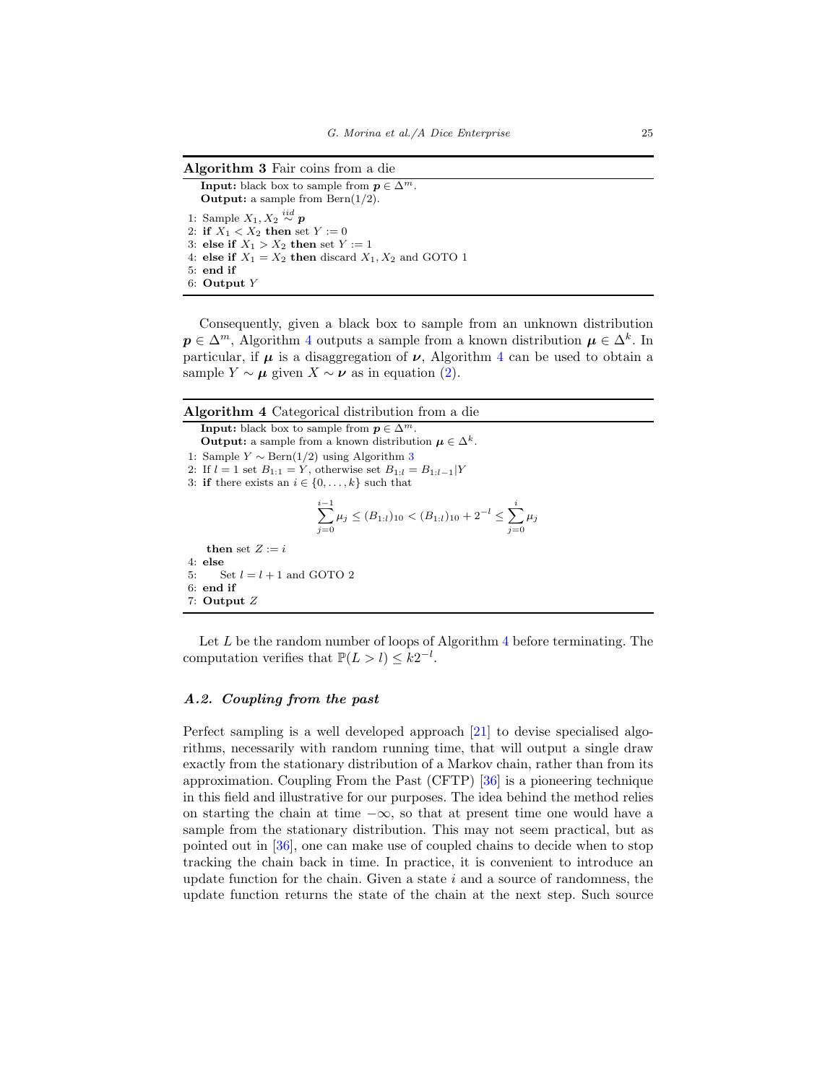<span id="page-24-1"></span>Algorithm 3 Fair coins from a die

**Input:** black box to sample from  $p \in \Delta^m$ . **Output:** a sample from  $\text{Bern}(1/2)$ . 1: Sample  $X_1, X_2 \overset{iid}{\sim} p$ 2: if  $X_1 < X_2$  then set  $Y := 0$ 3: else if  $X_1 > X_2$  then set  $Y := 1$ 4: else if  $X_1 = X_2$  then discard  $X_1, X_2$  and GOTO 1 5: end if 6: Output Y

Consequently, given a black box to sample from an unknown distribution  $p \in \Delta^m$ , Algorithm [4](#page-24-2) outputs a sample from a known distribution  $\mu \in \Delta^k$ . In particular, if  $\mu$  is a disaggregation of  $\nu$ , Algorithm [4](#page-24-2) can be used to obtain a sample  $Y \sim \mu$  given  $X \sim \nu$  as in equation [\(2\)](#page-3-1).

<span id="page-24-2"></span>

| Algorithm 4 Categorical distribution from a die |  |  |  |  |
|-------------------------------------------------|--|--|--|--|
|-------------------------------------------------|--|--|--|--|

**Input:** black box to sample from  $p \in \Delta^m$ . **Output:** a sample from a known distribution  $\mu \in \Delta^k$ . 1: Sample  $Y \sim \text{Bern}(1/2)$  using Algorithm [3](#page-24-1) 2: If  $l = 1$  set  $B_{1:1} = Y$ , otherwise set  $B_{1:1} = B_{1:1-1}|Y$ 3: if there exists an  $i \in \{0, \ldots, k\}$  such that  $\sum^{i-1}$  $\sum_{j=0}^{i-1} \mu_j \le (B_{1:t})_{10} < (B_{1:t})_{10} + 2^{-l} \le \sum_{j=0}^{i}$  $j=0$  $\mu_j$ then set  $Z := i$ 4: else 5: Set  $l = l + 1$  and GOTO 2 6: end if 7: Output Z

Let  $L$  be the random number of loops of Algorithm [4](#page-24-2) before terminating. The computation verifies that  $\mathbb{P}(L > l) \leq k2^{-l}$ .

# <span id="page-24-0"></span>A.2. Coupling from the past

Perfect sampling is a well developed approach [\[21](#page-38-17)] to devise specialised algorithms, necessarily with random running time, that will output a single draw exactly from the stationary distribution of a Markov chain, rather than from its approximation. Coupling From the Past (CFTP) [\[36](#page-39-9)] is a pioneering technique in this field and illustrative for our purposes. The idea behind the method relies on starting the chain at time  $-\infty$ , so that at present time one would have a sample from the stationary distribution. This may not seem practical, but as pointed out in [\[36\]](#page-39-9), one can make use of coupled chains to decide when to stop tracking the chain back in time. In practice, it is convenient to introduce an update function for the chain. Given a state  $i$  and a source of randomness, the update function returns the state of the chain at the next step. Such source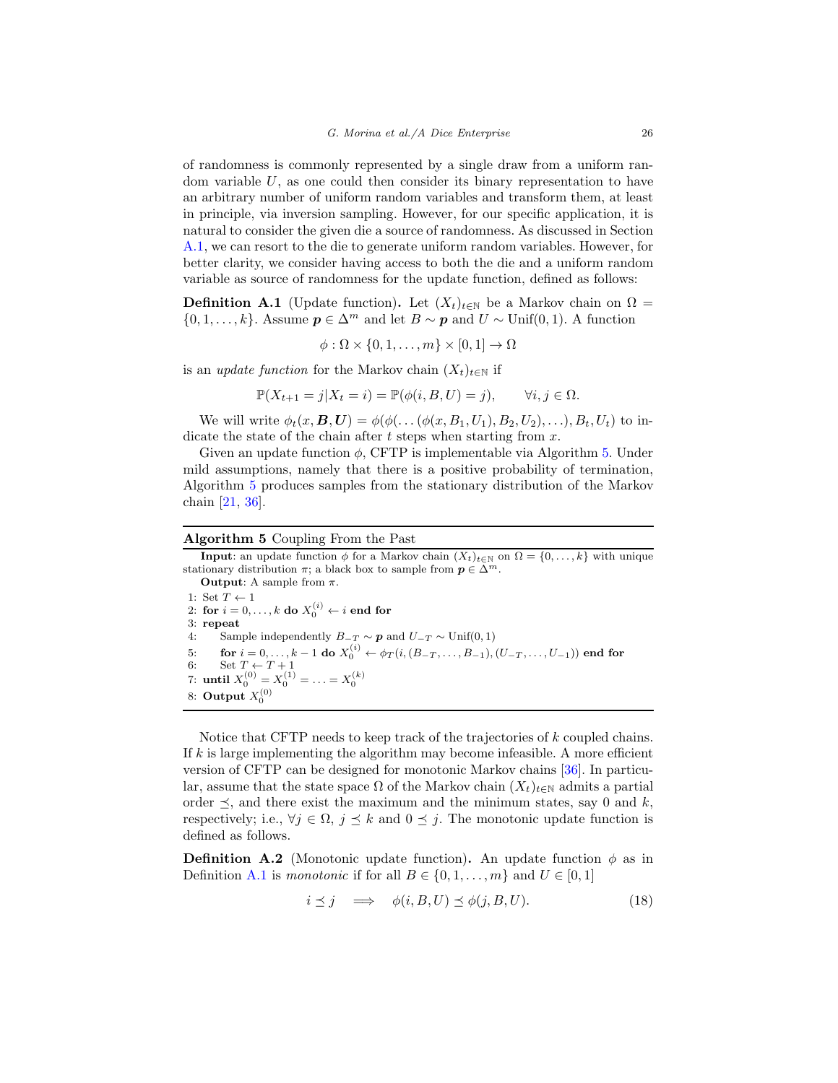of randomness is commonly represented by a single draw from a uniform random variable  $U$ , as one could then consider its binary representation to have an arbitrary number of uniform random variables and transform them, at least in principle, via inversion sampling. However, for our specific application, it is natural to consider the given die a source of randomness. As discussed in Section [A.1,](#page-23-1) we can resort to the die to generate uniform random variables. However, for better clarity, we consider having access to both the die and a uniform random variable as source of randomness for the update function, defined as follows:

<span id="page-25-1"></span>**Definition A.1** (Update function). Let  $(X_t)_{t\in\mathbb{N}}$  be a Markov chain on  $\Omega$  =  $\{0, 1, \ldots, k\}$ . Assume  $p \in \Delta^m$  and let  $B \sim p$  and  $U \sim \text{Unif}(0, 1)$ . A function

$$
\phi : \Omega \times \{0, 1, \dots, m\} \times [0, 1] \to \Omega
$$

is an update function for the Markov chain  $(X_t)_{t\in\mathbb{N}}$  if

$$
\mathbb{P}(X_{t+1}=j|X_t=i) = \mathbb{P}(\phi(i, B, U)=j), \qquad \forall i, j \in \Omega.
$$

We will write  $\phi_t(x, B, U) = \phi(\phi(\ldots(\phi(x, B_1, U_1), B_2, U_2), \ldots), B_t, U_t)$  to indicate the state of the chain after  $t$  steps when starting from  $x$ .

Given an update function  $\phi$ , CFTP is implementable via Algorithm [5.](#page-25-0) Under mild assumptions, namely that there is a positive probability of termination, Algorithm [5](#page-25-0) produces samples from the stationary distribution of the Markov chain [\[21,](#page-38-17) [36\]](#page-39-9).

#### <span id="page-25-0"></span>Algorithm 5 Coupling From the Past

**Input**: an update function  $\phi$  for a Markov chain  $(X_t)_{t\in\mathbb{N}}$  on  $\Omega = \{0, \ldots, k\}$  with unique stationary distribution  $\pi$ ; a black box to sample from  $p \in \Delta^m$ .

**Output:** A sample from  $\pi$ . 1: Set  $T \leftarrow 1$ 2: for  $i = 0, \ldots, k$  do  $X_0^{(i)} \leftarrow i$  end for 3: repeat 4: Sample independently  $B_{-T} \sim p$  and  $U_{-T} \sim$  Unif(0, 1)<br>5: for  $i = 0, ..., k - 1$  do  $X_0^{(i)} \leftarrow \phi_T(i, (B_{-T}, ..., B_{-1}),$ 5: for  $i = 0, \ldots, k - 1$  do  $X_0^{(i)} \leftarrow \phi_T(i, (B_{-T}, \ldots, B_{-1}), (U_{-T}, \ldots, U_{-1}))$  end for 6: Set  $T \leftarrow T + 1$ 7: until  $X_0^{(0)} = X_0^{(1)} = \ldots = X_0^{(k)}$ 8: Output  $X_0^{(0)}$ 

Notice that CFTP needs to keep track of the trajectories of k coupled chains. If  $k$  is large implementing the algorithm may become infeasible. A more efficient version of CFTP can be designed for monotonic Markov chains [\[36\]](#page-39-9). In particular, assume that the state space  $\Omega$  of the Markov chain  $(X_t)_{t\in\mathbb{N}}$  admits a partial order  $\preceq$ , and there exist the maximum and the minimum states, say 0 and k, respectively; i.e.,  $\forall j \in \Omega, j \leq k$  and  $0 \leq j$ . The monotonic update function is defined as follows.

**Definition A.2** (Monotonic update function). An update function  $\phi$  as in Definition [A.1](#page-25-1) is monotonic if for all  $B \in \{0, 1, \ldots, m\}$  and  $U \in [0, 1]$ 

$$
i \leq j \quad \Longrightarrow \quad \phi(i, B, U) \leq \phi(j, B, U). \tag{18}
$$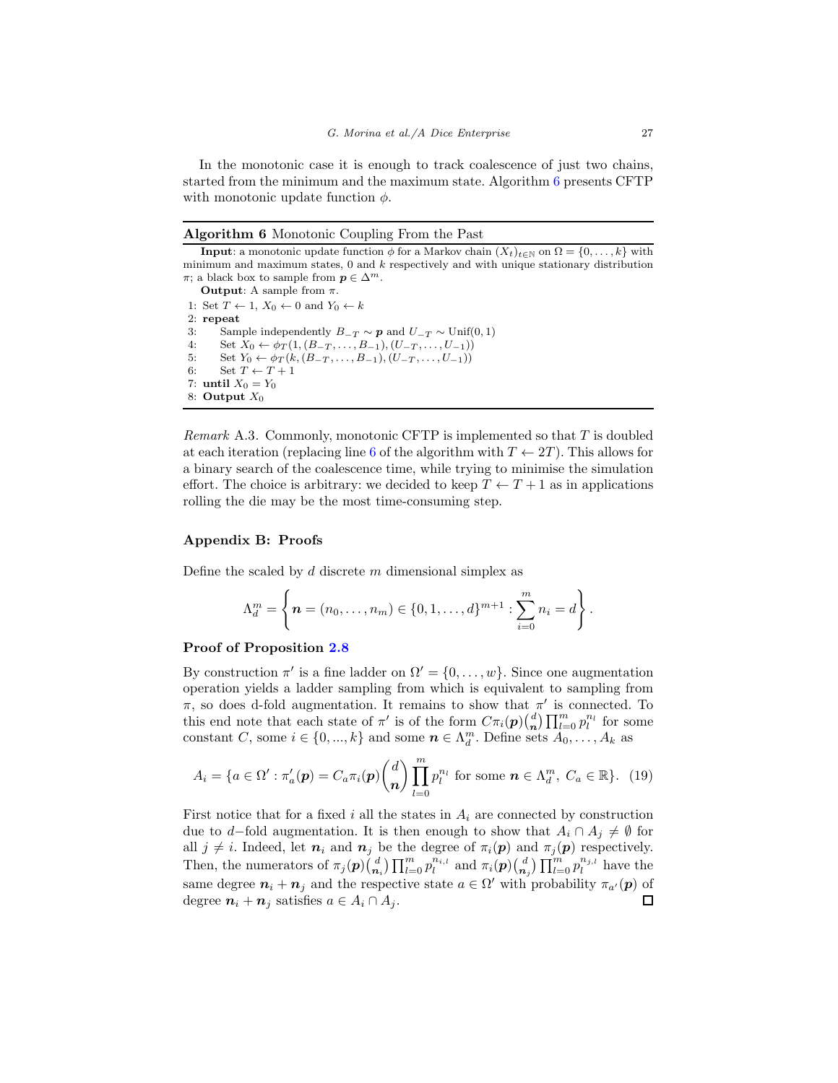In the monotonic case it is enough to track coalescence of just two chains, started from the minimum and the maximum state. Algorithm [6](#page-26-1) presents CFTP with monotonic update function  $\phi$ .

#### <span id="page-26-1"></span>Algorithm 6 Monotonic Coupling From the Past

```
Input: a monotonic update function \phi for a Markov chain (X_t)_{t\in\mathbb{N}} on \Omega = \{0, \ldots, k\} with
minimum and maximum states, 0 and k respectively and with unique stationary distribution
\pi; a black box to sample from p \in \Delta^m.
     Output: A sample from \pi.
 1: Set T \leftarrow 1, X_0 \leftarrow 0 and Y_0 \leftarrow k2: repeat
 3: Sample independently B_{-T} \sim p and U_{-T} \sim Unif(0, 1)<br>4: Set X_0 \leftarrow \phi_T(1, (B_{-T}, \ldots, B_{-1}), (U_{-T}, \ldots, U_{-1}))4: Set X_0 \leftarrow \phi_T(1, (B_{-T}, \ldots, B_{-1}), (U_{-T}, \ldots, U_{-1}))<br>5: Set Y_0 \leftarrow \phi_T(k, (B_{-T}, \ldots, B_{-1}), (U_{-T}, \ldots, U_{-1}))5: Set Y_0 \leftarrow \phi_T(k, (B_{-T}, \ldots, B_{-1}), (U_{-T}, \ldots, U_{-1}))<br>6: Set T \leftarrow T + 1Set T \leftarrow T + 17: until X_0 = Y_08: Output X_0
```
Remark A.3. Commonly, monotonic CFTP is implemented so that  $T$  is doubled at each iteration (replacing line [6](#page-26-1) of the algorithm with  $T \leftarrow 2T$ ). This allows for a binary search of the coalescence time, while trying to minimise the simulation effort. The choice is arbitrary: we decided to keep  $T \leftarrow T + 1$  as in applications rolling the die may be the most time-consuming step.

## <span id="page-26-0"></span>Appendix B: Proofs

Define the scaled by  $d$  discrete  $m$  dimensional simplex as

$$
\Lambda_d^m = \left\{ \boldsymbol{n} = (n_0, \ldots, n_m) \in \{0, 1, \ldots, d\}^{m+1} : \sum_{i=0}^m n_i = d \right\}.
$$

## Proof of Proposition [2.8](#page-6-0)

By construction  $\pi'$  is a fine ladder on  $\Omega' = \{0, \ldots, w\}$ . Since one augmentation operation yields a ladder sampling from which is equivalent to sampling from  $\pi$ , so does d-fold augmentation. It remains to show that  $\pi'$  is connected. To this end note that each state of  $\pi'$  is of the form  $C\pi_i(\boldsymbol{p})\binom{d}{n}$  $\binom{d}{n} \prod_{l=0}^{m} p_l^{n_l}$  for some constant C, some  $i \in \{0, ..., k\}$  and some  $n \in \Lambda_d^m$ . Define sets  $A_0, \ldots, A_k$  as

<span id="page-26-2"></span>
$$
A_i = \{a \in \Omega' : \pi'_a(\boldsymbol{p}) = C_a \pi_i(\boldsymbol{p}) \binom{d}{\boldsymbol{n}} \prod_{l=0}^m p_l^{n_l} \text{ for some } \boldsymbol{n} \in \Lambda_d^m, \ C_a \in \mathbb{R} \}. \tag{19}
$$

First notice that for a fixed i all the states in  $A_i$  are connected by construction due to d–fold augmentation. It is then enough to show that  $A_i \cap A_j \neq \emptyset$  for all  $j \neq i$ . Indeed, let  $n_i$  and  $n_j$  be the degree of  $\pi_i(\mathbf{p})$  and  $\pi_j(\mathbf{p})$  respectively.  $\binom{d}{n_i} \prod_{l=0}^m p_l^{n_{i,l}}$  and  $\pi_i(p) \binom{d}{n_i}$  $\binom{d}{n_j} \prod_{l=0}^{m} p_l^{n_{j,l}}$  have the Then, the numerators of  $\pi_j(\boldsymbol{p})\binom{d}{n}$ same degree  $n_i + n_j$  and the respective state  $a \in \Omega'$  with probability  $\pi_{a'}(p)$  of degree  $n_i + n_j$  satisfies  $a \in A_i \cap A_j$ .  $\Box$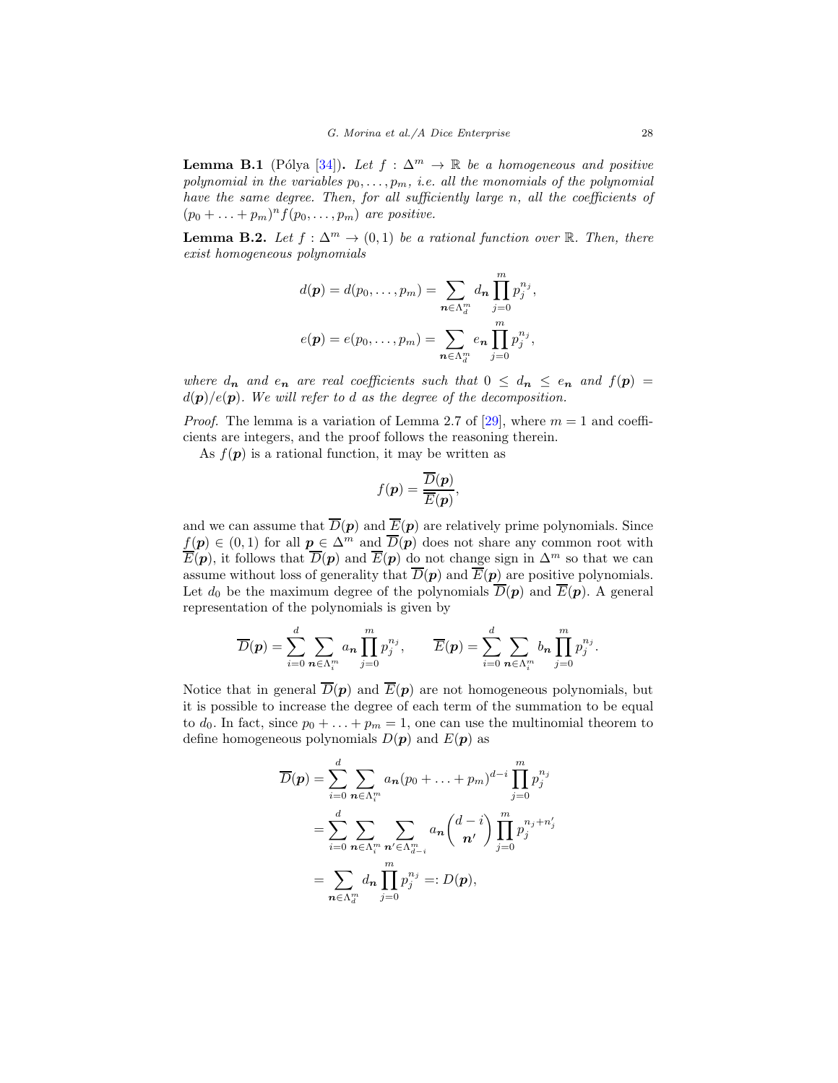<span id="page-27-1"></span>**Lemma B.1** (Pólya [\[34](#page-39-14)]). Let  $f : \Delta^m \to \mathbb{R}$  be a homogeneous and positive polynomial in the variables  $p_0, \ldots, p_m$ , i.e. all the monomials of the polynomial have the same degree. Then, for all sufficiently large n, all the coefficients of  $(p_0 + \ldots + p_m)^n f(p_0, \ldots, p_m)$  are positive.

<span id="page-27-0"></span>**Lemma B.2.** Let  $f : \Delta^m \to (0,1)$  be a rational function over R. Then, there exist homogeneous polynomials

$$
d(\mathbf{p}) = d(p_0, ..., p_m) = \sum_{\mathbf{n} \in \Lambda_d^m} d_{\mathbf{n}} \prod_{j=0}^m p_j^{n_j},
$$
  

$$
e(\mathbf{p}) = e(p_0, ..., p_m) = \sum_{\mathbf{n} \in \Lambda_d^m} e_{\mathbf{n}} \prod_{j=0}^m p_j^{n_j},
$$

where  $d_n$  and  $e_n$  are real coefficients such that  $0 \leq d_n \leq e_n$  and  $f(p) =$  $d(\mathbf{p})/e(\mathbf{p})$ . We will refer to d as the degree of the decomposition.

*Proof.* The lemma is a variation of Lemma 2.7 of [\[29\]](#page-39-3), where  $m = 1$  and coefficients are integers, and the proof follows the reasoning therein.

As  $f(\mathbf{p})$  is a rational function, it may be written as

$$
f(\mathbf{p}) = \frac{\overline{D}(\mathbf{p})}{\overline{E}(\mathbf{p})},
$$

and we can assume that  $\overline{D}(p)$  and  $\overline{E}(p)$  are relatively prime polynomials. Since  $f(\mathbf{p}) \in (0,1)$  for all  $\mathbf{p} \in \Delta^m$  and  $\overline{D}(\mathbf{p})$  does not share any common root with  $\overline{E}(\boldsymbol{p})$ , it follows that  $\overline{D}(\boldsymbol{p})$  and  $\overline{E}(\boldsymbol{p})$  do not change sign in  $\Delta^m$  so that we can assume without loss of generality that  $\overline{D}(p)$  and  $\overline{E}(p)$  are positive polynomials. Let  $d_0$  be the maximum degree of the polynomials  $\overline{D}(p)$  and  $\overline{E}(p)$ . A general representation of the polynomials is given by

$$
\overline{D}(\boldsymbol{p}) = \sum_{i=0}^d \sum_{\boldsymbol{n} \in \Lambda_i^m} a_{\boldsymbol{n}} \prod_{j=0}^m p_j^{n_j}, \qquad \overline{E}(\boldsymbol{p}) = \sum_{i=0}^d \sum_{\boldsymbol{n} \in \Lambda_i^m} b_{\boldsymbol{n}} \prod_{j=0}^m p_j^{n_j}.
$$

Notice that in general  $\overline{D}(p)$  and  $\overline{E}(p)$  are not homogeneous polynomials, but it is possible to increase the degree of each term of the summation to be equal to  $d_0$ . In fact, since  $p_0 + \ldots + p_m = 1$ , one can use the multinomial theorem to define homogeneous polynomials  $D(\mathbf{p})$  and  $E(\mathbf{p})$  as

$$
\overline{D}(\mathbf{p}) = \sum_{i=0}^{d} \sum_{\mathbf{n} \in \Lambda_i^m} a_{\mathbf{n}} (p_0 + \dots + p_m)^{d-i} \prod_{j=0}^{m} p_j^{n_j}
$$
  
= 
$$
\sum_{i=0}^{d} \sum_{\mathbf{n} \in \Lambda_i^m} \sum_{\mathbf{n}' \in \Lambda_{d-i}^m} a_{\mathbf{n}} {d - i \choose \mathbf{n}'} \prod_{j=0}^{m} p_j^{n_j + n'_j}
$$
  
= 
$$
\sum_{\mathbf{n} \in \Lambda_i^m} d_{\mathbf{n}} \prod_{j=0}^{m} p_j^{n_j} =: D(\mathbf{p}),
$$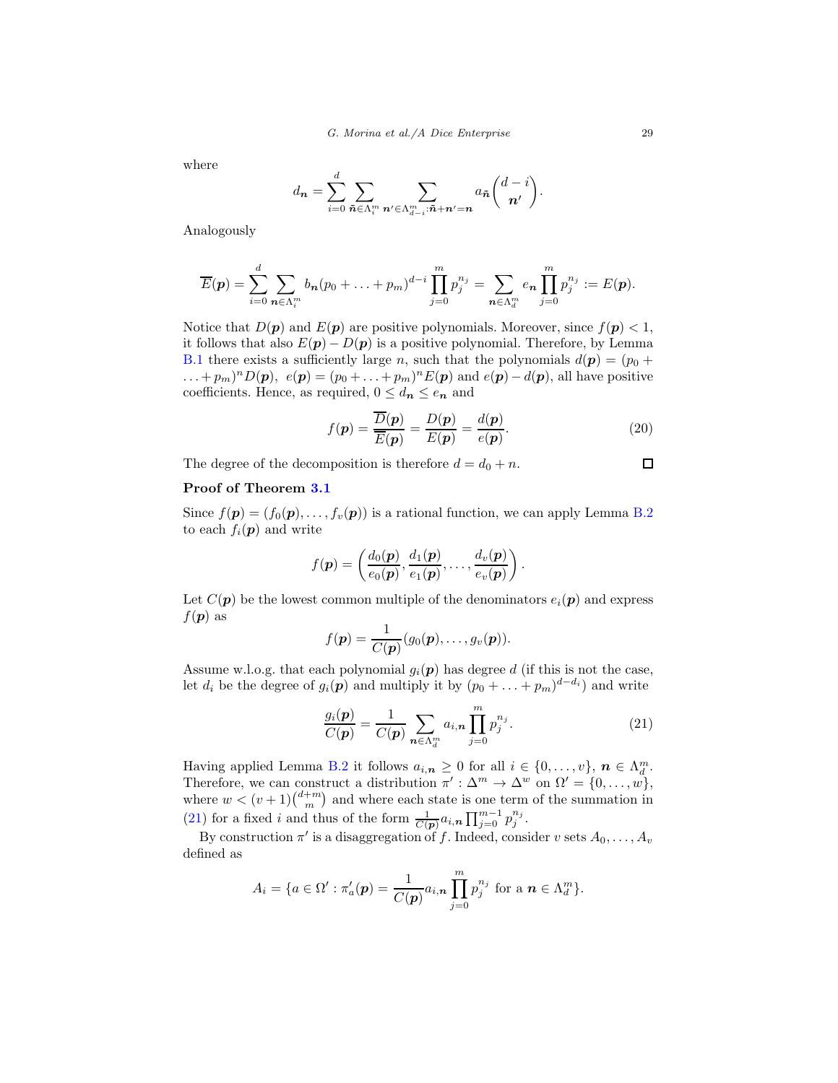where

$$
d_{\boldsymbol{n}} = \sum_{i=0}^d \sum_{\tilde{\boldsymbol{n}} \in \Lambda_i^m} \sum_{\boldsymbol{n}' \in \Lambda_{d-i}^m: \tilde{\boldsymbol{n}} + \boldsymbol{n}' = \boldsymbol{n}} a_{\tilde{\boldsymbol{n}}} {d - i \choose \boldsymbol{n}'}.
$$

Analogously

$$
\overline{E}(\mathbf{p}) = \sum_{i=0}^d \sum_{\mathbf{n} \in \Lambda_i^m} b_{\mathbf{n}} (p_0 + \ldots + p_m)^{d-i} \prod_{j=0}^m p_j^{n_j} = \sum_{\mathbf{n} \in \Lambda_d^m} e_{\mathbf{n}} \prod_{j=0}^m p_j^{n_j} := E(\mathbf{p}).
$$

Notice that  $D(\mathbf{p})$  and  $E(\mathbf{p})$  are positive polynomials. Moreover, since  $f(\mathbf{p}) < 1$ , it follows that also  $E(\mathbf{p}) - D(\mathbf{p})$  is a positive polynomial. Therefore, by Lemma [B.1](#page-27-1) there exists a sufficiently large n, such that the polynomials  $d(\mathbf{p}) = (p_0 + p_1)$  $\dots + p_m)^n D(\mathbf{p}), e(\mathbf{p}) = (p_0 + \dots + p_m)^n E(\mathbf{p})$  and  $e(\mathbf{p}) - d(\mathbf{p})$ , all have positive coefficients. Hence, as required,  $0 \leq d_n \leq e_n$  and

$$
f(\mathbf{p}) = \frac{\overline{D}(\mathbf{p})}{\overline{E}(\mathbf{p})} = \frac{D(\mathbf{p})}{E(\mathbf{p})} = \frac{d(\mathbf{p})}{e(\mathbf{p})}.
$$
 (20)

The degree of the decomposition is therefore  $d = d_0 + n$ .

# Proof of Theorem [3.1](#page-8-0)

Since  $f(\mathbf{p}) = (f_0(\mathbf{p}), \dots, f_v(\mathbf{p}))$  is a rational function, we can apply Lemma [B.2](#page-27-0) to each  $f_i(\mathbf{p})$  and write

$$
f(\boldsymbol{p}) = \left(\frac{d_0(\boldsymbol{p})}{e_0(\boldsymbol{p})}, \frac{d_1(\boldsymbol{p})}{e_1(\boldsymbol{p})}, \ldots, \frac{d_v(\boldsymbol{p})}{e_v(\boldsymbol{p})}\right).
$$

Let  $C(\boldsymbol{p})$  be the lowest common multiple of the denominators  $e_i(\boldsymbol{p})$  and express  $f(\mathbf{p})$  as

$$
f(\boldsymbol{p}) = \frac{1}{C(\boldsymbol{p})}(g_0(\boldsymbol{p}),\ldots,g_v(\boldsymbol{p})).
$$

Assume w.l.o.g. that each polynomial  $g_i(p)$  has degree d (if this is not the case, let  $d_i$  be the degree of  $g_i(p)$  and multiply it by  $(p_0 + \ldots + p_m)^{d-d_i}$  and write

<span id="page-28-0"></span>
$$
\frac{g_i(\mathbf{p})}{C(\mathbf{p})} = \frac{1}{C(\mathbf{p})} \sum_{\mathbf{n} \in \Lambda_d^m} a_{i,\mathbf{n}} \prod_{j=0}^m p_j^{n_j}.
$$
 (21)

Having applied Lemma [B.2](#page-27-0) it follows  $a_{i,n} \geq 0$  for all  $i \in \{0, \ldots, v\}, n \in \Lambda_d^m$ . Therefore, we can construct a distribution  $\pi': \Delta^m \to \Delta^w$  on  $\Omega' = \{0, \ldots, w\},\$ where  $w < (v+1) {d+m \choose m}$  and where each state is one term of the summation in [\(21\)](#page-28-0) for a fixed i and thus of the form  $\frac{1}{C(p)}a_{i,n}\prod_{j=0}^{m-1}p_j^{n_j}$ .

By construction  $\pi'$  is a disaggregation of f. Indeed, consider v sets  $A_0, \ldots, A_v$ defined as

$$
A_i = \{a \in \Omega': \pi'_a(\boldsymbol{p}) = \frac{1}{C(\boldsymbol{p})} a_{i,\boldsymbol{n}} \prod_{j=0}^m p_j^{n_j} \text{ for a } \boldsymbol{n} \in \Lambda_d^m \}.
$$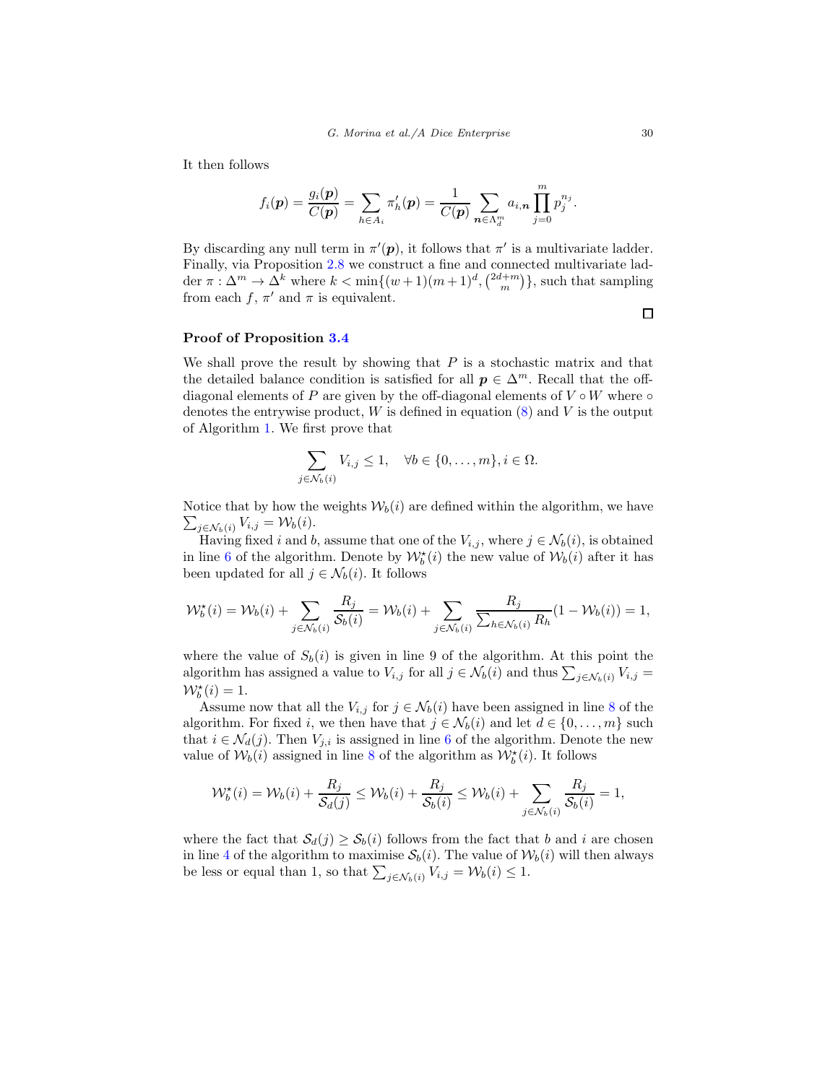It then follows

$$
f_i(\mathbf{p}) = \frac{g_i(\mathbf{p})}{C(\mathbf{p})} = \sum_{h \in A_i} \pi'_h(\mathbf{p}) = \frac{1}{C(\mathbf{p})} \sum_{\mathbf{n} \in \Lambda_d^m} a_{i,\mathbf{n}} \prod_{j=0}^m p_j^{n_j}.
$$

By discarding any null term in  $\pi'(\mathbf{p})$ , it follows that  $\pi'$  is a multivariate ladder. Finally, via Proposition [2.8](#page-6-0) we construct a fine and connected multivariate ladder  $\pi : \Delta^m \to \Delta^k$  where  $k < \min\{(w+1)(m+1)^d, \binom{2d+m}{m}\}$ , such that sampling from each  $f, \pi'$  and  $\pi$  is equivalent.

## Proof of Proposition [3.4](#page-10-1)

We shall prove the result by showing that  $P$  is a stochastic matrix and that the detailed balance condition is satisfied for all  $p \in \Delta^m$ . Recall that the offdiagonal elements of P are given by the off-diagonal elements of  $V \circ W$  where  $\circ$ denotes the entrywise product,  $W$  is defined in equation  $(8)$  and  $V$  is the output of Algorithm [1.](#page-10-0) We first prove that

$$
\sum_{j \in \mathcal{N}_b(i)} V_{i,j} \le 1, \quad \forall b \in \{0, \dots, m\}, i \in \Omega.
$$

 $\sum_{j \in \mathcal{N}_b(i)} V_{i,j} = \mathcal{W}_b(i).$ Notice that by how the weights  $W_b(i)$  are defined within the algorithm, we have

Having fixed i and b, assume that one of the  $V_{i,j}$ , where  $j \in \mathcal{N}_b(i)$ , is obtained in line [6](#page-10-0) of the algorithm. Denote by  $\mathcal{W}_b^*(i)$  the new value of  $\mathcal{W}_b(i)$  after it has been updated for all  $j \in \mathcal{N}_b(i)$ . It follows

$$
\mathcal{W}_b^{\star}(i) = \mathcal{W}_b(i) + \sum_{j \in \mathcal{N}_b(i)} \frac{R_j}{\mathcal{S}_b(i)} = \mathcal{W}_b(i) + \sum_{j \in \mathcal{N}_b(i)} \frac{R_j}{\sum_{h \in \mathcal{N}_b(i)} R_h} (1 - \mathcal{W}_b(i)) = 1,
$$

where the value of  $S_b(i)$  is given in line 9 of the algorithm. At this point the algorithm has assigned a value to  $V_{i,j}$  for all  $j \in \mathcal{N}_b(i)$  and thus  $\sum_{j \in \mathcal{N}_b(i)} V_{i,j} =$  $\mathcal{W}_b^{\star}(i) = 1.$ 

Assume now that all the  $V_{i,j}$  for  $j \in \mathcal{N}_b(i)$  have been assigned in line [8](#page-10-0) of the algorithm. For fixed i, we then have that  $j \in \mathcal{N}_b(i)$  and let  $d \in \{0, \ldots, m\}$  such that  $i \in \mathcal{N}_d(j)$ . Then  $V_{j,i}$  is assigned in line [6](#page-10-0) of the algorithm. Denote the new value of  $\mathcal{W}_b(i)$  assigned in line [8](#page-10-0) of the algorithm as  $\mathcal{W}_b^{\star}(i)$ . It follows

$$
\mathcal{W}_b^{\star}(i) = \mathcal{W}_b(i) + \frac{R_j}{\mathcal{S}_d(j)} \le \mathcal{W}_b(i) + \frac{R_j}{\mathcal{S}_b(i)} \le \mathcal{W}_b(i) + \sum_{j \in \mathcal{N}_b(i)} \frac{R_j}{\mathcal{S}_b(i)} = 1,
$$

where the fact that  $S_d(j) \geq S_b(i)$  follows from the fact that b and i are chosen in line [4](#page-10-0) of the algorithm to maximise  $S_b(i)$ . The value of  $W_b(i)$  will then always be less or equal than 1, so that  $\sum_{j \in \mathcal{N}_b(i)} V_{i,j} = \mathcal{W}_b(i) \leq 1$ .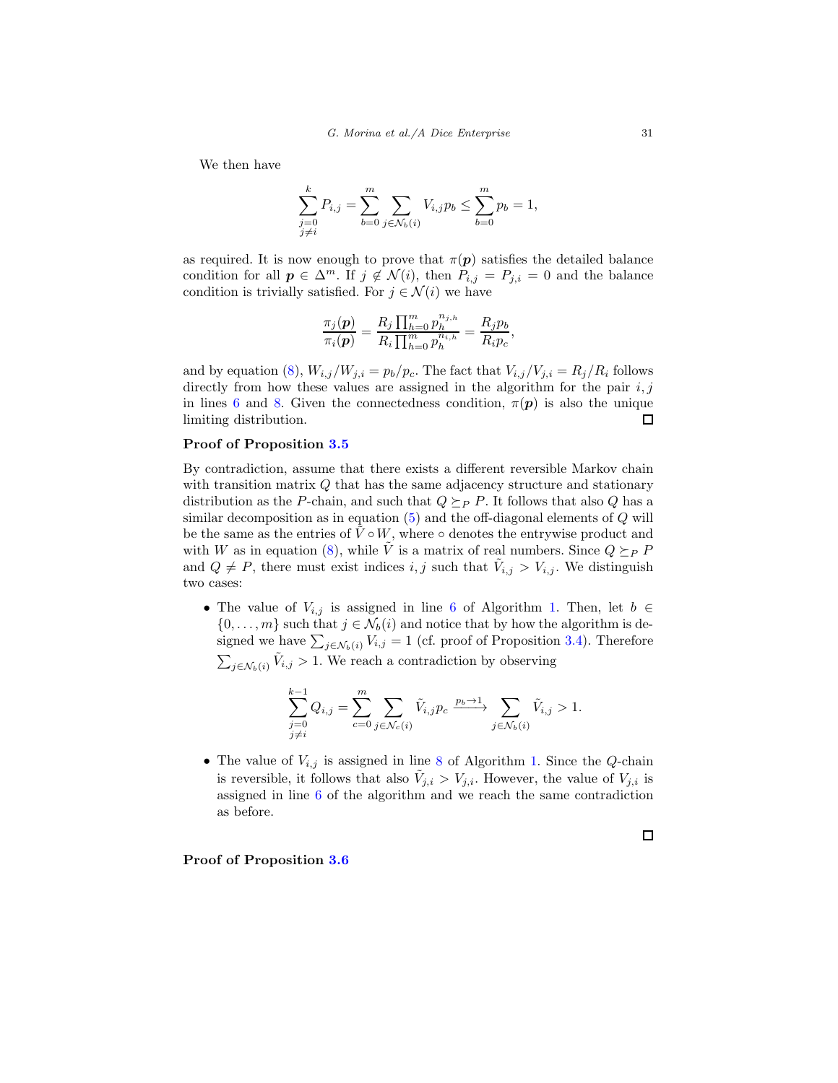We then have

$$
\sum_{\substack{j=0 \ j \neq i}}^k P_{i,j} = \sum_{b=0}^m \sum_{j \in \mathcal{N}_b(i)} V_{i,j} p_b \le \sum_{b=0}^m p_b = 1,
$$

as required. It is now enough to prove that  $\pi(\mathbf{p})$  satisfies the detailed balance condition for all  $p \in \Delta^m$ . If  $j \notin \mathcal{N}(i)$ , then  $P_{i,j} = P_{j,i} = 0$  and the balance condition is trivially satisfied. For  $j \in \mathcal{N}(i)$  we have

$$
\frac{\pi_j(\mathbf{p})}{\pi_i(\mathbf{p})} = \frac{R_j \prod_{h=0}^m p_h^{n_{j,h}}}{R_i \prod_{h=0}^m p_h^{n_{i,h}}} = \frac{R_j p_b}{R_i p_c},
$$

and by equation [\(8\)](#page-9-2),  $W_{i,j}/W_{j,i} = p_b/p_c$ . The fact that  $V_{i,j}/V_{j,i} = R_j/R_i$  follows directly from how these values are assigned in the algorithm for the pair  $i, j$ in lines [6](#page-10-0) and [8.](#page-10-0) Given the connectedness condition,  $\pi(\mathbf{p})$  is also the unique limiting distribution. п

## Proof of Proposition [3.5](#page-10-2)

By contradiction, assume that there exists a different reversible Markov chain with transition matrix Q that has the same adjacency structure and stationary distribution as the P-chain, and such that  $Q \succeq_{P} P$ . It follows that also Q has a similar decomposition as in equation  $(5)$  and the off-diagonal elements of  $Q$  will be the same as the entries of  $\tilde{V} \circ W$ , where  $\circ$  denotes the entrywise product and with W as in equation [\(8\)](#page-9-2), while  $\tilde{V}$  is a matrix of real numbers. Since  $Q \succeq_{P} P$ and  $Q \neq P$ , there must exist indices i, j such that  $\tilde{V}_{i,j} > V_{i,j}$ . We distinguish two cases:

• The value of  $V_{i,j}$  is assigned in line [6](#page-10-0) of Algorithm [1.](#page-10-0) Then, let  $b \in$  $\{0, \ldots, m\}$  such that  $j \in \mathcal{N}_b(i)$  and notice that by how the algorithm is designed we have  $\sum_{j \in \mathcal{N}_b(i)} V_{i,j} = 1$  (cf. proof of Proposition [3.4\)](#page-10-1). Therefore  $\sum_{j \in \mathcal{N}_b(i)} \tilde{V}_{i,j} > 1$ . We reach a contradiction by observing

$$
\sum_{\substack{j=0 \ j \neq i}}^{k-1} Q_{i,j} = \sum_{c=0}^m \sum_{j \in \mathcal{N}_c(i)} \tilde{V}_{i,j} p_c \xrightarrow{p_b \to 1} \sum_{j \in \mathcal{N}_b(i)} \tilde{V}_{i,j} > 1.
$$

• The value of  $V_{i,j}$  is assigned in line [8](#page-10-0) of Algorithm [1.](#page-10-0) Since the Q-chain is reversible, it follows that also  $\tilde{V}_{j,i} > V_{j,i}$ . However, the value of  $V_{j,i}$  is assigned in line [6](#page-10-0) of the algorithm and we reach the same contradiction as before.

### Proof of Proposition [3.6](#page-12-0)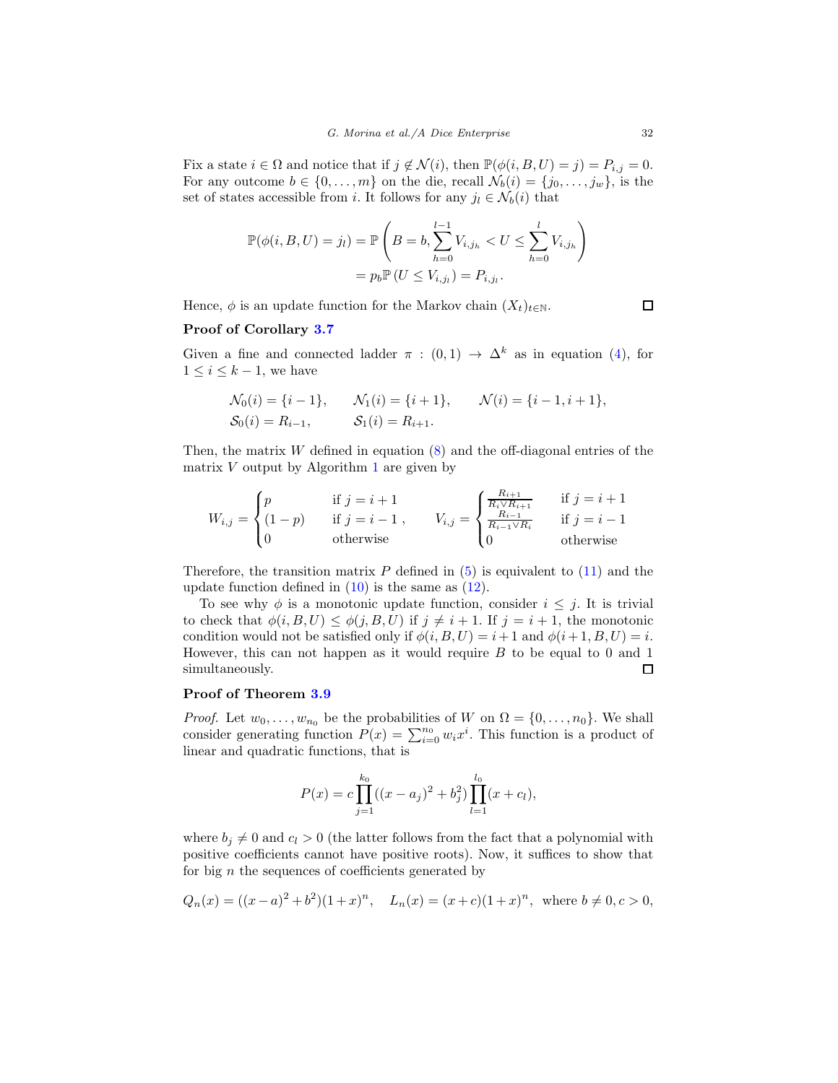Fix a state  $i \in \Omega$  and notice that if  $j \notin \mathcal{N}(i)$ , then  $\mathbb{P}(\phi(i, B, U) = j) = P_{i,j} = 0$ . For any outcome  $b \in \{0, \ldots, m\}$  on the die, recall  $\mathcal{N}_b(i) = \{j_0, \ldots, j_w\}$ , is the set of states accessible from i. It follows for any  $j_l \in \mathcal{N}_b(i)$  that

$$
\mathbb{P}(\phi(i, B, U) = j_l) = \mathbb{P}\left(B = b, \sum_{h=0}^{l-1} V_{i,j_h} < U \le \sum_{h=0}^{l} V_{i,j_h}\right) \\
= p_b \mathbb{P}(U \le V_{i,j_l}) = P_{i,j_l}.
$$

Hence,  $\phi$  is an update function for the Markov chain  $(X_t)_{t\in\mathbb{N}}$ .

 $\Box$ 

# Proof of Corollary [3.7](#page-13-0)

Given a fine and connected ladder  $\pi$  :  $(0,1) \rightarrow \Delta^k$  as in equation [\(4\)](#page-7-1), for  $1 \leq i \leq k-1$ , we have

$$
\mathcal{N}_0(i) = \{i-1\}, \qquad \mathcal{N}_1(i) = \{i+1\}, \qquad \mathcal{N}(i) = \{i-1, i+1\},
$$
  
\n $\mathcal{S}_0(i) = R_{i-1}, \qquad \mathcal{S}_1(i) = R_{i+1}.$ 

Then, the matrix  $W$  defined in equation  $(8)$  and the off-diagonal entries of the matrix  $V$  output by Algorithm [1](#page-10-0) are given by

$$
W_{i,j} = \begin{cases} p & \text{if } j = i+1 \\ (1-p) & \text{if } j = i-1 \\ 0 & \text{otherwise} \end{cases}, \qquad V_{i,j} = \begin{cases} \frac{R_{i+1}}{R_i \vee R_{i+1}} & \text{if } j = i+1 \\ \frac{R_{i-1}}{R_{i-1} \vee R_i} & \text{if } j = i-1 \\ 0 & \text{otherwise} \end{cases}
$$

Therefore, the transition matrix  $P$  defined in [\(5\)](#page-8-2) is equivalent to [\(11\)](#page-13-2) and the update function defined in  $(10)$  is the same as  $(12)$ .

To see why  $\phi$  is a monotonic update function, consider  $i \leq j$ . It is trivial to check that  $\phi(i, B, U) \leq \phi(j, B, U)$  if  $j \neq i + 1$ . If  $j = i + 1$ , the monotonic condition would not be satisfied only if  $\phi(i, B, U) = i + 1$  and  $\phi(i + 1, B, U) = i$ . However, this can not happen as it would require  $B$  to be equal to 0 and 1  $\Box$ simultaneously.

### Proof of Theorem [3.9](#page-14-0)

*Proof.* Let  $w_0, \ldots, w_{n_0}$  be the probabilities of W on  $\Omega = \{0, \ldots, n_0\}$ . We shall consider generating function  $P(x) = \sum_{i=0}^{n_0} w_i x^i$ . This function is a product of linear and quadratic functions, that is

$$
P(x) = c \prod_{j=1}^{k_0} ((x - a_j)^2 + b_j^2) \prod_{l=1}^{l_0} (x + c_l),
$$

where  $b_i \neq 0$  and  $c_i > 0$  (the latter follows from the fact that a polynomial with positive coefficients cannot have positive roots). Now, it suffices to show that for big  $n$  the sequences of coefficients generated by

$$
Q_n(x) = ((x-a)^2 + b^2)(1+x)^n, \quad L_n(x) = (x+c)(1+x)^n, \text{ where } b \neq 0, c > 0,
$$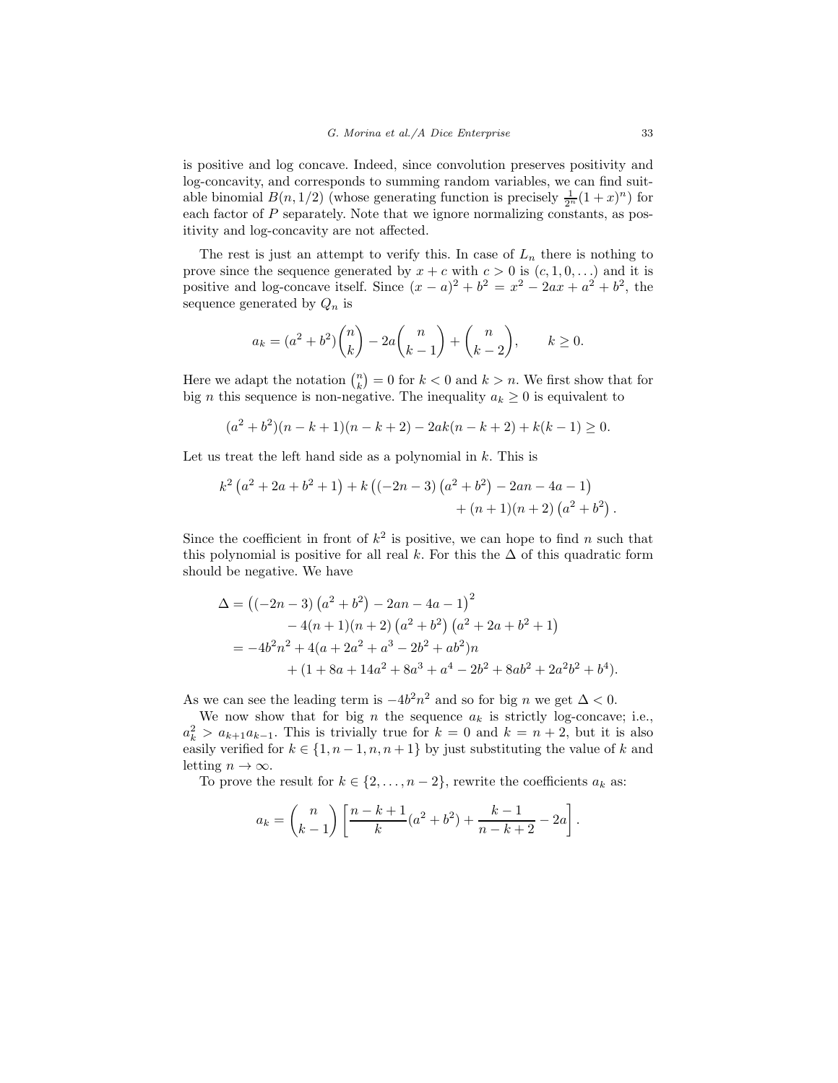is positive and log concave. Indeed, since convolution preserves positivity and log-concavity, and corresponds to summing random variables, we can find suitable binomial  $B(n, 1/2)$  (whose generating function is precisely  $\frac{1}{2^n}(1+x)^n$ ) for each factor of P separately. Note that we ignore normalizing constants, as positivity and log-concavity are not affected.

The rest is just an attempt to verify this. In case of  $L_n$  there is nothing to prove since the sequence generated by  $x + c$  with  $c > 0$  is  $(c, 1, 0, ...)$  and it is positive and log-concave itself. Since  $(x - a)^2 + b^2 = x^2 - 2ax + a^2 + b^2$ , the sequence generated by  $Q_n$  is

$$
a_k = (a^2 + b^2) \binom{n}{k} - 2a \binom{n}{k-1} + \binom{n}{k-2}, \qquad k \ge 0.
$$

Here we adapt the notation  $\binom{n}{k} = 0$  for  $k < 0$  and  $k > n$ . We first show that for big *n* this sequence is non-negative. The inequality  $a_k \geq 0$  is equivalent to

$$
(a2 + b2)(n - k + 1)(n - k + 2) - 2ak(n - k + 2) + k(k - 1) \ge 0.
$$

Let us treat the left hand side as a polynomial in  $k$ . This is

$$
k^2(a^2+2a+b^2+1)+k((-2n-3)(a^2+b^2)-2an-4a-1)+((n+1)(n+2)(a^2+b^2).
$$

Since the coefficient in front of  $k^2$  is positive, we can hope to find n such that this polynomial is positive for all real k. For this the  $\Delta$  of this quadratic form should be negative. We have

$$
\Delta = ((-2n-3) (a^{2} + b^{2}) - 2an - 4a - 1)^{2}
$$
  
\n
$$
- 4(n + 1)(n + 2) (a^{2} + b^{2}) (a^{2} + 2a + b^{2} + 1)
$$
  
\n
$$
= -4b^{2}n^{2} + 4(a + 2a^{2} + a^{3} - 2b^{2} + ab^{2})n
$$
  
\n
$$
+ (1 + 8a + 14a^{2} + 8a^{3} + a^{4} - 2b^{2} + 8ab^{2} + 2a^{2}b^{2} + b^{4}).
$$

As we can see the leading term is  $-4b^2n^2$  and so for big n we get  $\Delta < 0$ .

We now show that for big n the sequence  $a_k$  is strictly log-concave; i.e.,  $a_k^2 > a_{k+1}a_{k-1}$ . This is trivially true for  $k = 0$  and  $k = n + 2$ , but it is also easily verified for  $k \in \{1, n-1, n, n+1\}$  by just substituting the value of k and letting  $n \to \infty$ .

To prove the result for  $k \in \{2, ..., n-2\}$ , rewrite the coefficients  $a_k$  as:

$$
a_k = {n \choose k-1} \left[ \frac{n-k+1}{k} (a^2 + b^2) + \frac{k-1}{n-k+2} - 2a \right].
$$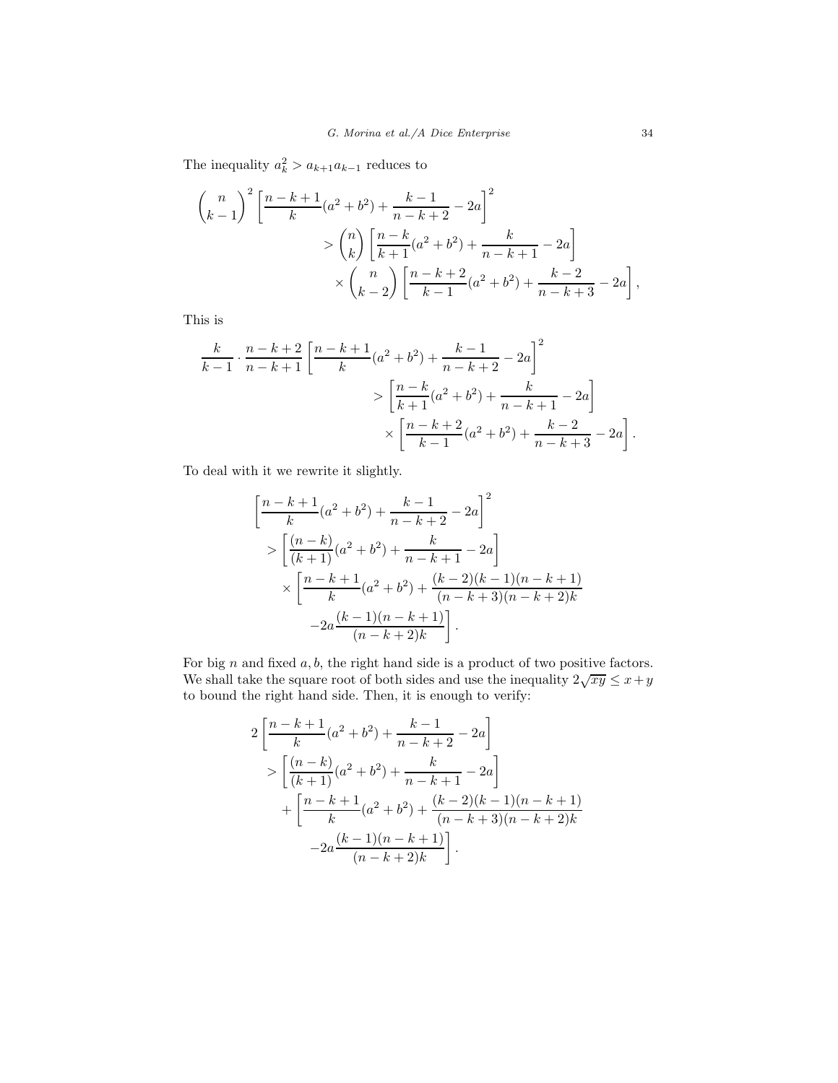The inequality  $a_k^2 > a_{k+1}a_{k-1}$  reduces to

$$
\binom{n}{k-1}^2 \left[ \frac{n-k+1}{k} (a^2 + b^2) + \frac{k-1}{n-k+2} - 2a \right]^2
$$
  
> 
$$
\binom{n}{k} \left[ \frac{n-k}{k+1} (a^2 + b^2) + \frac{k}{n-k+1} - 2a \right]
$$
  
> 
$$
\binom{n}{k-2} \left[ \frac{n-k+2}{k-1} (a^2 + b^2) + \frac{k-2}{n-k+3} - 2a \right],
$$

This is

$$
\frac{k}{k-1} \cdot \frac{n-k+2}{n-k+1} \left[ \frac{n-k+1}{k} (a^2 + b^2) + \frac{k-1}{n-k+2} - 2a \right]^2
$$

$$
> \left[ \frac{n-k}{k+1} (a^2 + b^2) + \frac{k}{n-k+1} - 2a \right]
$$

$$
\times \left[ \frac{n-k+2}{k-1} (a^2 + b^2) + \frac{k-2}{n-k+3} - 2a \right].
$$

To deal with it we rewrite it slightly.

$$
\left[\frac{n-k+1}{k}(a^2+b^2) + \frac{k-1}{n-k+2} - 2a\right]^2
$$
  
> 
$$
\left[\frac{(n-k)}{(k+1)}(a^2+b^2) + \frac{k}{n-k+1} - 2a\right]
$$
  
> 
$$
\left[\frac{n-k+1}{k}(a^2+b^2) + \frac{(k-2)(k-1)(n-k+1)}{(n-k+3)(n-k+2)k}\right]
$$
  
-2a $\frac{(k-1)(n-k+1)}{(n-k+2)k}$ .

For big  $n$  and fixed  $a, b$ , the right hand side is a product of two positive factors. We shall take the square root of both sides and use the inequality  $2\sqrt{xy} \leq x+y$ to bound the right hand side. Then, it is enough to verify:

$$
2\left[\frac{n-k+1}{k}(a^2+b^2) + \frac{k-1}{n-k+2} - 2a\right]
$$
  
> 
$$
\left[\frac{(n-k)}{(k+1)}(a^2+b^2) + \frac{k}{n-k+1} - 2a\right]
$$
  
+ 
$$
\left[\frac{n-k+1}{k}(a^2+b^2) + \frac{(k-2)(k-1)(n-k+1)}{(n-k+3)(n-k+2)k}\right]
$$
  
-2a $\frac{(k-1)(n-k+1)}{(n-k+2)k}$ .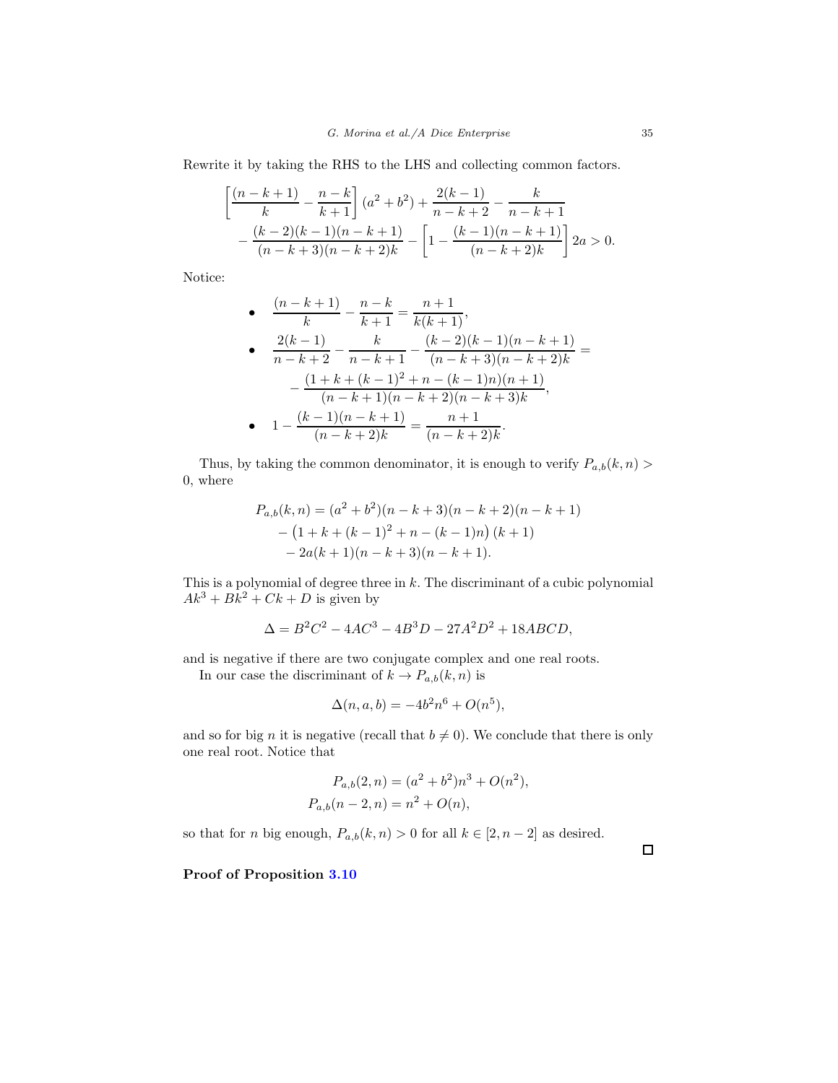Rewrite it by taking the RHS to the LHS and collecting common factors.

$$
\left[\frac{(n-k+1)}{k} - \frac{n-k}{k+1}\right](a^2 + b^2) + \frac{2(k-1)}{n-k+2} - \frac{k}{n-k+1}
$$

$$
-\frac{(k-2)(k-1)(n-k+1)}{(n-k+3)(n-k+2)k} - \left[1 - \frac{(k-1)(n-k+1)}{(n-k+2)k}\right]2a > 0.
$$

Notice:

• 
$$
\frac{(n-k+1)}{k} - \frac{n-k}{k+1} = \frac{n+1}{k(k+1)},
$$
  
\n• 
$$
\frac{2(k-1)}{n-k+2} - \frac{k}{n-k+1} - \frac{(k-2)(k-1)(n-k+1)}{(n-k+3)(n-k+2)k} =
$$
  
\n
$$
-\frac{(1+k+(k-1)^2+n-(k-1)n)(n+1)}{(n-k+1)(n-k+2)(n-k+3)k},
$$
  
\n• 
$$
1 - \frac{(k-1)(n-k+1)}{(n-k+2)k} = \frac{n+1}{(n-k+2)k}.
$$

Thus, by taking the common denominator, it is enough to verify  $P_{a,b}(k,n)$ 0, where

$$
P_{a,b}(k,n) = (a2 + b2)(n - k + 3)(n - k + 2)(n - k + 1)
$$
  
-(1 + k + (k - 1)<sup>2</sup> + n - (k - 1)n)(k + 1)  
- 2a(k + 1)(n - k + 3)(n - k + 1).

This is a polynomial of degree three in  $k$ . The discriminant of a cubic polynomial  $Ak^{3} + Bk^{2} + Ck + D$  is given by

$$
\Delta = B^2 C^2 - 4AC^3 - 4B^3 D - 27A^2 D^2 + 18ABCD,
$$

and is negative if there are two conjugate complex and one real roots.

In our case the discriminant of  $k \to P_{a,b}(k,n)$  is

$$
\Delta(n, a, b) = -4b^2n^6 + O(n^5),
$$

and so for big n it is negative (recall that  $b \neq 0$ ). We conclude that there is only one real root. Notice that

$$
P_{a,b}(2,n) = (a^2 + b^2)n^3 + O(n^2),
$$
  
\n
$$
P_{a,b}(n-2,n) = n^2 + O(n),
$$

so that for *n* big enough,  $P_{a,b}(k, n) > 0$  for all  $k \in [2, n-2]$  as desired.

Proof of Proposition [3.10](#page-14-1)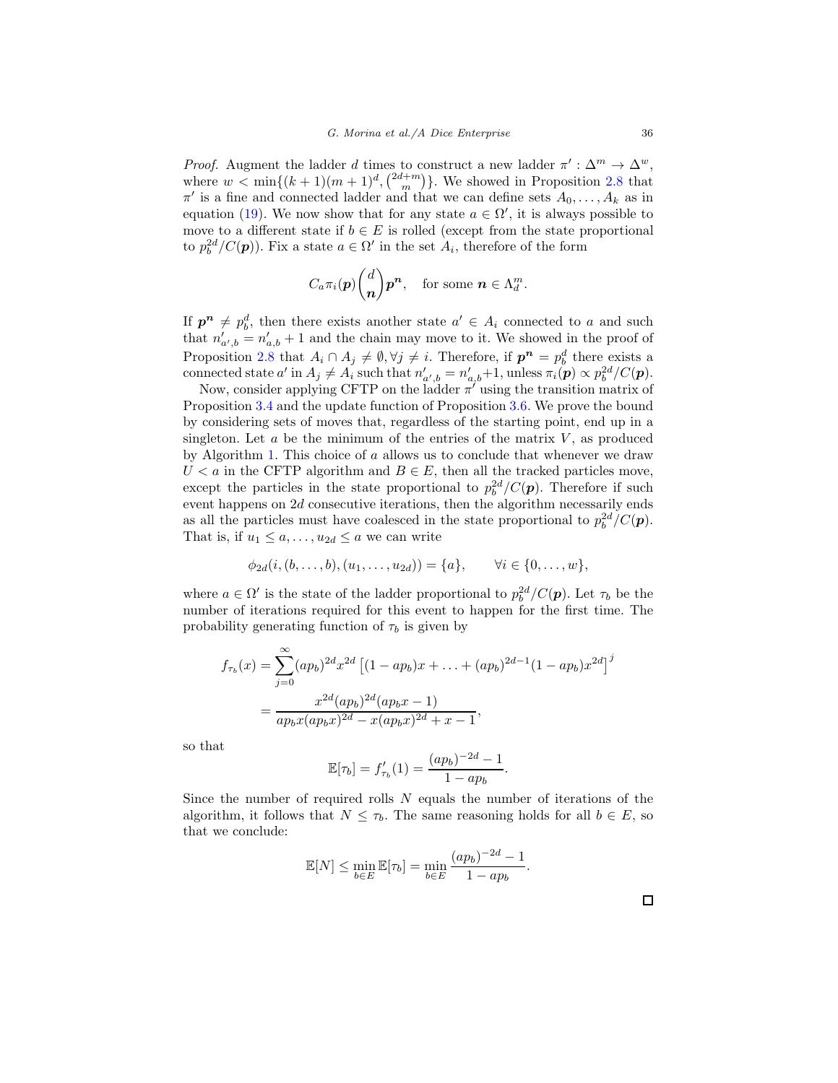Proof. Augment the ladder d times to construct a new ladder  $\pi': \Delta^m \to \Delta^w$ , where  $w < \min\{(k+1)(m+1)^d, \binom{2d+m}{m}\}$ . We showed in Proposition [2.8](#page-6-0) that  $\pi'$  is a fine and connected ladder and that we can define sets  $A_0, \ldots, A_k$  as in equation [\(19\)](#page-26-2). We now show that for any state  $a \in \Omega'$ , it is always possible to move to a different state if  $b \in E$  is rolled (except from the state proportional to  $p_b^{2d}/C(p)$ ). Fix a state  $a \in \Omega'$  in the set  $A_i$ , therefore of the form

$$
C_a\pi_i(\boldsymbol{p})\binom{d}{\boldsymbol{n}}\boldsymbol{p}^{\boldsymbol{n}},\quad\text{for some }\boldsymbol{n}\in\Lambda_d^m.
$$

If  $p^n \neq p_b^d$ , then there exists another state  $a' \in A_i$  connected to a and such that  $n'_{a',b} = n'_{a,b} + 1$  and the chain may move to it. We showed in the proof of Proposition [2.8](#page-6-0) that  $A_i \cap A_j \neq \emptyset, \forall j \neq i$ . Therefore, if  $p^n = p_b^d$  there exists a connected state  $a'$  in  $A_j \neq A_i$  such that  $n'_{a',b} = n'_{a,b}+1$ , unless  $\pi_i(\mathbf{p}) \propto p_b^{2d}/C(\mathbf{p})$ .

Now, consider applying CFTP on the ladder  $\pi'$  using the transition matrix of Proposition [3.4](#page-10-1) and the update function of Proposition [3.6.](#page-12-0) We prove the bound by considering sets of moves that, regardless of the starting point, end up in a singleton. Let  $a$  be the minimum of the entries of the matrix  $V$ , as produced by Algorithm [1.](#page-10-0) This choice of  $\alpha$  allows us to conclude that whenever we draw  $U < a$  in the CFTP algorithm and  $B \in E$ , then all the tracked particles move, except the particles in the state proportional to  $p_b^{2d}/C(p)$ . Therefore if such event happens on 2d consecutive iterations, then the algorithm necessarily ends as all the particles must have coalesced in the state proportional to  $p_b^{2d}/C(\mathbf{p})$ . That is, if  $u_1 \leq a, \ldots, u_{2d} \leq a$  we can write

$$
\phi_{2d}(i, (b, ..., b), (u_1, ..., u_{2d})) = \{a\}, \quad \forall i \in \{0, ..., w\},\
$$

where  $a \in \Omega'$  is the state of the ladder proportional to  $p_b^{2d}/C(\boldsymbol{p})$ . Let  $\tau_b$  be the number of iterations required for this event to happen for the first time. The probability generating function of  $\tau_b$  is given by

$$
f_{\tau_b}(x) = \sum_{j=0}^{\infty} (ap_b)^{2d} x^{2d} \left[ (1 - ap_b)x + \dots + (ap_b)^{2d-1} (1 - ap_b)x^{2d} \right]^j
$$
  
= 
$$
\frac{x^{2d}(ap_b)^{2d}(ap_bx - 1)}{ap_bx(ap_bx)^{2d} - x(ap_bx)^{2d} + x - 1},
$$

so that

$$
\mathbb{E}[\tau_b] = f'_{\tau_b}(1) = \frac{(ap_b)^{-2d} - 1}{1 - ap_b}
$$

Since the number of required rolls N equals the number of iterations of the algorithm, it follows that  $N \leq \tau_b$ . The same reasoning holds for all  $b \in E$ , so that we conclude:

$$
\mathbb{E}[N] \le \min_{b \in E} \mathbb{E}[\tau_b] = \min_{b \in E} \frac{(ap_b)^{-2d} - 1}{1 - ap_b}.
$$

.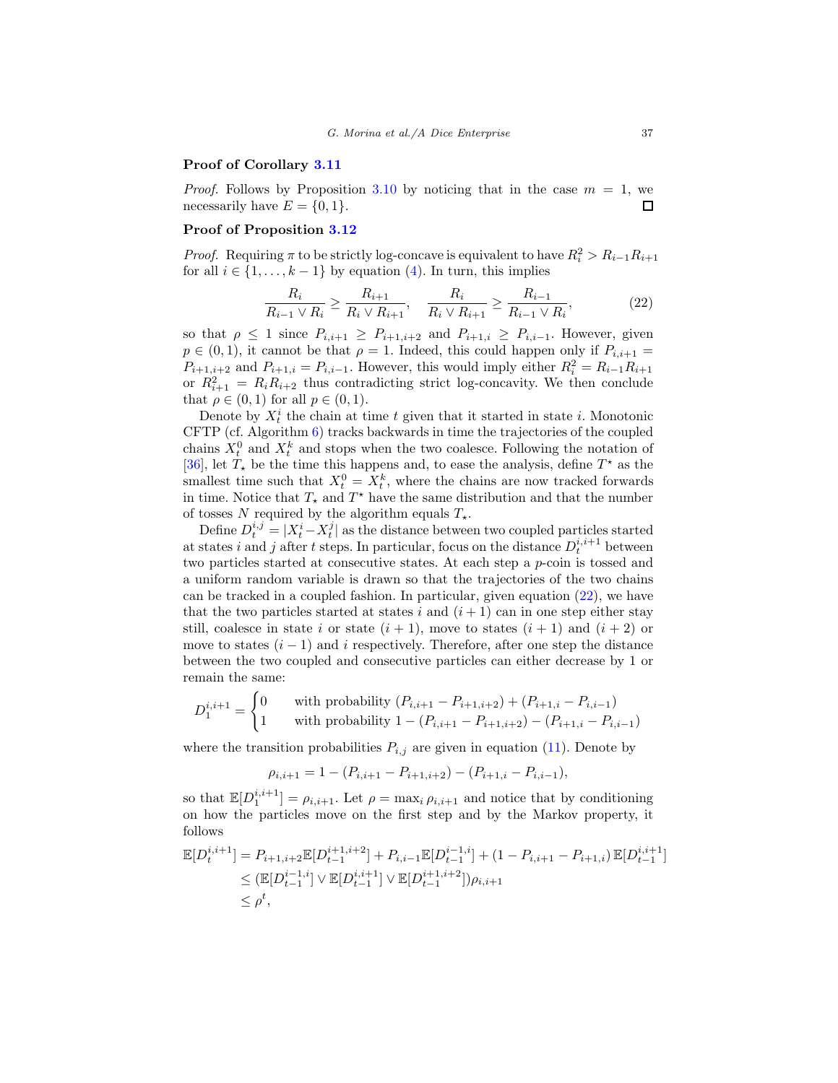### Proof of Corollary [3.11](#page-14-2)

*Proof.* Follows by Proposition [3.10](#page-14-1) by noticing that in the case  $m = 1$ , we necessarily have  $E = \{0, 1\}.$  $\Box$ 

#### Proof of Proposition [3.12](#page-15-2)

*Proof.* Requiring  $\pi$  to be strictly log-concave is equivalent to have  $R_i^2 > R_{i-1}R_{i+1}$ for all  $i \in \{1, \ldots, k-1\}$  by equation [\(4\)](#page-7-1). In turn, this implies

<span id="page-36-0"></span>
$$
\frac{R_i}{R_{i-1} \vee R_i} \ge \frac{R_{i+1}}{R_i \vee R_{i+1}}, \quad \frac{R_i}{R_i \vee R_{i+1}} \ge \frac{R_{i-1}}{R_{i-1} \vee R_i},\tag{22}
$$

so that  $\rho \leq 1$  since  $P_{i,i+1} \geq P_{i+1,i+2}$  and  $P_{i+1,i} \geq P_{i,i-1}$ . However, given  $p \in (0,1)$ , it cannot be that  $\rho = 1$ . Indeed, this could happen only if  $P_{i,i+1} =$  $P_{i+1,i+2}$  and  $P_{i+1,i} = P_{i,i-1}$ . However, this would imply either  $R_i^2 = R_{i-1}R_{i+1}$ or  $R_{i+1}^2 = R_i R_{i+2}$  thus contradicting strict log-concavity. We then conclude that  $\rho \in (0,1)$  for all  $p \in (0,1)$ .

Denote by  $X_t^i$  the chain at time t given that it started in state i. Monotonic CFTP (cf. Algorithm [6\)](#page-26-1) tracks backwards in time the trajectories of the coupled chains  $X_t^0$  and  $X_t^k$  and stops when the two coalesce. Following the notation of [\[36\]](#page-39-9), let  $T_{\star}$  be the time this happens and, to ease the analysis, define  $T^{\star}$  as the smallest time such that  $X_t^0 = X_t^k$ , where the chains are now tracked forwards in time. Notice that  $T_{\star}$  and  $T^{\star}$  have the same distribution and that the number of tosses N required by the algorithm equals  $T_{\star}$ .

Define  $D_t^{i,j} = |X_t^i - X_t^j|$  as the distance between two coupled particles started at states i and j after t steps. In particular, focus on the distance  $D_t^{i,i+1}$  between two particles started at consecutive states. At each step a p-coin is tossed and a uniform random variable is drawn so that the trajectories of the two chains can be tracked in a coupled fashion. In particular, given equation [\(22\)](#page-36-0), we have that the two particles started at states i and  $(i+1)$  can in one step either stay still, coalesce in state i or state  $(i + 1)$ , move to states  $(i + 1)$  and  $(i + 2)$  or move to states  $(i - 1)$  and i respectively. Therefore, after one step the distance between the two coupled and consecutive particles can either decrease by 1 or remain the same:

$$
D_1^{i,i+1} = \begin{cases} 0 & \text{with probability } (P_{i,i+1} - P_{i+1,i+2}) + (P_{i+1,i} - P_{i,i-1})\\ 1 & \text{with probability } 1 - (P_{i,i+1} - P_{i+1,i+2}) - (P_{i+1,i} - P_{i,i-1}) \end{cases}
$$

where the transition probabilities  $P_{i,j}$  are given in equation [\(11\)](#page-13-2). Denote by

$$
\rho_{i,i+1} = 1 - (P_{i,i+1} - P_{i+1,i+2}) - (P_{i+1,i} - P_{i,i-1}),
$$

so that  $\mathbb{E}[D_1^{i,i+1}] = \rho_{i,i+1}$ . Let  $\rho = \max_i \rho_{i,i+1}$  and notice that by conditioning on how the particles move on the first step and by the Markov property, it follows

$$
\mathbb{E}[D_t^{i,i+1}] = P_{i+1,i+2} \mathbb{E}[D_{t-1}^{i+1,i+2}] + P_{i,i-1} \mathbb{E}[D_{t-1}^{i-1,i}] + (1 - P_{i,i+1} - P_{i+1,i}) \mathbb{E}[D_{t-1}^{i,i+1}] \n\leq (\mathbb{E}[D_{t-1}^{i-1,i}] \vee \mathbb{E}[D_{t-1}^{i,i+1}] \vee \mathbb{E}[D_{t-1}^{i+1,i+2}])\rho_{i,i+1} \n\leq \rho^t,
$$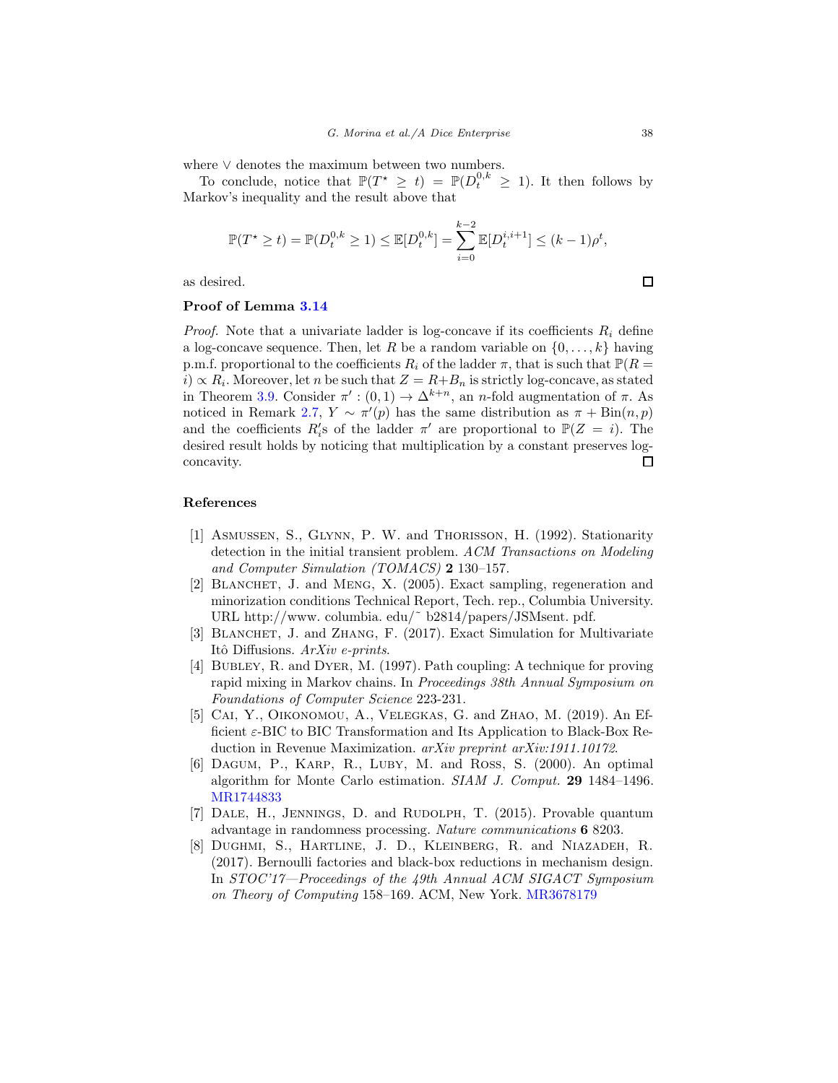where ∨ denotes the maximum between two numbers.

To conclude, notice that  $\mathbb{P}(T^* \geq t) = \mathbb{P}(D_t^{0,k} \geq 1)$ . It then follows by Markov's inequality and the result above that

$$
\mathbb{P}(T^* \ge t) = \mathbb{P}(D_t^{0,k} \ge 1) \le \mathbb{E}[D_t^{0,k}] = \sum_{i=0}^{k-2} \mathbb{E}[D_t^{i,i+1}] \le (k-1)\rho^t,
$$

as desired.

#### Proof of Lemma [3.14](#page-15-0)

*Proof.* Note that a univariate ladder is log-concave if its coefficients  $R_i$  define a log-concave sequence. Then, let R be a random variable on  $\{0, \ldots, k\}$  having p.m.f. proportional to the coefficients  $R_i$  of the ladder  $\pi$ , that is such that  $\mathbb{P}(R =$  $i) \propto R_i$ . Moreover, let n be such that  $Z = R + B_n$  is strictly log-concave, as stated in Theorem [3.9.](#page-14-0) Consider  $\pi' : (0,1) \to \Delta^{k+n}$ , an *n*-fold augmentation of  $\pi$ . As noticed in Remark [2.7,](#page-6-1)  $Y \sim \pi'(p)$  has the same distribution as  $\pi + \text{Bin}(n, p)$ and the coefficients  $R'_i$ s of the ladder  $\pi'$  are proportional to  $\mathbb{P}(Z = i)$ . The desired result holds by noticing that multiplication by a constant preserves log- $\Box$ concavity.

## References

- <span id="page-37-0"></span>[1] ASMUSSEN, S., GLYNN, P. W. and THORISSON, H. (1992). Stationarity detection in the initial transient problem. ACM Transactions on Modeling and Computer Simulation (TOMACS) 2 130–157.
- <span id="page-37-4"></span>[2] Blanchet, J. and Meng, X. (2005). Exact sampling, regeneration and minorization conditions Technical Report, Tech. rep., Columbia University. URL http://www. columbia. edu/˜ b2814/papers/JSMsent. pdf.
- <span id="page-37-3"></span>[3] Blanchet, J. and Zhang, F. (2017). Exact Simulation for Multivariate Itô Diffusions. ArXiv e-prints.
- <span id="page-37-6"></span>[4] Bubley, R. and Dyer, M. (1997). Path coupling: A technique for proving rapid mixing in Markov chains. In Proceedings 38th Annual Symposium on Foundations of Computer Science 223-231.
- <span id="page-37-5"></span>[5] CAI, Y., OIKONOMOU, A., VELEGKAS, G. and ZHAO, M. (2019). An Efficient  $\varepsilon$ -BIC to BIC Transformation and Its Application to Black-Box Reduction in Revenue Maximization. arXiv preprint arXiv:1911.10172.
- <span id="page-37-7"></span>[6] DAGUM, P., KARP, R., LUBY, M. and ROSS, S. (2000). An optimal algorithm for Monte Carlo estimation. SIAM J. Comput. 29 1484–1496. [MR1744833](http://www.ams.org/mathscinet-getitem?mr=1744833)
- <span id="page-37-1"></span>[7] DALE, H., JENNINGS, D. and RUDOLPH, T. (2015). Provable quantum advantage in randomness processing. Nature communications 6 8203.
- <span id="page-37-2"></span>[8] Dughmi, S., Hartline, J. D., Kleinberg, R. and Niazadeh, R. (2017). Bernoulli factories and black-box reductions in mechanism design. In STOC'17—Proceedings of the 49th Annual ACM SIGACT Symposium on Theory of Computing 158–169. ACM, New York. [MR3678179](http://www.ams.org/mathscinet-getitem?mr=3678179)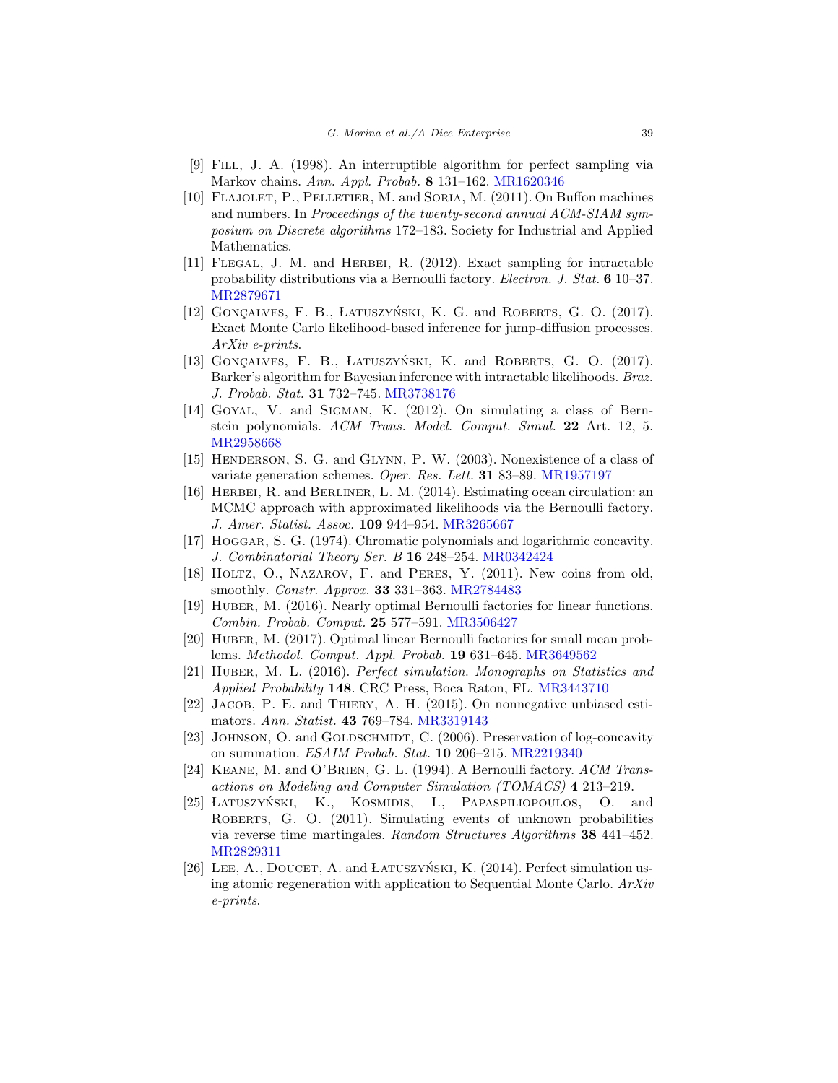- <span id="page-38-14"></span>[9] Fill, J. A. (1998). An interruptible algorithm for perfect sampling via Markov chains. Ann. Appl. Probab. 8 131–162. [MR1620346](http://www.ams.org/mathscinet-getitem?mr=1620346)
- <span id="page-38-7"></span>[10] Flajolet, P., Pelletier, M. and Soria, M. (2011). On Buffon machines and numbers. In Proceedings of the twenty-second annual ACM-SIAM symposium on Discrete algorithms 172–183. Society for Industrial and Applied Mathematics.
- <span id="page-38-8"></span>[11] Flegal, J. M. and Herbei, R. (2012). Exact sampling for intractable probability distributions via a Bernoulli factory. Electron. J. Stat. 6 10–37. [MR2879671](http://www.ams.org/mathscinet-getitem?mr=2879671)
- <span id="page-38-10"></span>[12] GONCALVES, F. B., LATUSZYŃSKI, K. G. and ROBERTS, G. O.  $(2017)$ . Exact Monte Carlo likelihood-based inference for jump-diffusion processes. ArXiv e-prints.
- <span id="page-38-11"></span>[13] GONÇALVES, F. B., LATUSZYŃSKI, K. and ROBERTS, G. O. (2017). Barker's algorithm for Bayesian inference with intractable likelihoods. Braz. J. Probab. Stat. 31 732–745. [MR3738176](http://www.ams.org/mathscinet-getitem?mr=3738176)
- <span id="page-38-13"></span>[14] GOYAL, V. and SIGMAN, K. (2012). On simulating a class of Bernstein polynomials. ACM Trans. Model. Comput. Simul. 22 Art. 12, 5. [MR2958668](http://www.ams.org/mathscinet-getitem?mr=2958668)
- <span id="page-38-1"></span>[15] HENDERSON, S. G. and GLYNN, P. W. (2003). Nonexistence of a class of variate generation schemes. Oper. Res. Lett. 31 83–89. [MR1957197](http://www.ams.org/mathscinet-getitem?mr=1957197)
- <span id="page-38-12"></span>[16] Herbei, R. and Berliner, L. M. (2014). Estimating ocean circulation: an MCMC approach with approximated likelihoods via the Bernoulli factory. J. Amer. Statist. Assoc. 109 944–954. [MR3265667](http://www.ams.org/mathscinet-getitem?mr=3265667)
- <span id="page-38-15"></span>[17] Hoggar, S. G. (1974). Chromatic polynomials and logarithmic concavity. J. Combinatorial Theory Ser. B 16 248–254. [MR0342424](http://www.ams.org/mathscinet-getitem?mr=0342424)
- <span id="page-38-2"></span>[18] HOLTZ, O., NAZAROV, F. and PERES, Y. (2011). New coins from old, smoothly. Constr. Approx. 33 331–363. [MR2784483](http://www.ams.org/mathscinet-getitem?mr=2784483)
- <span id="page-38-3"></span>[19] HUBER, M. (2016). Nearly optimal Bernoulli factories for linear functions. Combin. Probab. Comput. 25 577–591. [MR3506427](http://www.ams.org/mathscinet-getitem?mr=3506427)
- <span id="page-38-4"></span>[20] HUBER, M. (2017). Optimal linear Bernoulli factories for small mean problems. Methodol. Comput. Appl. Probab. 19 631–645. [MR3649562](http://www.ams.org/mathscinet-getitem?mr=3649562)
- <span id="page-38-17"></span>[21] Huber, M. L. (2016). Perfect simulation. Monographs on Statistics and Applied Probability 148. CRC Press, Boca Raton, FL. [MR3443710](http://www.ams.org/mathscinet-getitem?mr=3443710)
- <span id="page-38-6"></span>[22] JACOB, P. E. and THIERY, A. H. (2015). On nonnegative unbiased estimators. Ann. Statist. 43 769–784. [MR3319143](http://www.ams.org/mathscinet-getitem?mr=3319143)
- <span id="page-38-16"></span>[23] JOHNSON, O. and GOLDSCHMIDT, C. (2006). Preservation of log-concavity on summation. ESAIM Probab. Stat. 10 206–215. [MR2219340](http://www.ams.org/mathscinet-getitem?mr=2219340)
- <span id="page-38-0"></span>[24] KEANE, M. and O'BRIEN, G. L. (1994). A Bernoulli factory. ACM Transactions on Modeling and Computer Simulation (TOMACS) 4 213–219.
- <span id="page-38-5"></span>[25] LATUSZYŃSKI, K., KOSMIDIS, I., PAPASPILIOPOULOS, O. and ROBERTS, G. O. (2011). Simulating events of unknown probabilities via reverse time martingales. Random Structures Algorithms 38 441–452. [MR2829311](http://www.ams.org/mathscinet-getitem?mr=2829311)
- <span id="page-38-9"></span>[26] LEE, A., DOUCET, A. and LATUSZYŃSKI, K.  $(2014)$ . Perfect simulation using atomic regeneration with application to Sequential Monte Carlo. ArXiv e-prints.